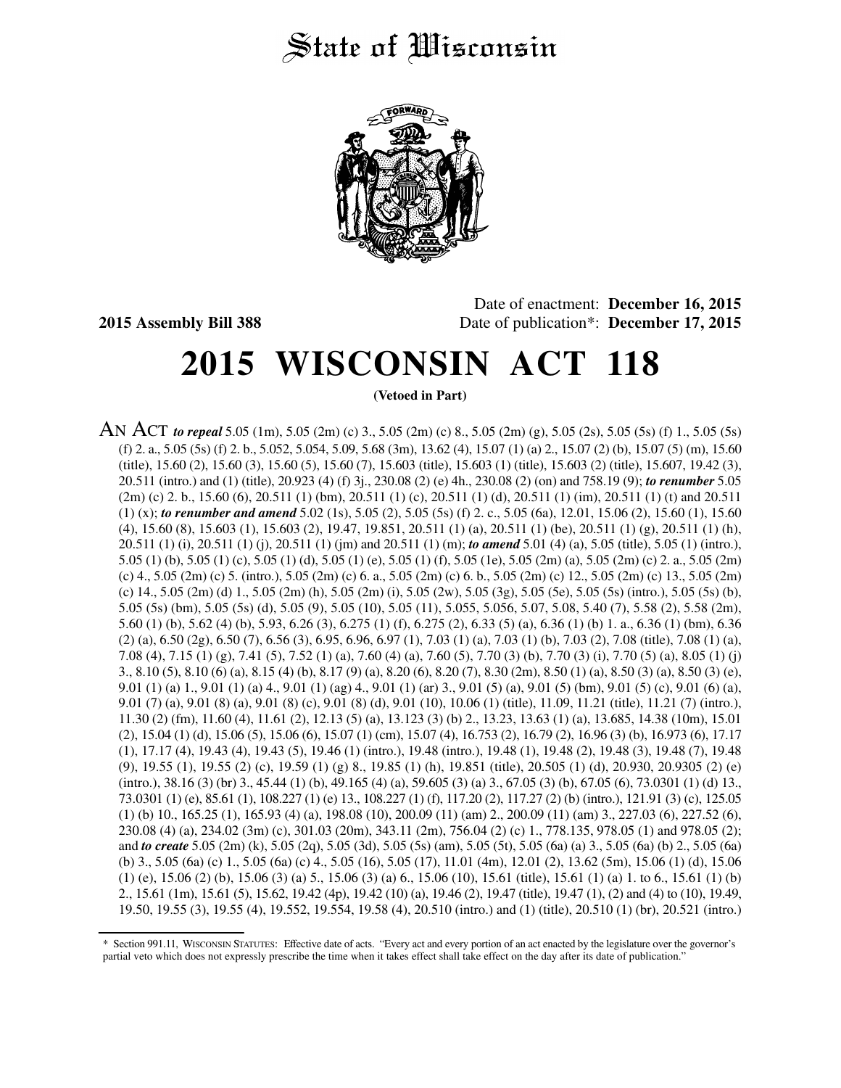## State of *Wisconsin*



Date of enactment: **December 16, 2015 2015 Assembly Bill 388** Date of publication\*: **December 17, 2015**

# **2015 WISCONSIN ACT 118**

**(Vetoed in Part)**

AN ACT *to repeal* 5.05 (1m), 5.05 (2m) (c) 3., 5.05 (2m) (c) 8., 5.05 (2m) (g), 5.05 (2s), 5.05 (5s) (f) 1., 5.05 (5s) (f) 2. a., 5.05 (5s) (f) 2. b., 5.052, 5.054, 5.09, 5.68 (3m), 13.62 (4), 15.07 (1) (a) 2., 15.07 (2) (b), 15.07 (5) (m), 15.60 (title), 15.60 (2), 15.60 (3), 15.60 (5), 15.60 (7), 15.603 (title), 15.603 (1) (title), 15.603 (2) (title), 15.607, 19.42 (3), 20.511 (intro.) and (1) (title), 20.923 (4) (f) 3j., 230.08 (2) (e) 4h., 230.08 (2) (on) and 758.19 (9); *to renumber* 5.05 (2m) (c) 2. b., 15.60 (6), 20.511 (1) (bm), 20.511 (1) (c), 20.511 (1) (d), 20.511 (1) (im), 20.511 (1) (t) and 20.511 (1) (x); *to renumber and amend* 5.02 (1s), 5.05 (2), 5.05 (5s) (f) 2. c., 5.05 (6a), 12.01, 15.06 (2), 15.60 (1), 15.60 (4), 15.60 (8), 15.603 (1), 15.603 (2), 19.47, 19.851, 20.511 (1) (a), 20.511 (1) (be), 20.511 (1) (g), 20.511 (1) (h), 20.511 (1) (i), 20.511 (1) (j), 20.511 (1) (jm) and 20.511 (1) (m); *to amend* 5.01 (4) (a), 5.05 (title), 5.05 (1) (intro.), 5.05 (1) (b), 5.05 (1) (c), 5.05 (1) (d), 5.05 (1) (e), 5.05 (1) (f), 5.05 (1e), 5.05 (2m) (a), 5.05 (2m) (c) 2. a., 5.05 (2m) (c) 4., 5.05 (2m) (c) 5. (intro.), 5.05 (2m) (c) 6. a., 5.05 (2m) (c) 6. b., 5.05 (2m) (c) 12., 5.05 (2m) (c) 13., 5.05 (2m) (c) 14., 5.05 (2m) (d) 1., 5.05 (2m) (h), 5.05 (2m) (i), 5.05 (2w), 5.05 (3g), 5.05 (5e), 5.05 (5s) (intro.), 5.05 (5s) (b), 5.05 (5s) (bm), 5.05 (5s) (d), 5.05 (9), 5.05 (10), 5.05 (11), 5.055, 5.056, 5.07, 5.08, 5.40 (7), 5.58 (2), 5.58 (2m), 5.60 (1) (b), 5.62 (4) (b), 5.93, 6.26 (3), 6.275 (1) (f), 6.275 (2), 6.33 (5) (a), 6.36 (1) (b) 1. a., 6.36 (1) (bm), 6.36  $(2)$  (a),  $6.50$  ( $2g$ ),  $6.50$  ( $7$ ),  $6.56$  ( $3$ ),  $6.95$ ,  $6.96$ ,  $6.97$  (1),  $7.03$  (1) (a),  $7.03$  (1) (b),  $7.03$  (2),  $7.08$  (title),  $7.08$  (1) (a), 7.08 (4), 7.15 (1) (g), 7.41 (5), 7.52 (1) (a), 7.60 (4) (a), 7.60 (5), 7.70 (3) (b), 7.70 (3) (i), 7.70 (5) (a), 8.05 (1) (j) 3., 8.10 (5), 8.10 (6) (a), 8.15 (4) (b), 8.17 (9) (a), 8.20 (6), 8.20 (7), 8.30 (2m), 8.50 (1) (a), 8.50 (3) (a), 8.50 (3) (e), 9.01 (1) (a) 1., 9.01 (1) (a) 4., 9.01 (1) (ag) 4., 9.01 (1) (ar) 3., 9.01 (5) (a), 9.01 (5) (bm), 9.01 (5) (c), 9.01 (6) (a), 9.01 (7) (a), 9.01 (8) (a), 9.01 (8) (c), 9.01 (8) (d), 9.01 (10), 10.06 (1) (title), 11.09, 11.21 (title), 11.21 (7) (intro.), 11.30 (2) (fm), 11.60 (4), 11.61 (2), 12.13 (5) (a), 13.123 (3) (b) 2., 13.23, 13.63 (1) (a), 13.685, 14.38 (10m), 15.01 (2), 15.04 (1) (d), 15.06 (5), 15.06 (6), 15.07 (1) (cm), 15.07 (4), 16.753 (2), 16.79 (2), 16.96 (3) (b), 16.973 (6), 17.17 (1), 17.17 (4), 19.43 (4), 19.43 (5), 19.46 (1) (intro.), 19.48 (intro.), 19.48 (1), 19.48 (2), 19.48 (3), 19.48 (7), 19.48 (9), 19.55 (1), 19.55 (2) (c), 19.59 (1) (g) 8., 19.85 (1) (h), 19.851 (title), 20.505 (1) (d), 20.930, 20.9305 (2) (e) (intro.), 38.16 (3) (br) 3., 45.44 (1) (b), 49.165 (4) (a), 59.605 (3) (a) 3., 67.05 (3) (b), 67.05 (6), 73.0301 (1) (d) 13., 73.0301 (1) (e), 85.61 (1), 108.227 (1) (e) 13., 108.227 (1) (f), 117.20 (2), 117.27 (2) (b) (intro.), 121.91 (3) (c), 125.05 (1) (b) 10., 165.25 (1), 165.93 (4) (a), 198.08 (10), 200.09 (11) (am) 2., 200.09 (11) (am) 3., 227.03 (6), 227.52 (6), 230.08 (4) (a), 234.02 (3m) (c), 301.03 (20m), 343.11 (2m), 756.04 (2) (c) 1., 778.135, 978.05 (1) and 978.05 (2); and *to create* 5.05 (2m) (k), 5.05 (2q), 5.05 (3d), 5.05 (5s) (am), 5.05 (5t), 5.05 (6a) (a) 3., 5.05 (6a) (b) 2., 5.05 (6a) (b) 3., 5.05 (6a) (c) 1., 5.05 (6a) (c) 4., 5.05 (16), 5.05 (17), 11.01 (4m), 12.01 (2), 13.62 (5m), 15.06 (1) (d), 15.06 (1) (e),  $15.06$  (2) (b),  $15.06$  (3) (a) 5.,  $15.06$  (3) (a) 6.,  $15.06$  (10),  $15.61$  (title),  $15.61$  (1) (a) 1. to 6.,  $15.61$  (1) (b) 2., 15.61 (1m), 15.61 (5), 15.62, 19.42 (4p), 19.42 (10) (a), 19.46 (2), 19.47 (title), 19.47 (1), (2) and (4) to (10), 19.49, 19.50, 19.55 (3), 19.55 (4), 19.552, 19.554, 19.58 (4), 20.510 (intro.) and (1) (title), 20.510 (1) (br), 20.521 (intro.)

<sup>\*</sup> Section 991.11, WISCONSIN STATUTES: Effective date of acts. "Every act and every portion of an act enacted by the legislature over the governor's partial veto which does not expressly prescribe the time when it takes effect shall take effect on the day after its date of publication."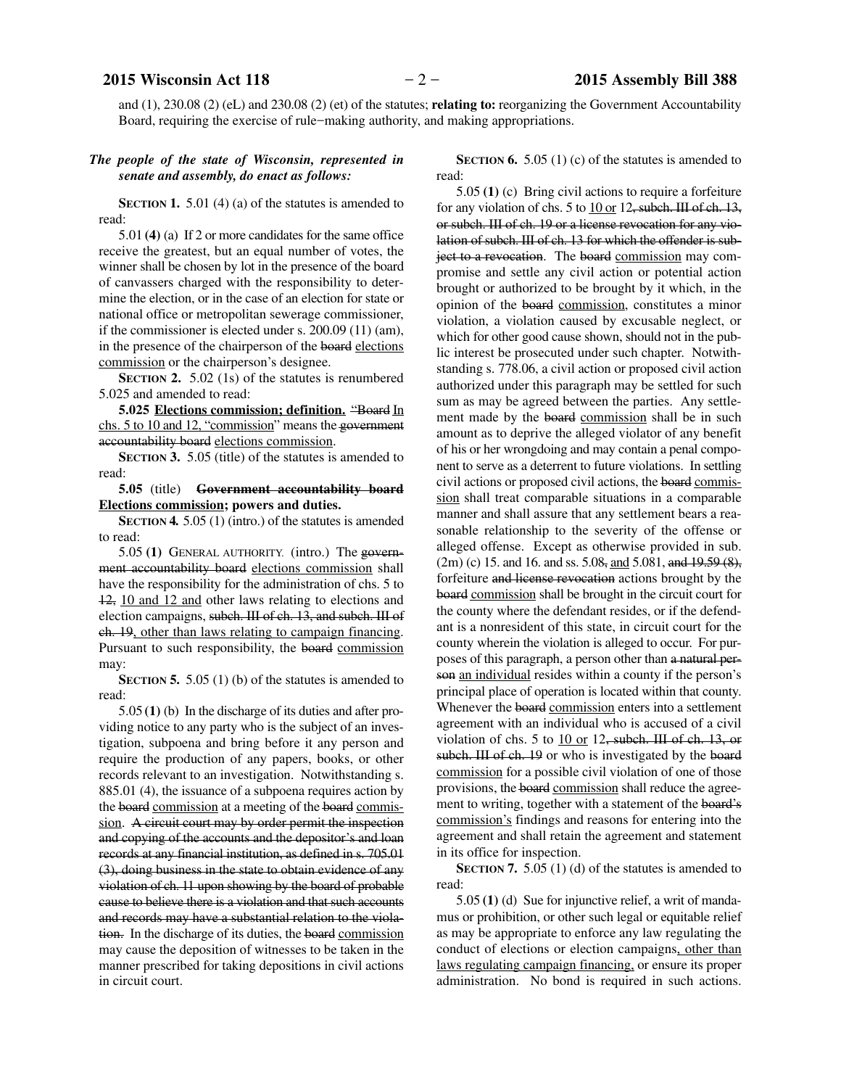and (1), 230.08 (2) (eL) and 230.08 (2) (et) of the statutes; **relating to:** reorganizing the Government Accountability Board, requiring the exercise of rule−making authority, and making appropriations.

### *The people of the state of Wisconsin, represented in senate and assembly, do enact as follows:*

**SECTION 1.** 5.01 (4) (a) of the statutes is amended to read:

5.01 **(4)** (a) If 2 or more candidates for the same office receive the greatest, but an equal number of votes, the winner shall be chosen by lot in the presence of the board of canvassers charged with the responsibility to determine the election, or in the case of an election for state or national office or metropolitan sewerage commissioner, if the commissioner is elected under s. 200.09 (11) (am), in the presence of the chairperson of the board elections commission or the chairperson's designee.

**SECTION 2.** 5.02 (1s) of the statutes is renumbered 5.025 and amended to read:

**5.025 Elections commission; definition.** "Board In chs. 5 to 10 and 12, "commission" means the government accountability board elections commission.

**SECTION 3.** 5.05 (title) of the statutes is amended to read:

**5.05** (title) **Government accountability board Elections commission; powers and duties.**

**SECTION 4.** 5.05 (1) (intro.) of the statutes is amended to read:

5.05 **(1)** GENERAL AUTHORITY. (intro.) The government accountability board elections commission shall have the responsibility for the administration of chs. 5 to 12, 10 and 12 and other laws relating to elections and election campaigns, subch. III of ch. 13, and subch. III of ch. 19, other than laws relating to campaign financing. Pursuant to such responsibility, the board commission may:

**SECTION 5.** 5.05 (1) (b) of the statutes is amended to read:

5.05 **(1)** (b) In the discharge of its duties and after providing notice to any party who is the subject of an investigation, subpoena and bring before it any person and require the production of any papers, books, or other records relevant to an investigation. Notwithstanding s. 885.01 (4), the issuance of a subpoena requires action by the board commission at a meeting of the board commission. A circuit court may by order permit the inspection and copying of the accounts and the depositor's and loan records at any financial institution, as defined in s. 705.01 (3), doing business in the state to obtain evidence of any violation of ch. 11 upon showing by the board of probable cause to believe there is a violation and that such accounts and records may have a substantial relation to the violation. In the discharge of its duties, the board commission may cause the deposition of witnesses to be taken in the manner prescribed for taking depositions in civil actions in circuit court.

**SECTION 6.** 5.05 (1) (c) of the statutes is amended to read:

5.05 **(1)** (c) Bring civil actions to require a forfeiture for any violation of chs. 5 to 10 or 12, subch. III of ch. 13, or subch. III of ch. 19 or a license revocation for any violation of subch. III of ch. 13 for which the offender is subject to a revocation. The board commission may compromise and settle any civil action or potential action brought or authorized to be brought by it which, in the opinion of the board commission, constitutes a minor violation, a violation caused by excusable neglect, or which for other good cause shown, should not in the public interest be prosecuted under such chapter. Notwithstanding s. 778.06, a civil action or proposed civil action authorized under this paragraph may be settled for such sum as may be agreed between the parties. Any settlement made by the board commission shall be in such amount as to deprive the alleged violator of any benefit of his or her wrongdoing and may contain a penal component to serve as a deterrent to future violations. In settling civil actions or proposed civil actions, the board commission shall treat comparable situations in a comparable manner and shall assure that any settlement bears a reasonable relationship to the severity of the offense or alleged offense. Except as otherwise provided in sub.  $(2m)$  (c) 15. and 16. and ss. 5.08, and 5.081, and 19.59 (8), forfeiture and license revocation actions brought by the board commission shall be brought in the circuit court for the county where the defendant resides, or if the defendant is a nonresident of this state, in circuit court for the county wherein the violation is alleged to occur. For purposes of this paragraph, a person other than a natural person an individual resides within a county if the person's principal place of operation is located within that county. Whenever the board commission enters into a settlement agreement with an individual who is accused of a civil violation of chs. 5 to  $10$  or 12, subch. III of ch. 13, or subch. III of ch. 19 or who is investigated by the board commission for a possible civil violation of one of those provisions, the board commission shall reduce the agreement to writing, together with a statement of the board's commission's findings and reasons for entering into the agreement and shall retain the agreement and statement in its office for inspection.

**SECTION 7.** 5.05 (1) (d) of the statutes is amended to read:

5.05 **(1)** (d) Sue for injunctive relief, a writ of mandamus or prohibition, or other such legal or equitable relief as may be appropriate to enforce any law regulating the conduct of elections or election campaigns, other than laws regulating campaign financing, or ensure its proper administration. No bond is required in such actions.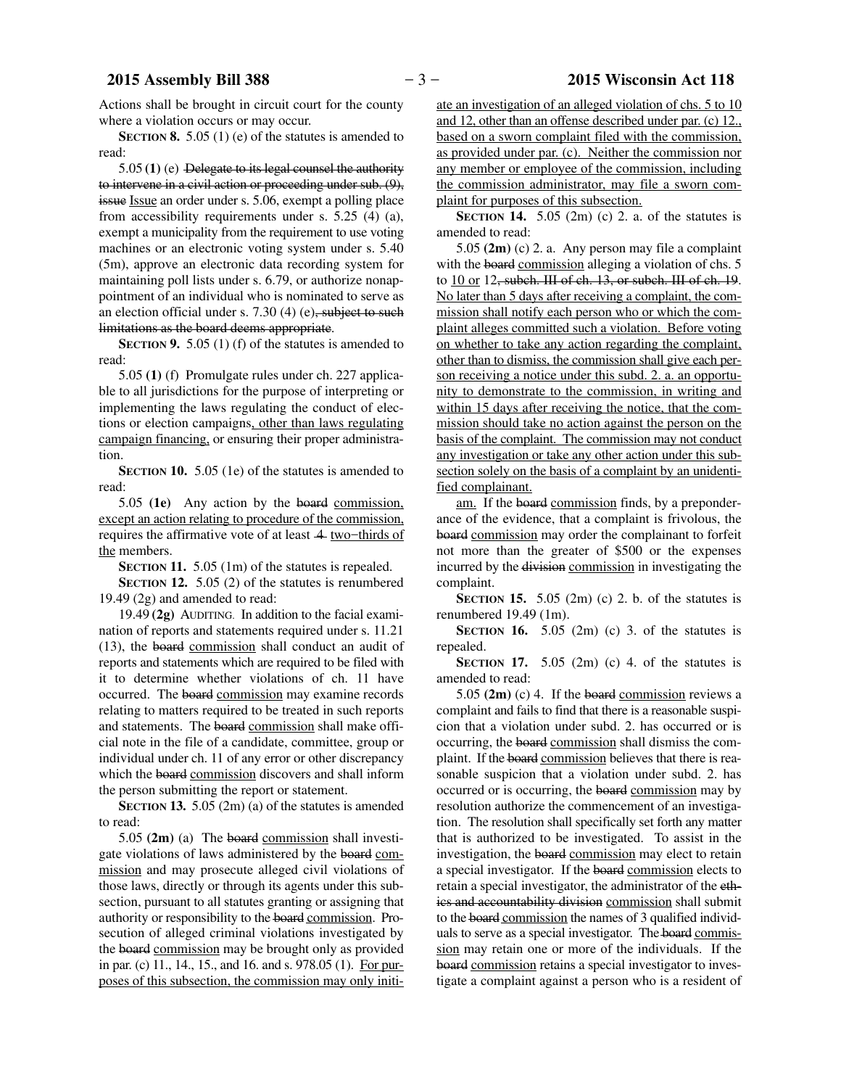### **2015 Assembly Bill 388**  $-3-$  **2015 Wisconsin Act 118**

Actions shall be brought in circuit court for the county where a violation occurs or may occur.

**SECTION 8.** 5.05 (1) (e) of the statutes is amended to read:

5.05 **(1)** (e) Delegate to its legal counsel the authority to intervene in a civil action or proceeding under sub. (9), issue Issue an order under s. 5.06, exempt a polling place from accessibility requirements under s. 5.25 (4) (a), exempt a municipality from the requirement to use voting machines or an electronic voting system under s. 5.40 (5m), approve an electronic data recording system for maintaining poll lists under s. 6.79, or authorize nonappointment of an individual who is nominated to serve as an election official under s.  $7.30(4)(e)$ , subject to such limitations as the board deems appropriate.

**SECTION 9.** 5.05 (1) (f) of the statutes is amended to read:

5.05 **(1)** (f) Promulgate rules under ch. 227 applicable to all jurisdictions for the purpose of interpreting or implementing the laws regulating the conduct of elections or election campaigns, other than laws regulating campaign financing, or ensuring their proper administration.

**SECTION 10.** 5.05 (1e) of the statutes is amended to read:

5.05 **(1e)** Any action by the board commission, except an action relating to procedure of the commission, requires the affirmative vote of at least 4 two−thirds of the members.

**SECTION 11.** 5.05 (1m) of the statutes is repealed.

**SECTION 12.** 5.05 (2) of the statutes is renumbered 19.49 (2g) and amended to read:

19.49 **(2g)** AUDITING. In addition to the facial examination of reports and statements required under s. 11.21 (13), the board commission shall conduct an audit of reports and statements which are required to be filed with it to determine whether violations of ch. 11 have occurred. The board commission may examine records relating to matters required to be treated in such reports and statements. The board commission shall make official note in the file of a candidate, committee, group or individual under ch. 11 of any error or other discrepancy which the board commission discovers and shall inform the person submitting the report or statement.

**SECTION 13.** 5.05 (2m) (a) of the statutes is amended to read:

5.05 **(2m)** (a) The board commission shall investigate violations of laws administered by the board commission and may prosecute alleged civil violations of those laws, directly or through its agents under this subsection, pursuant to all statutes granting or assigning that authority or responsibility to the board commission. Prosecution of alleged criminal violations investigated by the board commission may be brought only as provided in par. (c) 11., 14., 15., and 16. and s. 978.05 (1). For purposes of this subsection, the commission may only initiate an investigation of an alleged violation of chs. 5 to 10 and 12, other than an offense described under par. (c) 12., based on a sworn complaint filed with the commission, as provided under par. (c). Neither the commission nor any member or employee of the commission, including the commission administrator, may file a sworn complaint for purposes of this subsection.

**SECTION 14.** 5.05 (2m) (c) 2. a. of the statutes is amended to read:

5.05 **(2m)** (c) 2. a. Any person may file a complaint with the board commission alleging a violation of chs. 5 to 10 or 12, subch. III of ch. 13, or subch. III of ch. 19. No later than 5 days after receiving a complaint, the commission shall notify each person who or which the complaint alleges committed such a violation. Before voting on whether to take any action regarding the complaint, other than to dismiss, the commission shall give each person receiving a notice under this subd. 2. a. an opportunity to demonstrate to the commission, in writing and within 15 days after receiving the notice, that the commission should take no action against the person on the basis of the complaint. The commission may not conduct any investigation or take any other action under this subsection solely on the basis of a complaint by an unidentified complainant.

am. If the board commission finds, by a preponderance of the evidence, that a complaint is frivolous, the board commission may order the complainant to forfeit not more than the greater of \$500 or the expenses incurred by the division commission in investigating the complaint.

**SECTION** 15.  $5.05$  (2m) (c) 2. b. of the statutes is renumbered 19.49 (1m).

**SECTION** 16.  $5.05$  (2m) (c) 3. of the statutes is repealed.

**SECTION** 17.  $5.05$  (2m) (c) 4. of the statutes is amended to read:

5.05 **(2m)** (c) 4. If the board commission reviews a complaint and fails to find that there is a reasonable suspicion that a violation under subd. 2. has occurred or is occurring, the board commission shall dismiss the complaint. If the board commission believes that there is reasonable suspicion that a violation under subd. 2. has occurred or is occurring, the board commission may by resolution authorize the commencement of an investigation. The resolution shall specifically set forth any matter that is authorized to be investigated. To assist in the investigation, the board commission may elect to retain a special investigator. If the board commission elects to retain a special investigator, the administrator of the ethics and accountability division commission shall submit to the board commission the names of 3 qualified individuals to serve as a special investigator. The board commission may retain one or more of the individuals. If the board commission retains a special investigator to investigate a complaint against a person who is a resident of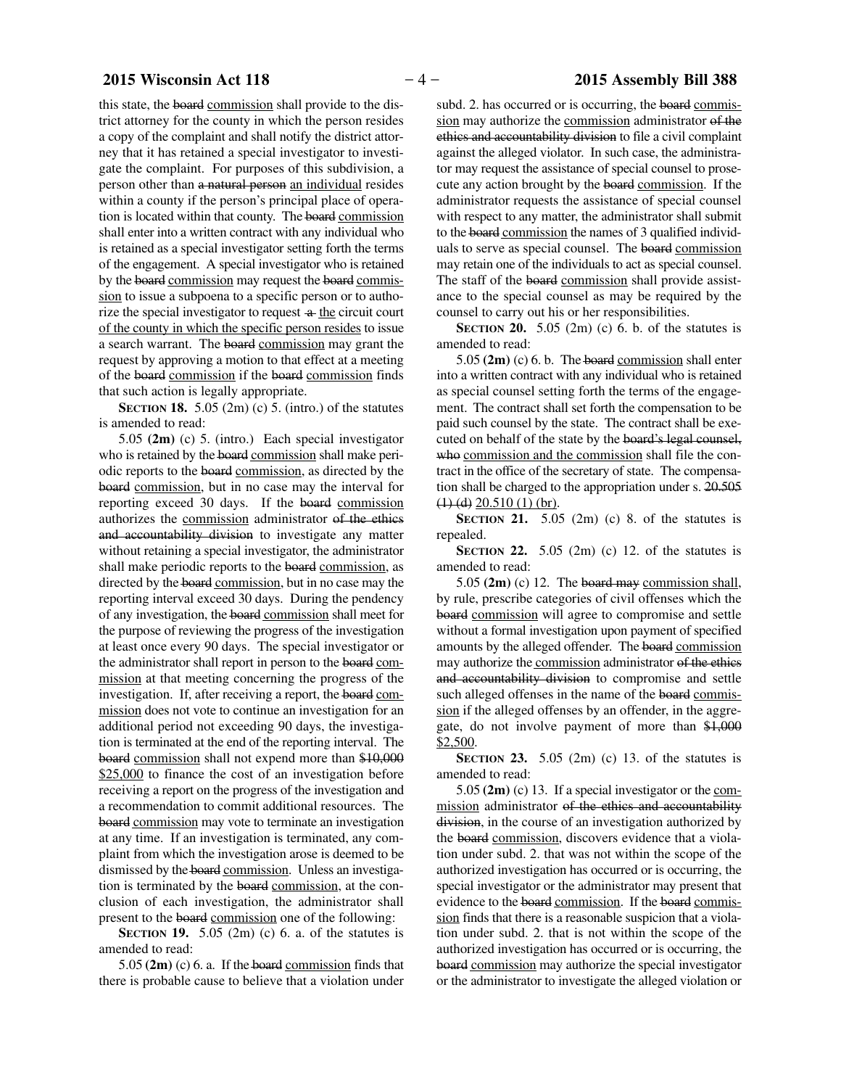this state, the board commission shall provide to the district attorney for the county in which the person resides a copy of the complaint and shall notify the district attorney that it has retained a special investigator to investigate the complaint. For purposes of this subdivision, a person other than a natural person an individual resides within a county if the person's principal place of operation is located within that county. The board commission shall enter into a written contract with any individual who is retained as a special investigator setting forth the terms of the engagement. A special investigator who is retained by the board commission may request the board commission to issue a subpoena to a specific person or to authorize the special investigator to request  $\alpha$  the circuit court of the county in which the specific person resides to issue a search warrant. The board commission may grant the request by approving a motion to that effect at a meeting of the board commission if the board commission finds that such action is legally appropriate.

**SECTION 18.** 5.05 (2m) (c) 5. (intro.) of the statutes is amended to read:

5.05 **(2m)** (c) 5. (intro.) Each special investigator who is retained by the board commission shall make periodic reports to the board commission, as directed by the board commission, but in no case may the interval for reporting exceed 30 days. If the board commission authorizes the commission administrator of the ethics and accountability division to investigate any matter without retaining a special investigator, the administrator shall make periodic reports to the board commission, as directed by the board commission, but in no case may the reporting interval exceed 30 days. During the pendency of any investigation, the board commission shall meet for the purpose of reviewing the progress of the investigation at least once every 90 days. The special investigator or the administrator shall report in person to the board commission at that meeting concerning the progress of the investigation. If, after receiving a report, the board commission does not vote to continue an investigation for an additional period not exceeding 90 days, the investigation is terminated at the end of the reporting interval. The board commission shall not expend more than \$10,000 \$25,000 to finance the cost of an investigation before receiving a report on the progress of the investigation and a recommendation to commit additional resources. The board commission may vote to terminate an investigation at any time. If an investigation is terminated, any complaint from which the investigation arose is deemed to be dismissed by the board commission. Unless an investigation is terminated by the board commission, at the conclusion of each investigation, the administrator shall present to the board commission one of the following:

**SECTION 19.** 5.05 (2m) (c) 6. a. of the statutes is amended to read:

5.05 **(2m)** (c) 6. a. If the board commission finds that there is probable cause to believe that a violation under

subd. 2. has occurred or is occurring, the board commission may authorize the commission administrator of the ethics and accountability division to file a civil complaint against the alleged violator. In such case, the administrator may request the assistance of special counsel to prosecute any action brought by the board commission. If the administrator requests the assistance of special counsel with respect to any matter, the administrator shall submit to the board commission the names of 3 qualified individuals to serve as special counsel. The board commission may retain one of the individuals to act as special counsel. The staff of the board commission shall provide assistance to the special counsel as may be required by the counsel to carry out his or her responsibilities.

**SECTION 20.** 5.05 (2m) (c) 6. b. of the statutes is amended to read:

5.05 **(2m)** (c) 6. b. The board commission shall enter into a written contract with any individual who is retained as special counsel setting forth the terms of the engagement. The contract shall set forth the compensation to be paid such counsel by the state. The contract shall be executed on behalf of the state by the board's legal counsel, who commission and the commission shall file the contract in the office of the secretary of state. The compensation shall be charged to the appropriation under s. 20.505  $(1)$   $(d)$  20.510  $(1)$  (br).

**SECTION 21.** 5.05 (2m) (c) 8. of the statutes is repealed.

**SECTION 22.** 5.05 (2m) (c) 12. of the statutes is amended to read:

5.05 **(2m)** (c) 12. The board may commission shall, by rule, prescribe categories of civil offenses which the board commission will agree to compromise and settle without a formal investigation upon payment of specified amounts by the alleged offender. The board commission may authorize the commission administrator of the ethics and accountability division to compromise and settle such alleged offenses in the name of the board commission if the alleged offenses by an offender, in the aggregate, do not involve payment of more than \$1,000 \$2,500.

**SECTION 23.** 5.05 (2m) (c) 13. of the statutes is amended to read:

5.05 **(2m)** (c) 13. If a special investigator or the commission administrator of the ethics and accountability division, in the course of an investigation authorized by the board commission, discovers evidence that a violation under subd. 2. that was not within the scope of the authorized investigation has occurred or is occurring, the special investigator or the administrator may present that evidence to the board commission. If the board commission finds that there is a reasonable suspicion that a violation under subd. 2. that is not within the scope of the authorized investigation has occurred or is occurring, the board commission may authorize the special investigator or the administrator to investigate the alleged violation or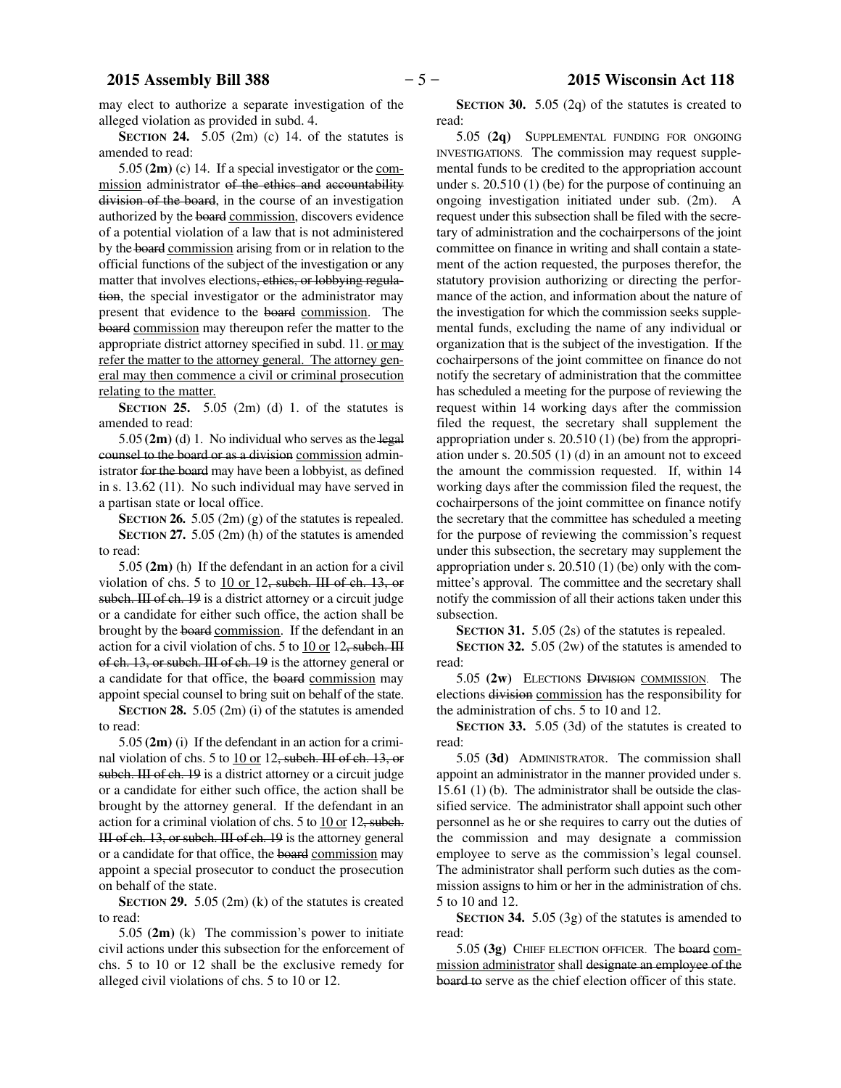may elect to authorize a separate investigation of the alleged violation as provided in subd. 4.

**SECTION 24.** 5.05 (2m) (c) 14. of the statutes is amended to read:

5.05 **(2m)** (c) 14. If a special investigator or the commission administrator of the ethics and accountability division of the board, in the course of an investigation authorized by the board commission, discovers evidence of a potential violation of a law that is not administered by the board commission arising from or in relation to the official functions of the subject of the investigation or any matter that involves elections, ethics, or lobbying regulation, the special investigator or the administrator may present that evidence to the board commission. The board commission may thereupon refer the matter to the appropriate district attorney specified in subd. 11. or may refer the matter to the attorney general. The attorney general may then commence a civil or criminal prosecution relating to the matter.

**SECTION 25.** 5.05 (2m) (d) 1. of the statutes is amended to read:

5.05 **(2m)** (d) 1. No individual who serves as the legal counsel to the board or as a division commission administrator for the board may have been a lobbyist, as defined in s. 13.62 (11). No such individual may have served in a partisan state or local office.

**SECTION 26.** 5.05 (2m) (g) of the statutes is repealed. **SECTION 27.** 5.05 (2m) (h) of the statutes is amended to read:

5.05 **(2m)** (h) If the defendant in an action for a civil violation of chs. 5 to  $10$  or 12, subch. III of ch. 13, or subch. III of ch. 19 is a district attorney or a circuit judge or a candidate for either such office, the action shall be brought by the board commission. If the defendant in an action for a civil violation of chs. 5 to 10 or 12, subch. III of ch. 13, or subch. III of ch. 19 is the attorney general or a candidate for that office, the board commission may appoint special counsel to bring suit on behalf of the state.

**SECTION 28.** 5.05 (2m) (i) of the statutes is amended to read:

5.05 **(2m)** (i) If the defendant in an action for a criminal violation of chs. 5 to 10 or 12, subch. III of ch. 13, or subch. III of ch. 19 is a district attorney or a circuit judge or a candidate for either such office, the action shall be brought by the attorney general. If the defendant in an action for a criminal violation of chs. 5 to  $10$  or  $12$ , subch. III of ch. 13, or subch. III of ch. 19 is the attorney general or a candidate for that office, the board commission may appoint a special prosecutor to conduct the prosecution on behalf of the state.

**SECTION 29.** 5.05 (2m) (k) of the statutes is created to read:

5.05 **(2m)** (k) The commission's power to initiate civil actions under this subsection for the enforcement of chs. 5 to 10 or 12 shall be the exclusive remedy for alleged civil violations of chs. 5 to 10 or 12.

**SECTION 30.** 5.05 (2q) of the statutes is created to read:

5.05 **(2q)** SUPPLEMENTAL FUNDING FOR ONGOING INVESTIGATIONS. The commission may request supplemental funds to be credited to the appropriation account under s. 20.510 (1) (be) for the purpose of continuing an ongoing investigation initiated under sub. (2m). A request under this subsection shall be filed with the secretary of administration and the cochairpersons of the joint committee on finance in writing and shall contain a statement of the action requested, the purposes therefor, the statutory provision authorizing or directing the performance of the action, and information about the nature of the investigation for which the commission seeks supplemental funds, excluding the name of any individual or organization that is the subject of the investigation. If the cochairpersons of the joint committee on finance do not notify the secretary of administration that the committee has scheduled a meeting for the purpose of reviewing the request within 14 working days after the commission filed the request, the secretary shall supplement the appropriation under s. 20.510 (1) (be) from the appropriation under s. 20.505 (1) (d) in an amount not to exceed the amount the commission requested. If, within 14 working days after the commission filed the request, the cochairpersons of the joint committee on finance notify the secretary that the committee has scheduled a meeting for the purpose of reviewing the commission's request under this subsection, the secretary may supplement the appropriation under s. 20.510 (1) (be) only with the committee's approval. The committee and the secretary shall notify the commission of all their actions taken under this subsection.

**SECTION 31.** 5.05 (2s) of the statutes is repealed.

**SECTION 32.** 5.05 (2w) of the statutes is amended to read:

5.05 **(2w)** ELECTIONS DIVISION COMMISSION. The elections division commission has the responsibility for the administration of chs. 5 to 10 and 12.

**SECTION 33.** 5.05 (3d) of the statutes is created to read:

5.05 **(3d)** ADMINISTRATOR. The commission shall appoint an administrator in the manner provided under s. 15.61 (1) (b). The administrator shall be outside the classified service. The administrator shall appoint such other personnel as he or she requires to carry out the duties of the commission and may designate a commission employee to serve as the commission's legal counsel. The administrator shall perform such duties as the commission assigns to him or her in the administration of chs. 5 to 10 and 12.

**SECTION 34.** 5.05 (3g) of the statutes is amended to read:

5.05 **(3g)** CHIEF ELECTION OFFICER. The board commission administrator shall designate an employee of the board to serve as the chief election officer of this state.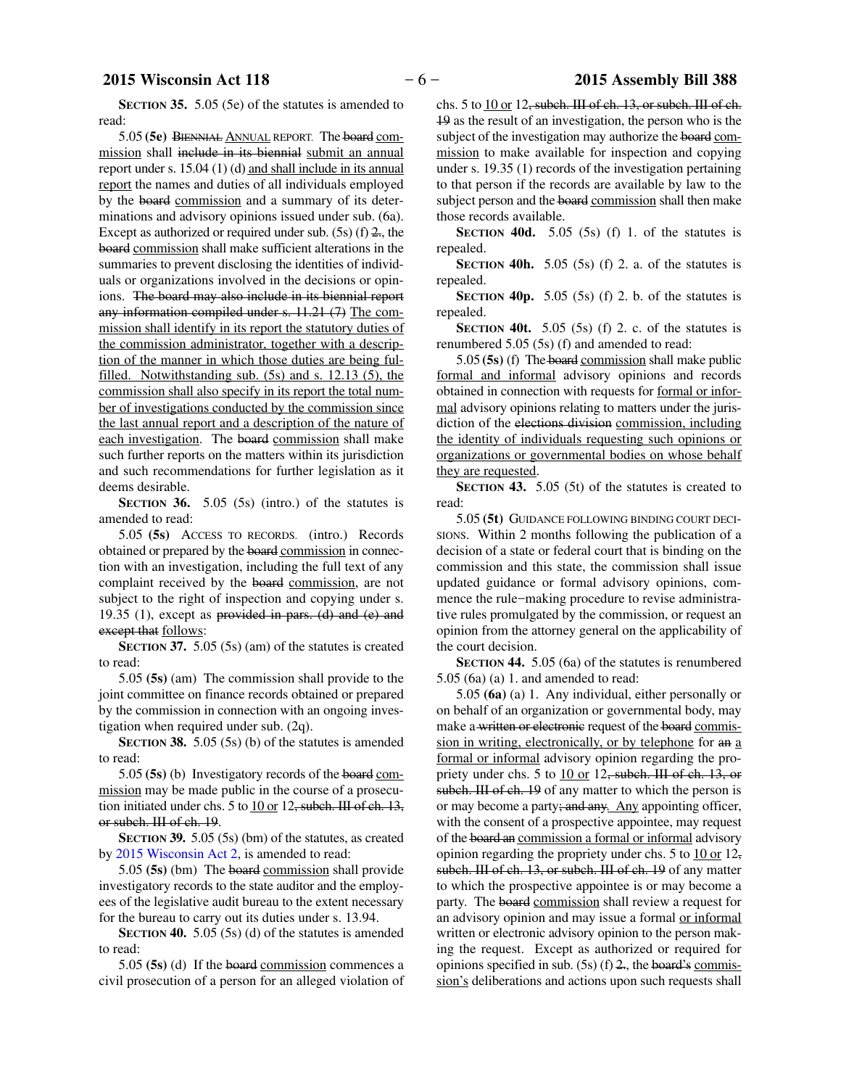### **2015 Wisconsin Act 118** − 6 − **2015 Assembly Bill 388**

5.05 **(5e)** BIENNIAL ANNUAL REPORT. The board commission shall include in its biennial submit an annual report under s. 15.04 (1) (d) and shall include in its annual report the names and duties of all individuals employed by the board commission and a summary of its determinations and advisory opinions issued under sub. (6a). Except as authorized or required under sub.  $(5s)$  (f)  $2$ , the board commission shall make sufficient alterations in the summaries to prevent disclosing the identities of individuals or organizations involved in the decisions or opinions. The board may also include in its biennial report any information compiled under s. 11.21 (7) The commission shall identify in its report the statutory duties of the commission administrator, together with a description of the manner in which those duties are being fulfilled. Notwithstanding sub. (5s) and s. 12.13 (5), the commission shall also specify in its report the total number of investigations conducted by the commission since the last annual report and a description of the nature of each investigation. The board commission shall make such further reports on the matters within its jurisdiction and such recommendations for further legislation as it deems desirable.

**SECTION 36.** 5.05 (5s) (intro.) of the statutes is amended to read:

5.05 **(5s)** ACCESS TO RECORDS. (intro.) Records obtained or prepared by the board commission in connection with an investigation, including the full text of any complaint received by the board commission, are not subject to the right of inspection and copying under s. 19.35 (1), except as provided in pars. (d) and  $(e)$  and except that follows:

**SECTION 37.** 5.05 (5s) (am) of the statutes is created to read:

5.05 **(5s)** (am) The commission shall provide to the joint committee on finance records obtained or prepared by the commission in connection with an ongoing investigation when required under sub. (2q).

**SECTION 38.** 5.05 (5s) (b) of the statutes is amended to read:

5.05 **(5s)** (b) Investigatory records of the board commission may be made public in the course of a prosecution initiated under chs. 5 to  $\underline{10}$  or  $12$ , subch. III of ch. 13, or subch. III of ch. 19.

**SECTION 39.** 5.05 (5s) (bm) of the statutes, as created by 2015 Wisconsin Act 2, is amended to read:

5.05 **(5s)** (bm) The board commission shall provide investigatory records to the state auditor and the employees of the legislative audit bureau to the extent necessary for the bureau to carry out its duties under s. 13.94.

**SECTION 40.** 5.05 (5s) (d) of the statutes is amended to read:

5.05 **(5s)** (d) If the board commission commences a civil prosecution of a person for an alleged violation of chs. 5 to 10 or 12, subch. III of ch. 13, or subch. III of ch. 19 as the result of an investigation, the person who is the subject of the investigation may authorize the board commission to make available for inspection and copying under s. 19.35 (1) records of the investigation pertaining to that person if the records are available by law to the subject person and the board commission shall then make those records available.

**SECTION** 40d.  $5.05$  (5s) (f) 1. of the statutes is repealed.

**SECTION 40h.** 5.05 (5s) (f) 2. a. of the statutes is repealed.

**SECTION 40p.** 5.05 (5s) (f) 2. b. of the statutes is repealed.

**SECTION 40t.** 5.05 (5s) (f) 2. c. of the statutes is renumbered 5.05 (5s) (f) and amended to read:

5.05 **(5s)** (f) The board commission shall make public formal and informal advisory opinions and records obtained in connection with requests for formal or informal advisory opinions relating to matters under the jurisdiction of the elections division commission, including the identity of individuals requesting such opinions or organizations or governmental bodies on whose behalf they are requested.

**SECTION 43.** 5.05 (5t) of the statutes is created to read:

5.05 **(5t)** GUIDANCE FOLLOWING BINDING COURT DECI-SIONS. Within 2 months following the publication of a decision of a state or federal court that is binding on the commission and this state, the commission shall issue updated guidance or formal advisory opinions, commence the rule−making procedure to revise administrative rules promulgated by the commission, or request an opinion from the attorney general on the applicability of the court decision.

**SECTION 44.** 5.05 (6a) of the statutes is renumbered 5.05 (6a) (a) 1. and amended to read:

5.05 **(6a)** (a) 1. Any individual, either personally or on behalf of an organization or governmental body, may make a written or electronic request of the board commission in writing, electronically, or by telephone for an a formal or informal advisory opinion regarding the propriety under chs. 5 to 10 or 12, subch. III of ch. 13, or subch. III of ch. 19 of any matter to which the person is or may become a party; and any. Any appointing officer, with the consent of a prospective appointee, may request of the board an commission a formal or informal advisory opinion regarding the propriety under chs. 5 to  $10$  or  $12$ , subch. III of ch. 13, or subch. III of ch. 19 of any matter to which the prospective appointee is or may become a party. The board commission shall review a request for an advisory opinion and may issue a formal or informal written or electronic advisory opinion to the person making the request. Except as authorized or required for opinions specified in sub.  $(5s)$  (f)  $2$ , the board's commission's deliberations and actions upon such requests shall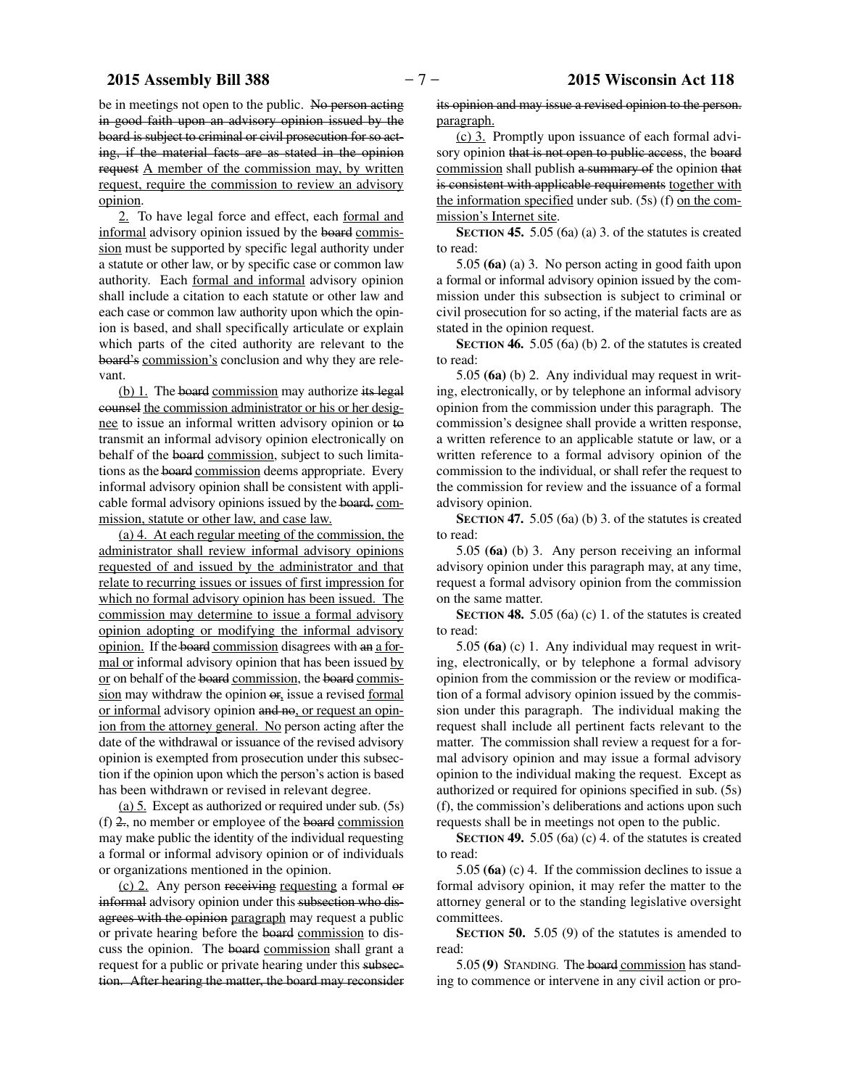be in meetings not open to the public. No person acting in good faith upon an advisory opinion issued by the board is subject to criminal or civil prosecution for so acting, if the material facts are as stated in the opinion request A member of the commission may, by written request, require the commission to review an advisory opinion.

2. To have legal force and effect, each formal and informal advisory opinion issued by the board commission must be supported by specific legal authority under a statute or other law, or by specific case or common law authority. Each formal and informal advisory opinion shall include a citation to each statute or other law and each case or common law authority upon which the opinion is based, and shall specifically articulate or explain which parts of the cited authority are relevant to the board's commission's conclusion and why they are relevant.

(b) 1. The board commission may authorize its legal counsel the commission administrator or his or her designee to issue an informal written advisory opinion or to transmit an informal advisory opinion electronically on behalf of the board commission, subject to such limitations as the board commission deems appropriate. Every informal advisory opinion shall be consistent with applicable formal advisory opinions issued by the board. commission, statute or other law, and case law.

(a) 4. At each regular meeting of the commission, the administrator shall review informal advisory opinions requested of and issued by the administrator and that relate to recurring issues or issues of first impression for which no formal advisory opinion has been issued. The commission may determine to issue a formal advisory opinion adopting or modifying the informal advisory opinion. If the board commission disagrees with an a formal or informal advisory opinion that has been issued by or on behalf of the board commission, the board commission may withdraw the opinion or, issue a revised formal or informal advisory opinion and no, or request an opinion from the attorney general. No person acting after the date of the withdrawal or issuance of the revised advisory opinion is exempted from prosecution under this subsection if the opinion upon which the person's action is based has been withdrawn or revised in relevant degree.

(a) 5. Except as authorized or required under sub. (5s)  $(f)$  2, no member or employee of the board commission may make public the identity of the individual requesting a formal or informal advisory opinion or of individuals or organizations mentioned in the opinion.

(c) 2. Any person receiving requesting a formal or informal advisory opinion under this subsection who disagrees with the opinion paragraph may request a public or private hearing before the board commission to discuss the opinion. The board commission shall grant a request for a public or private hearing under this subsection. After hearing the matter, the board may reconsider

its opinion and may issue a revised opinion to the person. paragraph.

(c) 3. Promptly upon issuance of each formal advisory opinion that is not open to public access, the board commission shall publish a summary of the opinion that is consistent with applicable requirements together with the information specified under sub. (5s) (f) on the commission's Internet site.

**SECTION 45.** 5.05 (6a) (a) 3. of the statutes is created to read:

5.05 **(6a)** (a) 3. No person acting in good faith upon a formal or informal advisory opinion issued by the commission under this subsection is subject to criminal or civil prosecution for so acting, if the material facts are as stated in the opinion request.

**SECTION 46.** 5.05 (6a) (b) 2. of the statutes is created to read:

5.05 **(6a)** (b) 2. Any individual may request in writing, electronically, or by telephone an informal advisory opinion from the commission under this paragraph. The commission's designee shall provide a written response, a written reference to an applicable statute or law, or a written reference to a formal advisory opinion of the commission to the individual, or shall refer the request to the commission for review and the issuance of a formal advisory opinion.

**SECTION 47.** 5.05 (6a) (b) 3. of the statutes is created to read:

5.05 **(6a)** (b) 3. Any person receiving an informal advisory opinion under this paragraph may, at any time, request a formal advisory opinion from the commission on the same matter.

**SECTION 48.** 5.05 (6a) (c) 1. of the statutes is created to read:

5.05 **(6a)** (c) 1. Any individual may request in writing, electronically, or by telephone a formal advisory opinion from the commission or the review or modification of a formal advisory opinion issued by the commission under this paragraph. The individual making the request shall include all pertinent facts relevant to the matter. The commission shall review a request for a formal advisory opinion and may issue a formal advisory opinion to the individual making the request. Except as authorized or required for opinions specified in sub. (5s) (f), the commission's deliberations and actions upon such requests shall be in meetings not open to the public.

**SECTION 49.** 5.05 (6a) (c) 4. of the statutes is created to read:

5.05 **(6a)** (c) 4. If the commission declines to issue a formal advisory opinion, it may refer the matter to the attorney general or to the standing legislative oversight committees.

**SECTION 50.** 5.05 (9) of the statutes is amended to read:

5.05 **(9)** STANDING. The board commission has standing to commence or intervene in any civil action or pro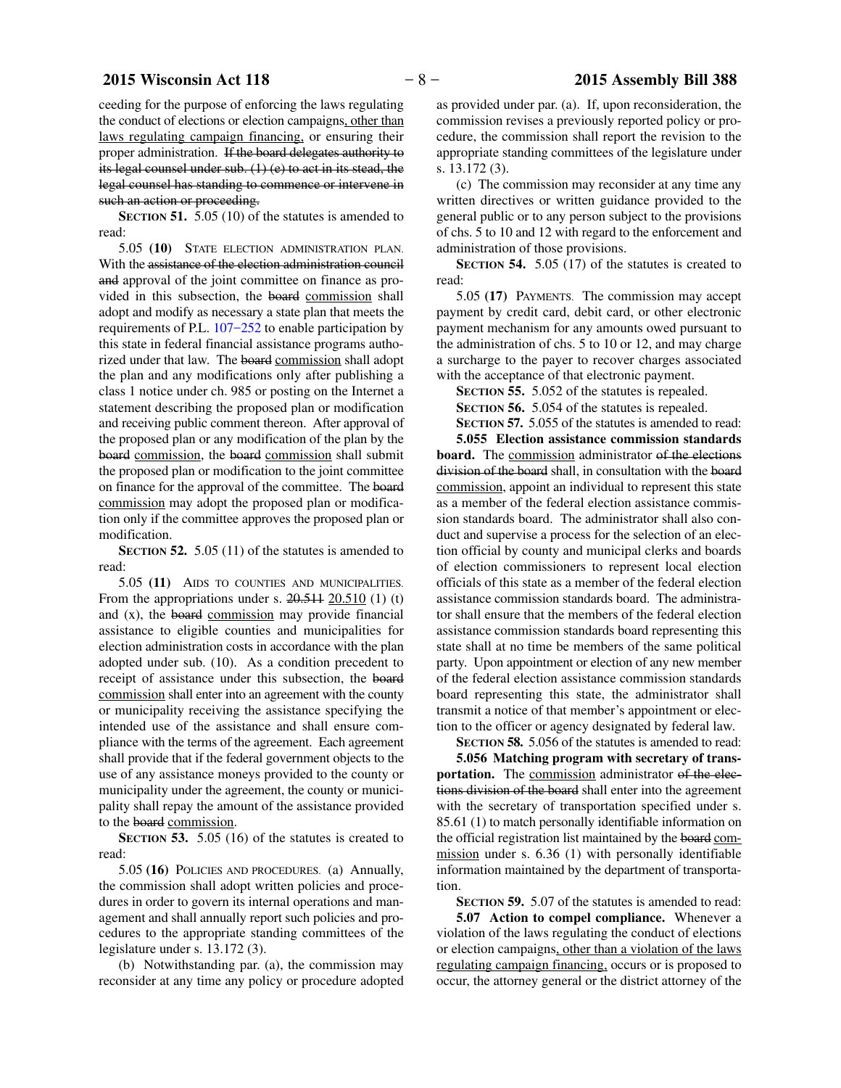ceeding for the purpose of enforcing the laws regulating the conduct of elections or election campaigns, other than laws regulating campaign financing, or ensuring their proper administration. If the board delegates authority to its legal counsel under sub. (1) (e) to act in its stead, the legal counsel has standing to commence or intervene in such an action or proceeding.

**SECTION 51.** 5.05 (10) of the statutes is amended to read:

5.05 **(10)** STATE ELECTION ADMINISTRATION PLAN. With the assistance of the election administration council and approval of the joint committee on finance as provided in this subsection, the board commission shall adopt and modify as necessary a state plan that meets the requirements of P.L. 107−252 to enable participation by this state in federal financial assistance programs authorized under that law. The board commission shall adopt the plan and any modifications only after publishing a class 1 notice under ch. 985 or posting on the Internet a statement describing the proposed plan or modification and receiving public comment thereon. After approval of the proposed plan or any modification of the plan by the board commission, the board commission shall submit the proposed plan or modification to the joint committee on finance for the approval of the committee. The board commission may adopt the proposed plan or modification only if the committee approves the proposed plan or modification.

**SECTION 52.** 5.05 (11) of the statutes is amended to read:

5.05 **(11)** AIDS TO COUNTIES AND MUNICIPALITIES. From the appropriations under s.  $20.511$   $20.510$   $(1)$   $(t)$ and (x), the board commission may provide financial assistance to eligible counties and municipalities for election administration costs in accordance with the plan adopted under sub. (10). As a condition precedent to receipt of assistance under this subsection, the board commission shall enter into an agreement with the county or municipality receiving the assistance specifying the intended use of the assistance and shall ensure compliance with the terms of the agreement. Each agreement shall provide that if the federal government objects to the use of any assistance moneys provided to the county or municipality under the agreement, the county or municipality shall repay the amount of the assistance provided to the board commission.

**SECTION** 53. 5.05 (16) of the statutes is created to read:

5.05 **(16)** POLICIES AND PROCEDURES. (a) Annually, the commission shall adopt written policies and procedures in order to govern its internal operations and management and shall annually report such policies and procedures to the appropriate standing committees of the legislature under s. 13.172 (3).

(b) Notwithstanding par. (a), the commission may reconsider at any time any policy or procedure adopted as provided under par. (a). If, upon reconsideration, the commission revises a previously reported policy or procedure, the commission shall report the revision to the appropriate standing committees of the legislature under s. 13.172 (3).

(c) The commission may reconsider at any time any written directives or written guidance provided to the general public or to any person subject to the provisions of chs. 5 to 10 and 12 with regard to the enforcement and administration of those provisions.

**SECTION 54.** 5.05 (17) of the statutes is created to read:

5.05 **(17)** PAYMENTS. The commission may accept payment by credit card, debit card, or other electronic payment mechanism for any amounts owed pursuant to the administration of chs. 5 to 10 or 12, and may charge a surcharge to the payer to recover charges associated with the acceptance of that electronic payment.

**SECTION 55.** 5.052 of the statutes is repealed.

**SECTION 56.** 5.054 of the statutes is repealed. **SECTION 57.** 5.055 of the statutes is amended to read:

**5.055 Election assistance commission standards board.** The commission administrator of the elections division of the board shall, in consultation with the board commission, appoint an individual to represent this state as a member of the federal election assistance commission standards board. The administrator shall also conduct and supervise a process for the selection of an election official by county and municipal clerks and boards of election commissioners to represent local election officials of this state as a member of the federal election assistance commission standards board. The administrator shall ensure that the members of the federal election assistance commission standards board representing this state shall at no time be members of the same political party. Upon appointment or election of any new member of the federal election assistance commission standards board representing this state, the administrator shall transmit a notice of that member's appointment or election to the officer or agency designated by federal law.

**SECTION 58.** 5.056 of the statutes is amended to read: **5.056 Matching program with secretary of trans**portation. The commission administrator of the elections division of the board shall enter into the agreement with the secretary of transportation specified under s. 85.61 (1) to match personally identifiable information on the official registration list maintained by the board commission under s. 6.36 (1) with personally identifiable information maintained by the department of transportation.

**SECTION 59.** 5.07 of the statutes is amended to read:

**5.07 Action to compel compliance.** Whenever a violation of the laws regulating the conduct of elections or election campaigns, other than a violation of the laws regulating campaign financing, occurs or is proposed to occur, the attorney general or the district attorney of the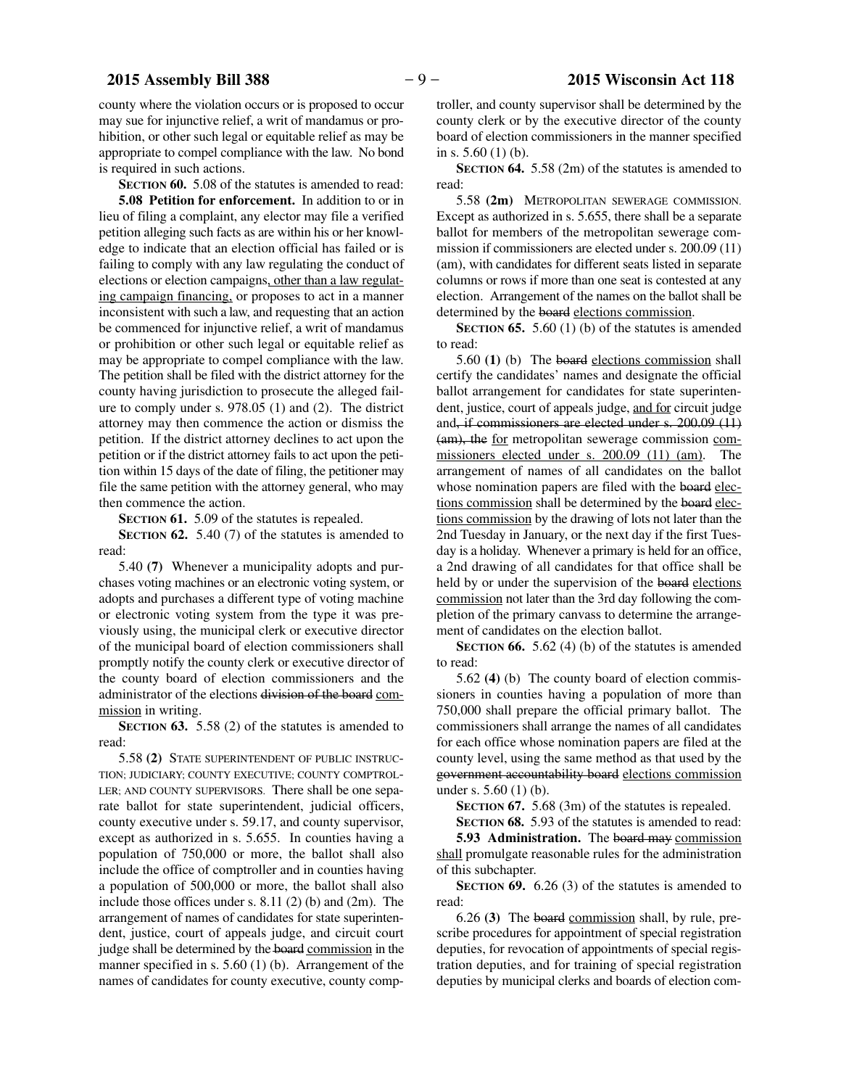county where the violation occurs or is proposed to occur may sue for injunctive relief, a writ of mandamus or prohibition, or other such legal or equitable relief as may be appropriate to compel compliance with the law. No bond is required in such actions.

**SECTION 60.** 5.08 of the statutes is amended to read:

**5.08 Petition for enforcement.** In addition to or in lieu of filing a complaint, any elector may file a verified petition alleging such facts as are within his or her knowledge to indicate that an election official has failed or is failing to comply with any law regulating the conduct of elections or election campaigns, other than a law regulating campaign financing, or proposes to act in a manner inconsistent with such a law, and requesting that an action be commenced for injunctive relief, a writ of mandamus or prohibition or other such legal or equitable relief as may be appropriate to compel compliance with the law. The petition shall be filed with the district attorney for the county having jurisdiction to prosecute the alleged failure to comply under s. 978.05 (1) and (2). The district attorney may then commence the action or dismiss the petition. If the district attorney declines to act upon the petition or if the district attorney fails to act upon the petition within 15 days of the date of filing, the petitioner may file the same petition with the attorney general, who may then commence the action.

**SECTION 61.** 5.09 of the statutes is repealed.

**SECTION 62.** 5.40 (7) of the statutes is amended to read:

5.40 **(7)** Whenever a municipality adopts and purchases voting machines or an electronic voting system, or adopts and purchases a different type of voting machine or electronic voting system from the type it was previously using, the municipal clerk or executive director of the municipal board of election commissioners shall promptly notify the county clerk or executive director of the county board of election commissioners and the administrator of the elections division of the board commission in writing.

**SECTION 63.** 5.58 (2) of the statutes is amended to read:

5.58 **(2)** STATE SUPERINTENDENT OF PUBLIC INSTRUC-TION; JUDICIARY; COUNTY EXECUTIVE; COUNTY COMPTROL-LER; AND COUNTY SUPERVISORS. There shall be one separate ballot for state superintendent, judicial officers, county executive under s. 59.17, and county supervisor, except as authorized in s. 5.655. In counties having a population of 750,000 or more, the ballot shall also include the office of comptroller and in counties having a population of 500,000 or more, the ballot shall also include those offices under s. 8.11 (2) (b) and (2m). The arrangement of names of candidates for state superintendent, justice, court of appeals judge, and circuit court judge shall be determined by the board commission in the manner specified in s. 5.60 (1) (b). Arrangement of the names of candidates for county executive, county comptroller, and county supervisor shall be determined by the county clerk or by the executive director of the county board of election commissioners in the manner specified in s. 5.60 (1) (b).

**SECTION 64.** 5.58 (2m) of the statutes is amended to read:

5.58 **(2m)** METROPOLITAN SEWERAGE COMMISSION. Except as authorized in s. 5.655, there shall be a separate ballot for members of the metropolitan sewerage commission if commissioners are elected under s. 200.09 (11) (am), with candidates for different seats listed in separate columns or rows if more than one seat is contested at any election. Arrangement of the names on the ballot shall be determined by the board elections commission.

**SECTION 65.** 5.60 (1) (b) of the statutes is amended to read:

5.60 **(1)** (b) The board elections commission shall certify the candidates' names and designate the official ballot arrangement for candidates for state superintendent, justice, court of appeals judge, and for circuit judge and, if commissioners are elected under s. 200.09 (11) (am), the for metropolitan sewerage commission commissioners elected under s. 200.09 (11) (am). The arrangement of names of all candidates on the ballot whose nomination papers are filed with the board elections commission shall be determined by the board elections commission by the drawing of lots not later than the 2nd Tuesday in January, or the next day if the first Tuesday is a holiday. Whenever a primary is held for an office, a 2nd drawing of all candidates for that office shall be held by or under the supervision of the board elections commission not later than the 3rd day following the completion of the primary canvass to determine the arrangement of candidates on the election ballot.

**SECTION 66.** 5.62 (4) (b) of the statutes is amended to read:

5.62 **(4)** (b) The county board of election commissioners in counties having a population of more than 750,000 shall prepare the official primary ballot. The commissioners shall arrange the names of all candidates for each office whose nomination papers are filed at the county level, using the same method as that used by the government accountability board elections commission under s. 5.60 (1) (b).

**SECTION 67.** 5.68 (3m) of the statutes is repealed.

**SECTION 68.** 5.93 of the statutes is amended to read:

**5.93 Administration.** The board may commission shall promulgate reasonable rules for the administration of this subchapter.

**SECTION 69.** 6.26 (3) of the statutes is amended to read:

6.26 **(3)** The board commission shall, by rule, prescribe procedures for appointment of special registration deputies, for revocation of appointments of special registration deputies, and for training of special registration deputies by municipal clerks and boards of election com-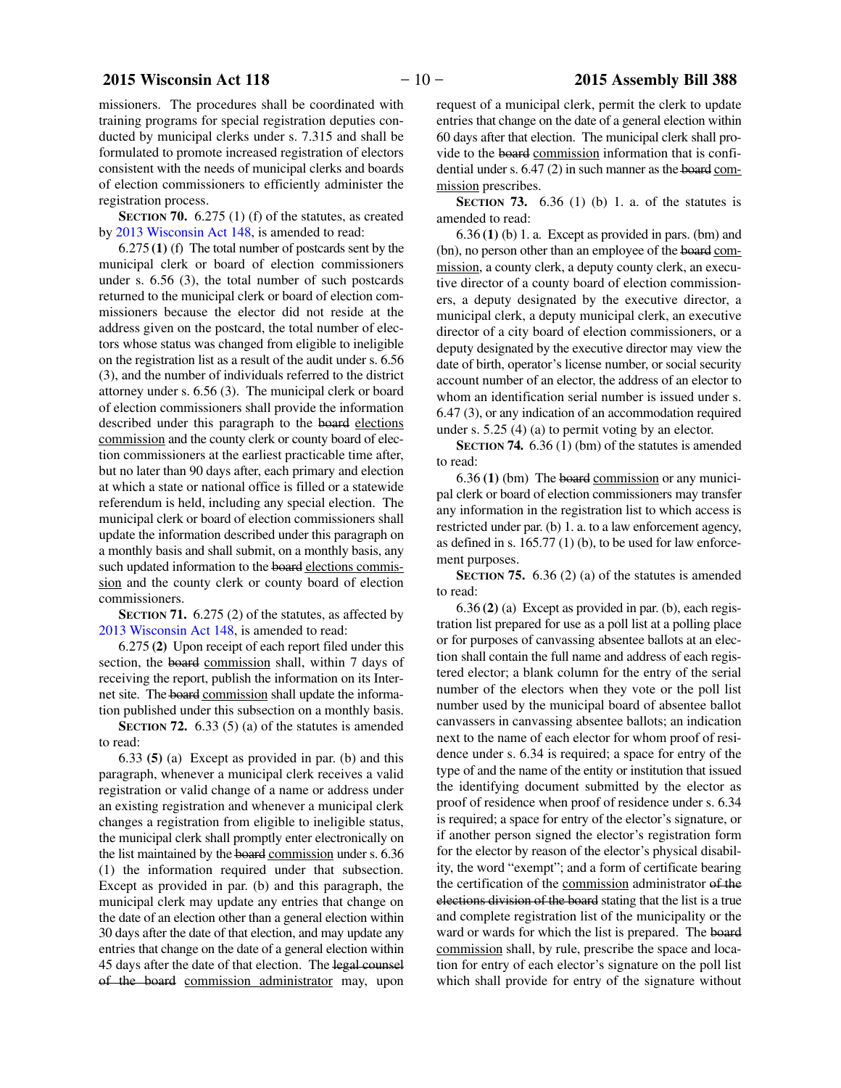missioners. The procedures shall be coordinated with training programs for special registration deputies conducted by municipal clerks under s. 7.315 and shall be formulated to promote increased registration of electors consistent with the needs of municipal clerks and boards of election commissioners to efficiently administer the registration process.

**SECTION 70.** 6.275 (1) (f) of the statutes, as created by 2013 Wisconsin Act 148, is amended to read:

6.275 **(1)** (f) The total number of postcards sent by the municipal clerk or board of election commissioners under s. 6.56 (3), the total number of such postcards returned to the municipal clerk or board of election commissioners because the elector did not reside at the address given on the postcard, the total number of electors whose status was changed from eligible to ineligible on the registration list as a result of the audit under s. 6.56 (3), and the number of individuals referred to the district attorney under s. 6.56 (3). The municipal clerk or board of election commissioners shall provide the information described under this paragraph to the board elections commission and the county clerk or county board of election commissioners at the earliest practicable time after, but no later than 90 days after, each primary and election at which a state or national office is filled or a statewide referendum is held, including any special election. The municipal clerk or board of election commissioners shall update the information described under this paragraph on a monthly basis and shall submit, on a monthly basis, any such updated information to the board elections commission and the county clerk or county board of election commissioners.

**SECTION 71.** 6.275 (2) of the statutes, as affected by 2013 Wisconsin Act 148, is amended to read:

6.275 **(2)** Upon receipt of each report filed under this section, the board commission shall, within 7 days of receiving the report, publish the information on its Internet site. The board commission shall update the information published under this subsection on a monthly basis.

**SECTION 72.** 6.33 (5) (a) of the statutes is amended to read:

6.33 **(5)** (a) Except as provided in par. (b) and this paragraph, whenever a municipal clerk receives a valid registration or valid change of a name or address under an existing registration and whenever a municipal clerk changes a registration from eligible to ineligible status, the municipal clerk shall promptly enter electronically on the list maintained by the board commission under s. 6.36 (1) the information required under that subsection. Except as provided in par. (b) and this paragraph, the municipal clerk may update any entries that change on the date of an election other than a general election within 30 days after the date of that election, and may update any entries that change on the date of a general election within 45 days after the date of that election. The legal counsel of the board commission administrator may, upon

request of a municipal clerk, permit the clerk to update entries that change on the date of a general election within 60 days after that election. The municipal clerk shall provide to the board commission information that is confidential under s. 6.47 (2) in such manner as the board commission prescribes.

**SECTION 73.** 6.36 (1) (b) 1. a. of the statutes is amended to read:

6.36 **(1)** (b) 1. a. Except as provided in pars. (bm) and (bn), no person other than an employee of the board commission, a county clerk, a deputy county clerk, an executive director of a county board of election commissioners, a deputy designated by the executive director, a municipal clerk, a deputy municipal clerk, an executive director of a city board of election commissioners, or a deputy designated by the executive director may view the date of birth, operator's license number, or social security account number of an elector, the address of an elector to whom an identification serial number is issued under s. 6.47 (3), or any indication of an accommodation required under s. 5.25 (4) (a) to permit voting by an elector.

**SECTION 74.** 6.36 (1) (bm) of the statutes is amended to read:

6.36 **(1)** (bm) The board commission or any municipal clerk or board of election commissioners may transfer any information in the registration list to which access is restricted under par. (b) 1. a. to a law enforcement agency, as defined in s.  $165.77(1)$  (b), to be used for law enforcement purposes.

**SECTION 75.** 6.36 (2) (a) of the statutes is amended to read:

6.36 **(2)** (a) Except as provided in par. (b), each registration list prepared for use as a poll list at a polling place or for purposes of canvassing absentee ballots at an election shall contain the full name and address of each registered elector; a blank column for the entry of the serial number of the electors when they vote or the poll list number used by the municipal board of absentee ballot canvassers in canvassing absentee ballots; an indication next to the name of each elector for whom proof of residence under s. 6.34 is required; a space for entry of the type of and the name of the entity or institution that issued the identifying document submitted by the elector as proof of residence when proof of residence under s. 6.34 is required; a space for entry of the elector's signature, or if another person signed the elector's registration form for the elector by reason of the elector's physical disability, the word "exempt"; and a form of certificate bearing the certification of the commission administrator of the elections division of the board stating that the list is a true and complete registration list of the municipality or the ward or wards for which the list is prepared. The board commission shall, by rule, prescribe the space and location for entry of each elector's signature on the poll list which shall provide for entry of the signature without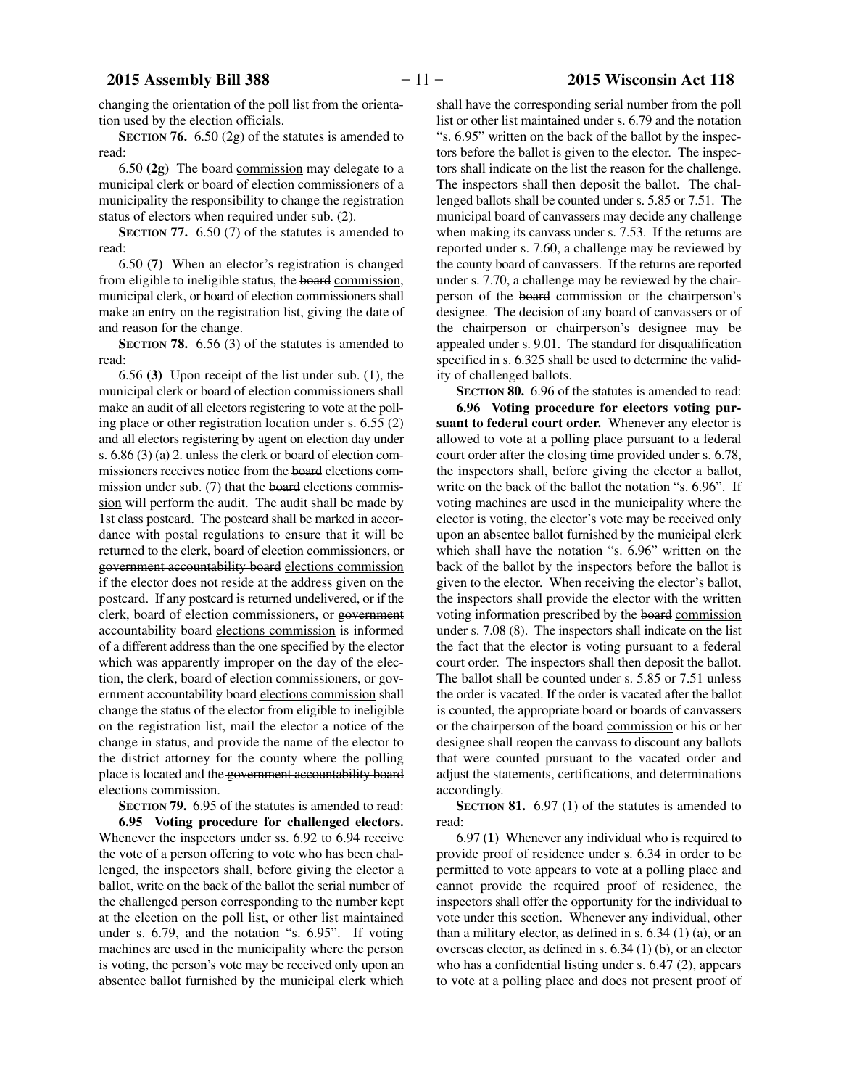changing the orientation of the poll list from the orientation used by the election officials.

**SECTION 76.** 6.50 (2g) of the statutes is amended to read:

6.50 **(2g)** The board commission may delegate to a municipal clerk or board of election commissioners of a municipality the responsibility to change the registration status of electors when required under sub. (2).

**SECTION 77.** 6.50 (7) of the statutes is amended to read:

6.50 **(7)** When an elector's registration is changed from eligible to ineligible status, the board commission, municipal clerk, or board of election commissioners shall make an entry on the registration list, giving the date of and reason for the change.

**SECTION 78.** 6.56 (3) of the statutes is amended to read:

6.56 **(3)** Upon receipt of the list under sub. (1), the municipal clerk or board of election commissioners shall make an audit of all electors registering to vote at the polling place or other registration location under s. 6.55 (2) and all electors registering by agent on election day under s. 6.86 (3) (a) 2. unless the clerk or board of election commissioners receives notice from the board elections commission under sub. (7) that the board elections commission will perform the audit. The audit shall be made by 1st class postcard. The postcard shall be marked in accordance with postal regulations to ensure that it will be returned to the clerk, board of election commissioners, or government accountability board elections commission if the elector does not reside at the address given on the postcard. If any postcard is returned undelivered, or if the clerk, board of election commissioners, or government accountability board elections commission is informed of a different address than the one specified by the elector which was apparently improper on the day of the election, the clerk, board of election commissioners, or government accountability board elections commission shall change the status of the elector from eligible to ineligible on the registration list, mail the elector a notice of the change in status, and provide the name of the elector to the district attorney for the county where the polling place is located and the government accountability board elections commission.

**SECTION 79.** 6.95 of the statutes is amended to read: **6.95 Voting procedure for challenged electors.** Whenever the inspectors under ss. 6.92 to 6.94 receive the vote of a person offering to vote who has been challenged, the inspectors shall, before giving the elector a ballot, write on the back of the ballot the serial number of the challenged person corresponding to the number kept at the election on the poll list, or other list maintained under s. 6.79, and the notation "s. 6.95". If voting machines are used in the municipality where the person is voting, the person's vote may be received only upon an absentee ballot furnished by the municipal clerk which

shall have the corresponding serial number from the poll list or other list maintained under s. 6.79 and the notation "s. 6.95" written on the back of the ballot by the inspectors before the ballot is given to the elector. The inspectors shall indicate on the list the reason for the challenge. The inspectors shall then deposit the ballot. The challenged ballots shall be counted under s. 5.85 or 7.51. The municipal board of canvassers may decide any challenge when making its canvass under s. 7.53. If the returns are reported under s. 7.60, a challenge may be reviewed by the county board of canvassers. If the returns are reported under s. 7.70, a challenge may be reviewed by the chairperson of the board commission or the chairperson's designee. The decision of any board of canvassers or of the chairperson or chairperson's designee may be appealed under s. 9.01. The standard for disqualification specified in s. 6.325 shall be used to determine the validity of challenged ballots.

**SECTION 80.** 6.96 of the statutes is amended to read:

**6.96 Voting procedure for electors voting pursuant to federal court order.** Whenever any elector is allowed to vote at a polling place pursuant to a federal court order after the closing time provided under s. 6.78, the inspectors shall, before giving the elector a ballot, write on the back of the ballot the notation "s. 6.96". If voting machines are used in the municipality where the elector is voting, the elector's vote may be received only upon an absentee ballot furnished by the municipal clerk which shall have the notation "s. 6.96" written on the back of the ballot by the inspectors before the ballot is given to the elector. When receiving the elector's ballot, the inspectors shall provide the elector with the written voting information prescribed by the board commission under s. 7.08 (8). The inspectors shall indicate on the list the fact that the elector is voting pursuant to a federal court order. The inspectors shall then deposit the ballot. The ballot shall be counted under s. 5.85 or 7.51 unless the order is vacated. If the order is vacated after the ballot is counted, the appropriate board or boards of canvassers or the chairperson of the board commission or his or her designee shall reopen the canvass to discount any ballots that were counted pursuant to the vacated order and adjust the statements, certifications, and determinations accordingly.

**SECTION 81.** 6.97 (1) of the statutes is amended to read:

6.97 **(1)** Whenever any individual who is required to provide proof of residence under s. 6.34 in order to be permitted to vote appears to vote at a polling place and cannot provide the required proof of residence, the inspectors shall offer the opportunity for the individual to vote under this section. Whenever any individual, other than a military elector, as defined in s.  $6.34$  (1) (a), or an overseas elector, as defined in s. 6.34 (1) (b), or an elector who has a confidential listing under s. 6.47 (2), appears to vote at a polling place and does not present proof of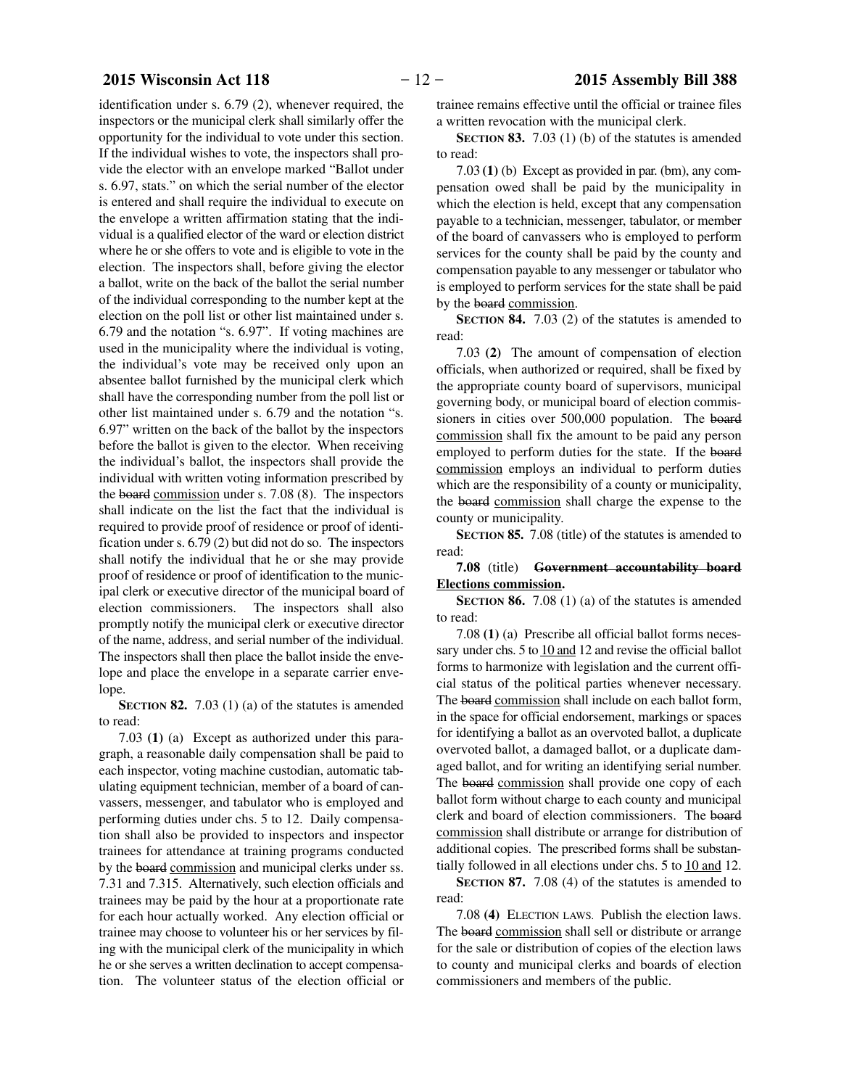identification under s. 6.79 (2), whenever required, the inspectors or the municipal clerk shall similarly offer the opportunity for the individual to vote under this section. If the individual wishes to vote, the inspectors shall provide the elector with an envelope marked "Ballot under s. 6.97, stats." on which the serial number of the elector is entered and shall require the individual to execute on the envelope a written affirmation stating that the individual is a qualified elector of the ward or election district where he or she offers to vote and is eligible to vote in the election. The inspectors shall, before giving the elector a ballot, write on the back of the ballot the serial number of the individual corresponding to the number kept at the election on the poll list or other list maintained under s. 6.79 and the notation "s. 6.97". If voting machines are used in the municipality where the individual is voting, the individual's vote may be received only upon an absentee ballot furnished by the municipal clerk which shall have the corresponding number from the poll list or other list maintained under s. 6.79 and the notation "s. 6.97" written on the back of the ballot by the inspectors before the ballot is given to the elector. When receiving the individual's ballot, the inspectors shall provide the individual with written voting information prescribed by the board commission under s. 7.08 (8). The inspectors shall indicate on the list the fact that the individual is required to provide proof of residence or proof of identification under s. 6.79 (2) but did not do so. The inspectors shall notify the individual that he or she may provide proof of residence or proof of identification to the municipal clerk or executive director of the municipal board of election commissioners. The inspectors shall also promptly notify the municipal clerk or executive director of the name, address, and serial number of the individual. The inspectors shall then place the ballot inside the envelope and place the envelope in a separate carrier envelope.

**SECTION 82.** 7.03 (1) (a) of the statutes is amended to read:

7.03 **(1)** (a) Except as authorized under this paragraph, a reasonable daily compensation shall be paid to each inspector, voting machine custodian, automatic tabulating equipment technician, member of a board of canvassers, messenger, and tabulator who is employed and performing duties under chs. 5 to 12. Daily compensation shall also be provided to inspectors and inspector trainees for attendance at training programs conducted by the board commission and municipal clerks under ss. 7.31 and 7.315. Alternatively, such election officials and trainees may be paid by the hour at a proportionate rate for each hour actually worked. Any election official or trainee may choose to volunteer his or her services by filing with the municipal clerk of the municipality in which he or she serves a written declination to accept compensation. The volunteer status of the election official or

trainee remains effective until the official or trainee files a written revocation with the municipal clerk.

**SECTION 83.** 7.03 (1) (b) of the statutes is amended to read:

7.03 **(1)** (b) Except as provided in par. (bm), any compensation owed shall be paid by the municipality in which the election is held, except that any compensation payable to a technician, messenger, tabulator, or member of the board of canvassers who is employed to perform services for the county shall be paid by the county and compensation payable to any messenger or tabulator who is employed to perform services for the state shall be paid by the board commission.

**SECTION 84.** 7.03 (2) of the statutes is amended to read:

7.03 **(2)** The amount of compensation of election officials, when authorized or required, shall be fixed by the appropriate county board of supervisors, municipal governing body, or municipal board of election commissioners in cities over 500,000 population. The board commission shall fix the amount to be paid any person employed to perform duties for the state. If the board commission employs an individual to perform duties which are the responsibility of a county or municipality, the board commission shall charge the expense to the county or municipality.

**SECTION 85.** 7.08 (title) of the statutes is amended to read:

### **7.08** (title) **Government accountability board Elections commission.**

**SECTION 86.** 7.08 (1) (a) of the statutes is amended to read:

7.08 **(1)** (a) Prescribe all official ballot forms necessary under chs. 5 to 10 and 12 and revise the official ballot forms to harmonize with legislation and the current official status of the political parties whenever necessary. The board commission shall include on each ballot form, in the space for official endorsement, markings or spaces for identifying a ballot as an overvoted ballot, a duplicate overvoted ballot, a damaged ballot, or a duplicate damaged ballot, and for writing an identifying serial number. The board commission shall provide one copy of each ballot form without charge to each county and municipal clerk and board of election commissioners. The board commission shall distribute or arrange for distribution of additional copies. The prescribed forms shall be substantially followed in all elections under chs. 5 to 10 and 12.

**SECTION 87.** 7.08 (4) of the statutes is amended to read:

7.08 **(4)** ELECTION LAWS. Publish the election laws. The board commission shall sell or distribute or arrange for the sale or distribution of copies of the election laws to county and municipal clerks and boards of election commissioners and members of the public.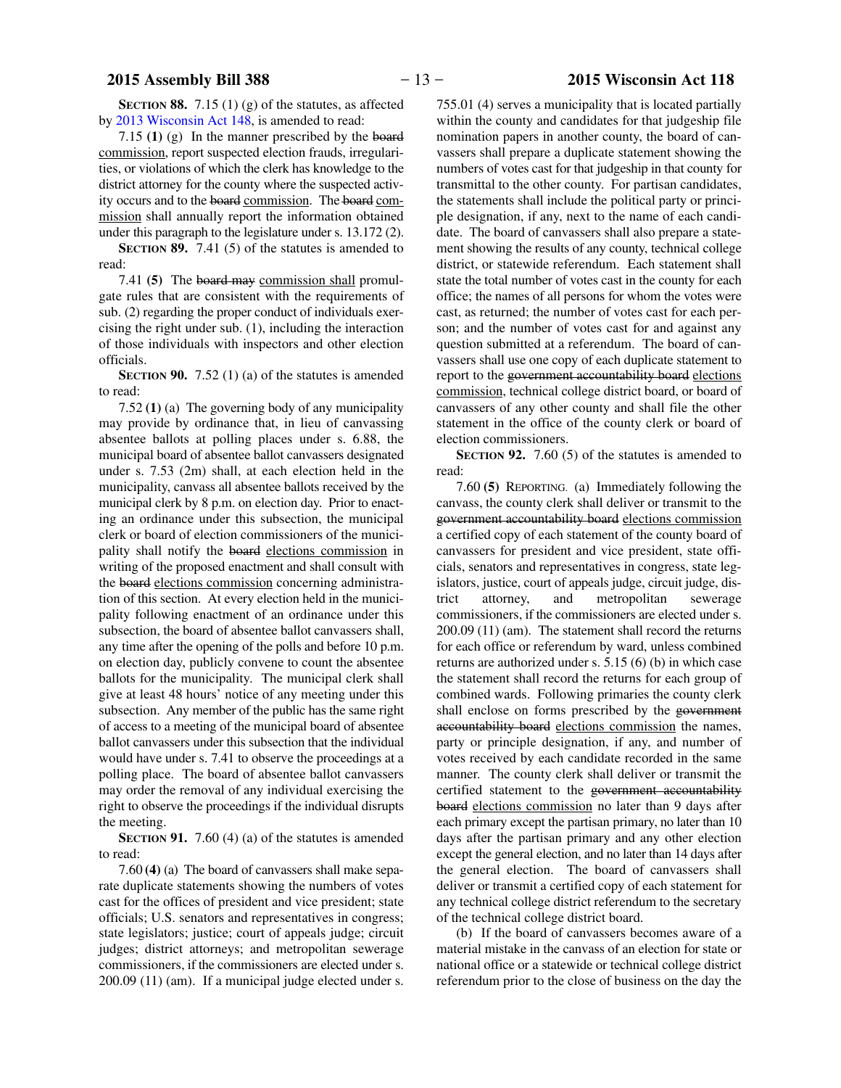**SECTION 88.** 7.15 (1) (g) of the statutes, as affected by 2013 Wisconsin Act 148, is amended to read:

7.15 **(1)** (g) In the manner prescribed by the board commission, report suspected election frauds, irregularities, or violations of which the clerk has knowledge to the district attorney for the county where the suspected activity occurs and to the board commission. The board commission shall annually report the information obtained under this paragraph to the legislature under s. 13.172 (2).

**SECTION 89.** 7.41 (5) of the statutes is amended to read:

7.41 **(5)** The board may commission shall promulgate rules that are consistent with the requirements of sub. (2) regarding the proper conduct of individuals exercising the right under sub. (1), including the interaction of those individuals with inspectors and other election officials.

**SECTION 90.** 7.52 (1) (a) of the statutes is amended to read:

7.52 **(1)** (a) The governing body of any municipality may provide by ordinance that, in lieu of canvassing absentee ballots at polling places under s. 6.88, the municipal board of absentee ballot canvassers designated under s. 7.53 (2m) shall, at each election held in the municipality, canvass all absentee ballots received by the municipal clerk by 8 p.m. on election day. Prior to enacting an ordinance under this subsection, the municipal clerk or board of election commissioners of the municipality shall notify the board elections commission in writing of the proposed enactment and shall consult with the board elections commission concerning administration of this section. At every election held in the municipality following enactment of an ordinance under this subsection, the board of absentee ballot canvassers shall, any time after the opening of the polls and before 10 p.m. on election day, publicly convene to count the absentee ballots for the municipality. The municipal clerk shall give at least 48 hours' notice of any meeting under this subsection. Any member of the public has the same right of access to a meeting of the municipal board of absentee ballot canvassers under this subsection that the individual would have under s. 7.41 to observe the proceedings at a polling place. The board of absentee ballot canvassers may order the removal of any individual exercising the right to observe the proceedings if the individual disrupts the meeting.

**SECTION 91.** 7.60 (4) (a) of the statutes is amended to read:

7.60 **(4)** (a) The board of canvassers shall make separate duplicate statements showing the numbers of votes cast for the offices of president and vice president; state officials; U.S. senators and representatives in congress; state legislators; justice; court of appeals judge; circuit judges; district attorneys; and metropolitan sewerage commissioners, if the commissioners are elected under s. 200.09 (11) (am). If a municipal judge elected under s.

755.01 (4) serves a municipality that is located partially within the county and candidates for that judgeship file nomination papers in another county, the board of canvassers shall prepare a duplicate statement showing the numbers of votes cast for that judgeship in that county for transmittal to the other county. For partisan candidates, the statements shall include the political party or principle designation, if any, next to the name of each candidate. The board of canvassers shall also prepare a statement showing the results of any county, technical college district, or statewide referendum. Each statement shall state the total number of votes cast in the county for each office; the names of all persons for whom the votes were cast, as returned; the number of votes cast for each person; and the number of votes cast for and against any question submitted at a referendum. The board of canvassers shall use one copy of each duplicate statement to report to the government accountability board elections commission, technical college district board, or board of canvassers of any other county and shall file the other statement in the office of the county clerk or board of election commissioners.

**SECTION** 92. 7.60 (5) of the statutes is amended to read:

7.60 **(5)** REPORTING. (a) Immediately following the canvass, the county clerk shall deliver or transmit to the government accountability board elections commission a certified copy of each statement of the county board of canvassers for president and vice president, state officials, senators and representatives in congress, state legislators, justice, court of appeals judge, circuit judge, district attorney, and metropolitan sewerage commissioners, if the commissioners are elected under s. 200.09 (11) (am). The statement shall record the returns for each office or referendum by ward, unless combined returns are authorized under s. 5.15 (6) (b) in which case the statement shall record the returns for each group of combined wards. Following primaries the county clerk shall enclose on forms prescribed by the government accountability board elections commission the names, party or principle designation, if any, and number of votes received by each candidate recorded in the same manner. The county clerk shall deliver or transmit the certified statement to the government accountability board elections commission no later than 9 days after each primary except the partisan primary, no later than 10 days after the partisan primary and any other election except the general election, and no later than 14 days after the general election. The board of canvassers shall deliver or transmit a certified copy of each statement for any technical college district referendum to the secretary of the technical college district board.

(b) If the board of canvassers becomes aware of a material mistake in the canvass of an election for state or national office or a statewide or technical college district referendum prior to the close of business on the day the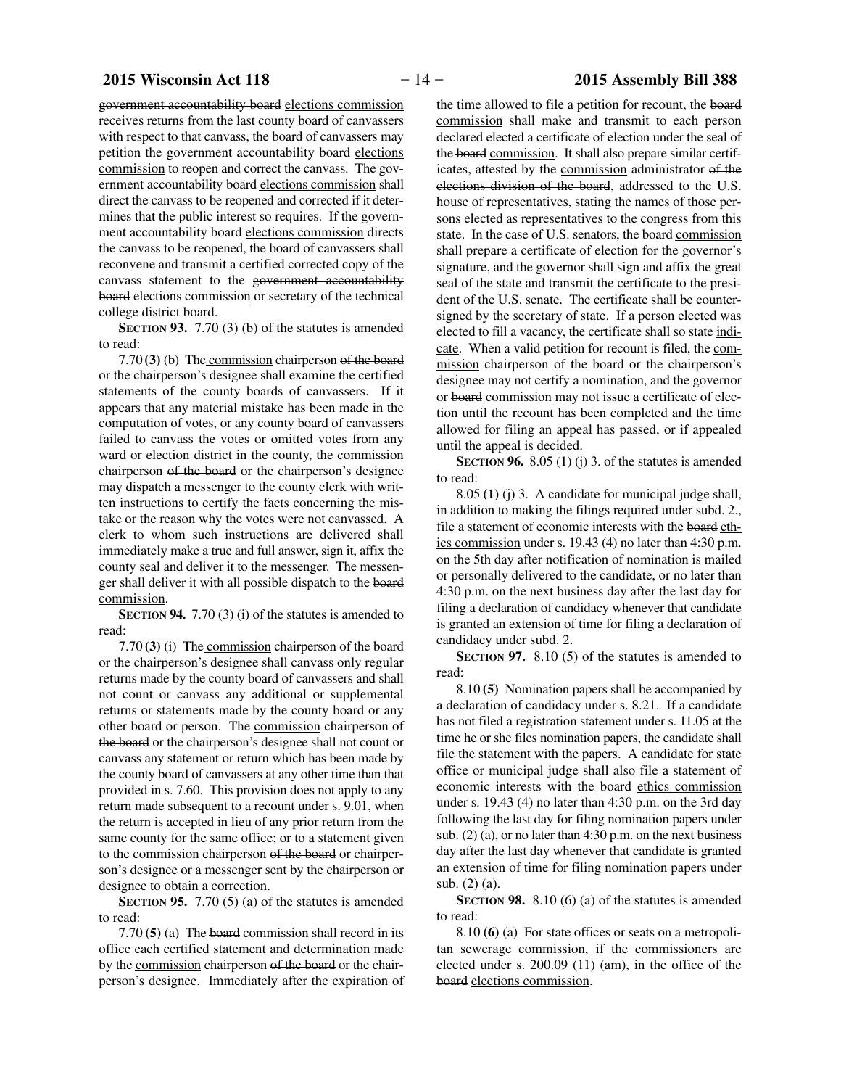government accountability board elections commission receives returns from the last county board of canvassers with respect to that canvass, the board of canvassers may petition the government accountability board elections commission to reopen and correct the canvass. The government accountability board elections commission shall direct the canvass to be reopened and corrected if it determines that the public interest so requires. If the government accountability board elections commission directs the canvass to be reopened, the board of canvassers shall reconvene and transmit a certified corrected copy of the canvass statement to the government accountability board elections commission or secretary of the technical college district board.

**SECTION 93.** 7.70 (3) (b) of the statutes is amended to read:

7.70 **(3)** (b) The commission chairperson of the board or the chairperson's designee shall examine the certified statements of the county boards of canvassers. If it appears that any material mistake has been made in the computation of votes, or any county board of canvassers failed to canvass the votes or omitted votes from any ward or election district in the county, the commission chairperson of the board or the chairperson's designee may dispatch a messenger to the county clerk with written instructions to certify the facts concerning the mistake or the reason why the votes were not canvassed. A clerk to whom such instructions are delivered shall immediately make a true and full answer, sign it, affix the county seal and deliver it to the messenger. The messenger shall deliver it with all possible dispatch to the board commission.

**SECTION 94.** 7.70 (3) (i) of the statutes is amended to read:

7.70 **(3)** (i) The commission chairperson of the board or the chairperson's designee shall canvass only regular returns made by the county board of canvassers and shall not count or canvass any additional or supplemental returns or statements made by the county board or any other board or person. The commission chairperson of the board or the chairperson's designee shall not count or canvass any statement or return which has been made by the county board of canvassers at any other time than that provided in s. 7.60. This provision does not apply to any return made subsequent to a recount under s. 9.01, when the return is accepted in lieu of any prior return from the same county for the same office; or to a statement given to the commission chairperson of the board or chairperson's designee or a messenger sent by the chairperson or designee to obtain a correction.

**SECTION 95.** 7.70 (5) (a) of the statutes is amended to read:

7.70 **(5)** (a) The board commission shall record in its office each certified statement and determination made by the commission chairperson of the board or the chairperson's designee. Immediately after the expiration of

the time allowed to file a petition for recount, the board commission shall make and transmit to each person declared elected a certificate of election under the seal of the board commission. It shall also prepare similar certificates, attested by the commission administrator of the elections division of the board, addressed to the U.S. house of representatives, stating the names of those persons elected as representatives to the congress from this state. In the case of U.S. senators, the board commission shall prepare a certificate of election for the governor's signature, and the governor shall sign and affix the great seal of the state and transmit the certificate to the president of the U.S. senate. The certificate shall be countersigned by the secretary of state. If a person elected was elected to fill a vacancy, the certificate shall so state indicate. When a valid petition for recount is filed, the commission chairperson of the board or the chairperson's designee may not certify a nomination, and the governor or board commission may not issue a certificate of election until the recount has been completed and the time allowed for filing an appeal has passed, or if appealed until the appeal is decided.

**SECTION 96.** 8.05 (1) (j) 3. of the statutes is amended to read:

8.05 **(1)** (j) 3. A candidate for municipal judge shall, in addition to making the filings required under subd. 2., file a statement of economic interests with the board ethics commission under s. 19.43 (4) no later than 4:30 p.m. on the 5th day after notification of nomination is mailed or personally delivered to the candidate, or no later than 4:30 p.m. on the next business day after the last day for filing a declaration of candidacy whenever that candidate is granted an extension of time for filing a declaration of candidacy under subd. 2.

**SECTION 97.** 8.10 (5) of the statutes is amended to read:

8.10 **(5)** Nomination papers shall be accompanied by a declaration of candidacy under s. 8.21. If a candidate has not filed a registration statement under s. 11.05 at the time he or she files nomination papers, the candidate shall file the statement with the papers. A candidate for state office or municipal judge shall also file a statement of economic interests with the board ethics commission under s. 19.43 (4) no later than 4:30 p.m. on the 3rd day following the last day for filing nomination papers under sub. (2) (a), or no later than 4:30 p.m. on the next business day after the last day whenever that candidate is granted an extension of time for filing nomination papers under sub. (2) (a).

**SECTION 98.** 8.10 (6) (a) of the statutes is amended to read:

8.10 **(6)** (a) For state offices or seats on a metropolitan sewerage commission, if the commissioners are elected under s. 200.09 (11) (am), in the office of the board elections commission.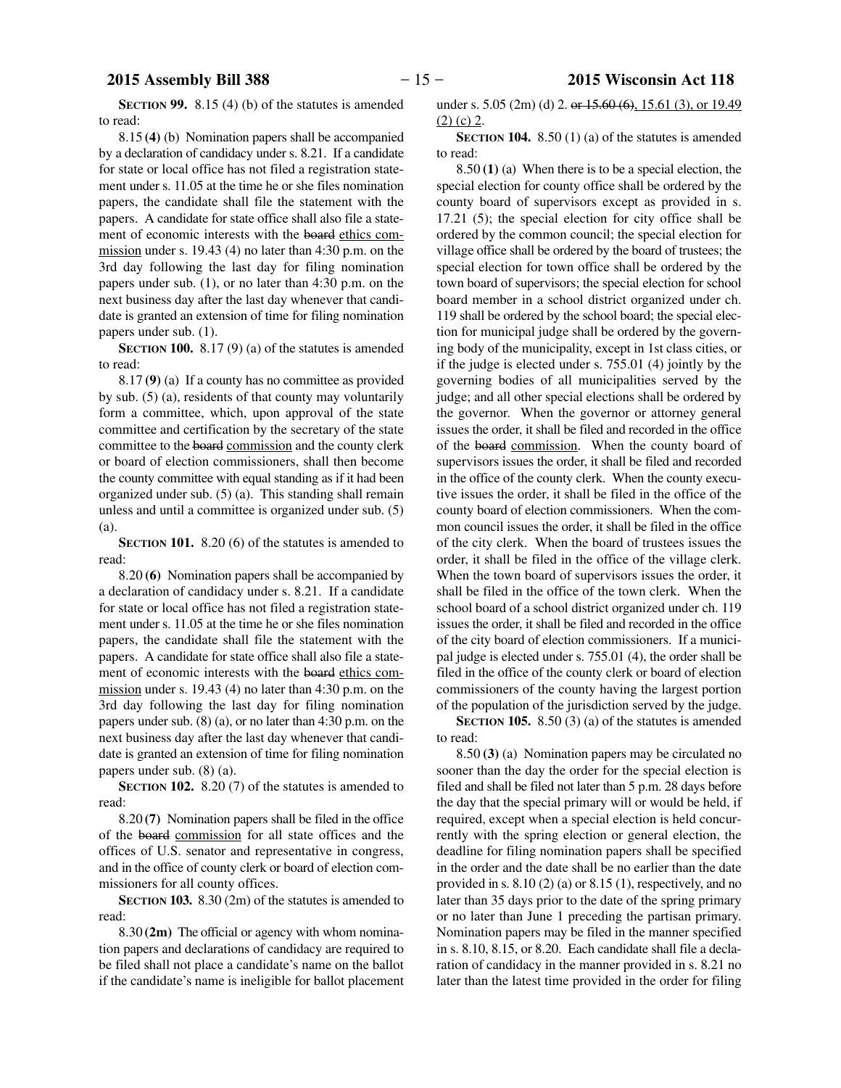**SECTION 99.** 8.15 (4) (b) of the statutes is amended to read:

8.15 **(4)** (b) Nomination papers shall be accompanied by a declaration of candidacy under s. 8.21. If a candidate for state or local office has not filed a registration statement under s. 11.05 at the time he or she files nomination papers, the candidate shall file the statement with the papers. A candidate for state office shall also file a statement of economic interests with the board ethics commission under s. 19.43 (4) no later than 4:30 p.m. on the 3rd day following the last day for filing nomination papers under sub. (1), or no later than 4:30 p.m. on the next business day after the last day whenever that candidate is granted an extension of time for filing nomination papers under sub. (1).

**SECTION 100.** 8.17 (9) (a) of the statutes is amended to read:

8.17 **(9)** (a) If a county has no committee as provided by sub. (5) (a), residents of that county may voluntarily form a committee, which, upon approval of the state committee and certification by the secretary of the state committee to the board commission and the county clerk or board of election commissioners, shall then become the county committee with equal standing as if it had been organized under sub. (5) (a). This standing shall remain unless and until a committee is organized under sub. (5) (a).

**SECTION 101.** 8.20 (6) of the statutes is amended to read:

8.20 **(6)** Nomination papers shall be accompanied by a declaration of candidacy under s. 8.21. If a candidate for state or local office has not filed a registration statement under s. 11.05 at the time he or she files nomination papers, the candidate shall file the statement with the papers. A candidate for state office shall also file a statement of economic interests with the board ethics commission under s. 19.43 (4) no later than 4:30 p.m. on the 3rd day following the last day for filing nomination papers under sub. (8) (a), or no later than 4:30 p.m. on the next business day after the last day whenever that candidate is granted an extension of time for filing nomination papers under sub. (8) (a).

**SECTION 102.** 8.20 (7) of the statutes is amended to read:

8.20 **(7)** Nomination papers shall be filed in the office of the board commission for all state offices and the offices of U.S. senator and representative in congress, and in the office of county clerk or board of election commissioners for all county offices.

**SECTION 103.** 8.30 (2m) of the statutes is amended to read:

8.30 **(2m)** The official or agency with whom nomination papers and declarations of candidacy are required to be filed shall not place a candidate's name on the ballot if the candidate's name is ineligible for ballot placement

under s.  $5.05$  (2m) (d) 2. or  $15.60$  (6),  $15.61$  (3), or 19.49  $(2)$  (c) 2.

**SECTION 104.** 8.50 (1) (a) of the statutes is amended to read:

8.50 **(1)** (a) When there is to be a special election, the special election for county office shall be ordered by the county board of supervisors except as provided in s. 17.21 (5); the special election for city office shall be ordered by the common council; the special election for village office shall be ordered by the board of trustees; the special election for town office shall be ordered by the town board of supervisors; the special election for school board member in a school district organized under ch. 119 shall be ordered by the school board; the special election for municipal judge shall be ordered by the governing body of the municipality, except in 1st class cities, or if the judge is elected under s. 755.01 (4) jointly by the governing bodies of all municipalities served by the judge; and all other special elections shall be ordered by the governor. When the governor or attorney general issues the order, it shall be filed and recorded in the office of the board commission. When the county board of supervisors issues the order, it shall be filed and recorded in the office of the county clerk. When the county executive issues the order, it shall be filed in the office of the county board of election commissioners. When the common council issues the order, it shall be filed in the office of the city clerk. When the board of trustees issues the order, it shall be filed in the office of the village clerk. When the town board of supervisors issues the order, it shall be filed in the office of the town clerk. When the school board of a school district organized under ch. 119 issues the order, it shall be filed and recorded in the office of the city board of election commissioners. If a municipal judge is elected under s. 755.01 (4), the order shall be filed in the office of the county clerk or board of election commissioners of the county having the largest portion of the population of the jurisdiction served by the judge.

**SECTION 105.** 8.50 (3) (a) of the statutes is amended to read:

8.50 **(3)** (a) Nomination papers may be circulated no sooner than the day the order for the special election is filed and shall be filed not later than 5 p.m. 28 days before the day that the special primary will or would be held, if required, except when a special election is held concurrently with the spring election or general election, the deadline for filing nomination papers shall be specified in the order and the date shall be no earlier than the date provided in s. 8.10 (2) (a) or 8.15 (1), respectively, and no later than 35 days prior to the date of the spring primary or no later than June 1 preceding the partisan primary. Nomination papers may be filed in the manner specified in s. 8.10, 8.15, or 8.20. Each candidate shall file a declaration of candidacy in the manner provided in s. 8.21 no later than the latest time provided in the order for filing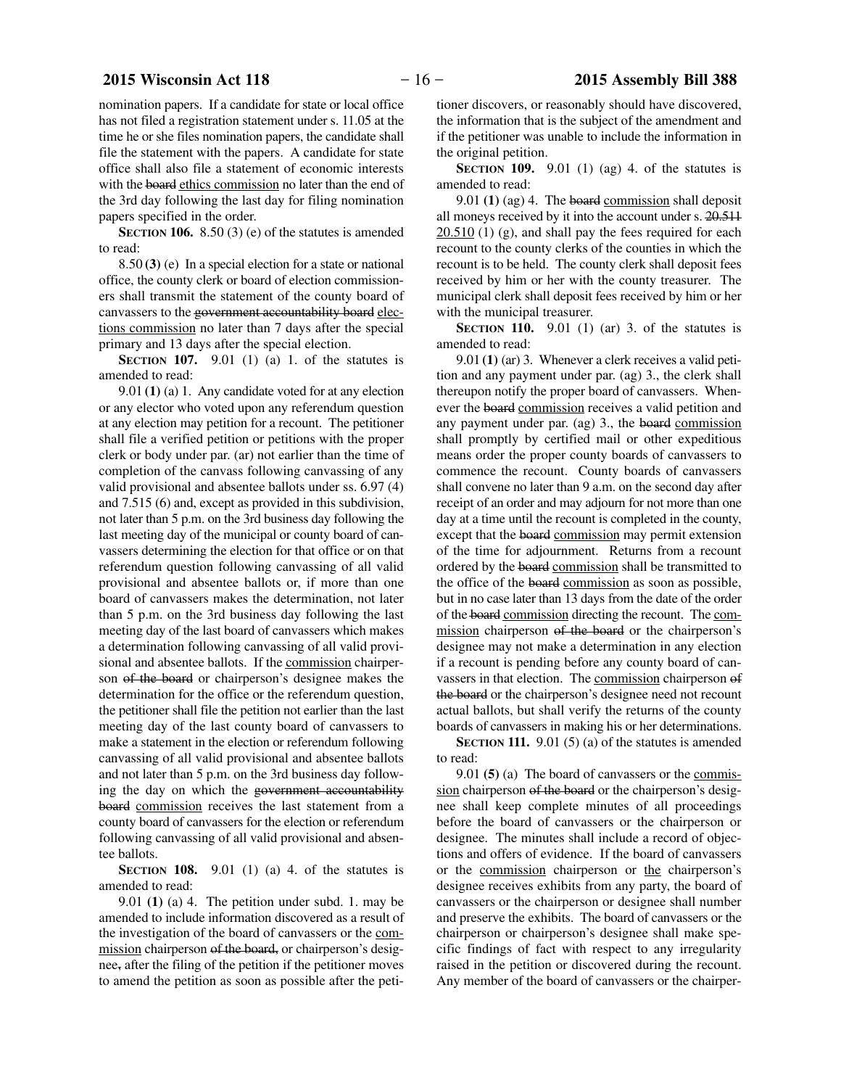nomination papers. If a candidate for state or local office has not filed a registration statement under s. 11.05 at the time he or she files nomination papers, the candidate shall file the statement with the papers. A candidate for state office shall also file a statement of economic interests with the board ethics commission no later than the end of the 3rd day following the last day for filing nomination papers specified in the order.

**SECTION 106.** 8.50 (3) (e) of the statutes is amended to read:

8.50 **(3)** (e) In a special election for a state or national office, the county clerk or board of election commissioners shall transmit the statement of the county board of canvassers to the government accountability board elections commission no later than 7 days after the special primary and 13 days after the special election.

**SECTION 107.** 9.01 (1) (a) 1. of the statutes is amended to read:

9.01 **(1)** (a) 1. Any candidate voted for at any election or any elector who voted upon any referendum question at any election may petition for a recount. The petitioner shall file a verified petition or petitions with the proper clerk or body under par. (ar) not earlier than the time of completion of the canvass following canvassing of any valid provisional and absentee ballots under ss. 6.97 (4) and 7.515 (6) and, except as provided in this subdivision, not later than 5 p.m. on the 3rd business day following the last meeting day of the municipal or county board of canvassers determining the election for that office or on that referendum question following canvassing of all valid provisional and absentee ballots or, if more than one board of canvassers makes the determination, not later than 5 p.m. on the 3rd business day following the last meeting day of the last board of canvassers which makes a determination following canvassing of all valid provisional and absentee ballots. If the commission chairperson of the board or chairperson's designee makes the determination for the office or the referendum question, the petitioner shall file the petition not earlier than the last meeting day of the last county board of canvassers to make a statement in the election or referendum following canvassing of all valid provisional and absentee ballots and not later than 5 p.m. on the 3rd business day following the day on which the government accountability board commission receives the last statement from a county board of canvassers for the election or referendum following canvassing of all valid provisional and absentee ballots.

**SECTION 108.** 9.01 (1) (a) 4. of the statutes is amended to read:

9.01 **(1)** (a) 4. The petition under subd. 1. may be amended to include information discovered as a result of the investigation of the board of canvassers or the commission chairperson of the board, or chairperson's designee, after the filing of the petition if the petitioner moves to amend the petition as soon as possible after the petitioner discovers, or reasonably should have discovered, the information that is the subject of the amendment and if the petitioner was unable to include the information in the original petition.

**SECTION 109.** 9.01 (1) (ag) 4. of the statutes is amended to read:

9.01 **(1)** (ag) 4. The board commission shall deposit all moneys received by it into the account under s. 20.511  $20.510$  (1) (g), and shall pay the fees required for each recount to the county clerks of the counties in which the recount is to be held. The county clerk shall deposit fees received by him or her with the county treasurer. The municipal clerk shall deposit fees received by him or her with the municipal treasurer.

**SECTION 110.** 9.01 (1) (ar) 3. of the statutes is amended to read:

9.01 **(1)** (ar) 3. Whenever a clerk receives a valid petition and any payment under par. (ag) 3., the clerk shall thereupon notify the proper board of canvassers. Whenever the board commission receives a valid petition and any payment under par. (ag) 3., the board commission shall promptly by certified mail or other expeditious means order the proper county boards of canvassers to commence the recount. County boards of canvassers shall convene no later than 9 a.m. on the second day after receipt of an order and may adjourn for not more than one day at a time until the recount is completed in the county, except that the board commission may permit extension of the time for adjournment. Returns from a recount ordered by the board commission shall be transmitted to the office of the board commission as soon as possible, but in no case later than 13 days from the date of the order of the board commission directing the recount. The commission chairperson of the board or the chairperson's designee may not make a determination in any election if a recount is pending before any county board of canvassers in that election. The commission chairperson of the board or the chairperson's designee need not recount actual ballots, but shall verify the returns of the county boards of canvassers in making his or her determinations.

**SECTION 111.** 9.01 (5) (a) of the statutes is amended to read:

9.01 **(5)** (a) The board of canvassers or the commission chairperson of the board or the chairperson's designee shall keep complete minutes of all proceedings before the board of canvassers or the chairperson or designee. The minutes shall include a record of objections and offers of evidence. If the board of canvassers or the commission chairperson or the chairperson's designee receives exhibits from any party, the board of canvassers or the chairperson or designee shall number and preserve the exhibits. The board of canvassers or the chairperson or chairperson's designee shall make specific findings of fact with respect to any irregularity raised in the petition or discovered during the recount. Any member of the board of canvassers or the chairper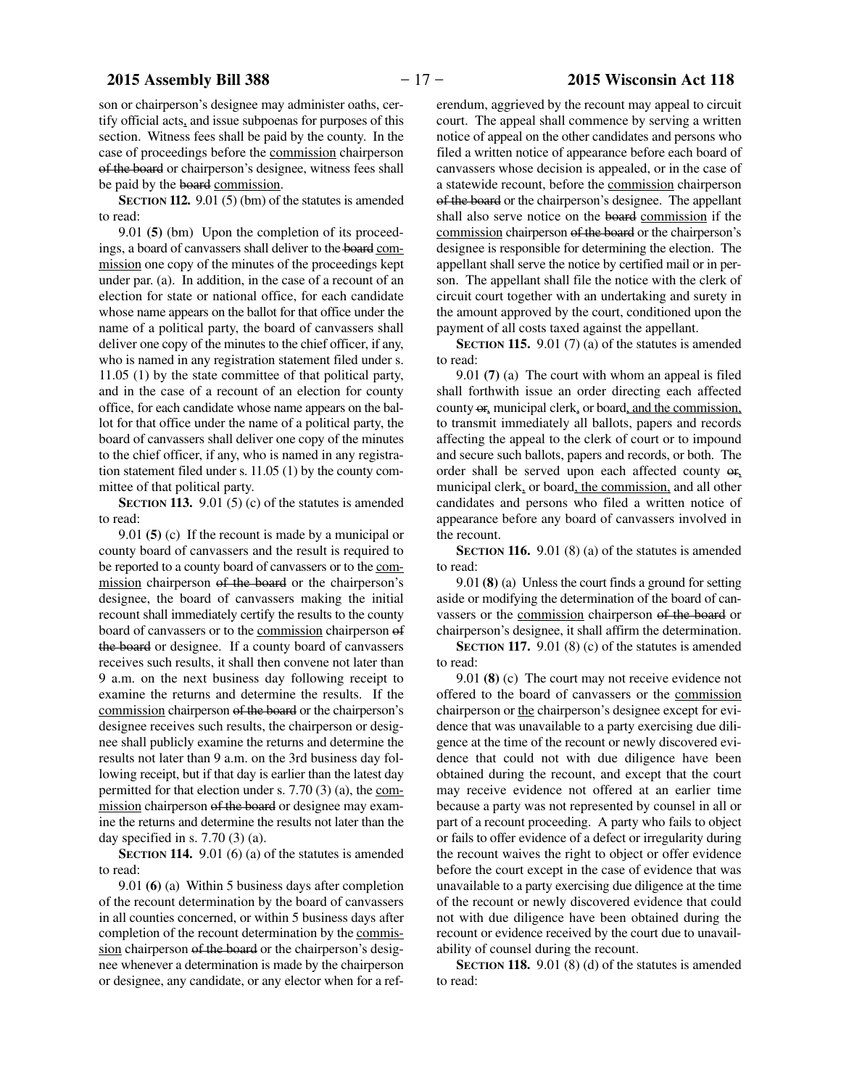son or chairperson's designee may administer oaths, certify official acts, and issue subpoenas for purposes of this section. Witness fees shall be paid by the county. In the case of proceedings before the commission chairperson of the board or chairperson's designee, witness fees shall be paid by the board commission.

**SECTION 112.** 9.01 (5) (bm) of the statutes is amended to read:

9.01 **(5)** (bm) Upon the completion of its proceedings, a board of canvassers shall deliver to the board commission one copy of the minutes of the proceedings kept under par. (a). In addition, in the case of a recount of an election for state or national office, for each candidate whose name appears on the ballot for that office under the name of a political party, the board of canvassers shall deliver one copy of the minutes to the chief officer, if any, who is named in any registration statement filed under s. 11.05 (1) by the state committee of that political party, and in the case of a recount of an election for county office, for each candidate whose name appears on the ballot for that office under the name of a political party, the board of canvassers shall deliver one copy of the minutes to the chief officer, if any, who is named in any registration statement filed under s. 11.05 (1) by the county committee of that political party.

**SECTION 113.** 9.01 (5) (c) of the statutes is amended to read:

9.01 **(5)** (c) If the recount is made by a municipal or county board of canvassers and the result is required to be reported to a county board of canvassers or to the commission chairperson of the board or the chairperson's designee, the board of canvassers making the initial recount shall immediately certify the results to the county board of canvassers or to the commission chairperson of the board or designee. If a county board of canvassers receives such results, it shall then convene not later than 9 a.m. on the next business day following receipt to examine the returns and determine the results. If the commission chairperson of the board or the chairperson's designee receives such results, the chairperson or designee shall publicly examine the returns and determine the results not later than 9 a.m. on the 3rd business day following receipt, but if that day is earlier than the latest day permitted for that election under s. 7.70 (3) (a), the commission chairperson of the board or designee may examine the returns and determine the results not later than the day specified in s.  $7.70(3)(a)$ .

**SECTION 114.** 9.01 (6) (a) of the statutes is amended to read:

9.01 **(6)** (a) Within 5 business days after completion of the recount determination by the board of canvassers in all counties concerned, or within 5 business days after completion of the recount determination by the commission chairperson of the board or the chairperson's designee whenever a determination is made by the chairperson or designee, any candidate, or any elector when for a referendum, aggrieved by the recount may appeal to circuit court. The appeal shall commence by serving a written notice of appeal on the other candidates and persons who filed a written notice of appearance before each board of canvassers whose decision is appealed, or in the case of a statewide recount, before the commission chairperson of the board or the chairperson's designee. The appellant shall also serve notice on the board commission if the commission chairperson of the board or the chairperson's designee is responsible for determining the election. The appellant shall serve the notice by certified mail or in person. The appellant shall file the notice with the clerk of circuit court together with an undertaking and surety in the amount approved by the court, conditioned upon the payment of all costs taxed against the appellant.

**SECTION 115.** 9.01 (7) (a) of the statutes is amended to read:

9.01 **(7)** (a) The court with whom an appeal is filed shall forthwith issue an order directing each affected county or, municipal clerk, or board, and the commission, to transmit immediately all ballots, papers and records affecting the appeal to the clerk of court or to impound and secure such ballots, papers and records, or both. The order shall be served upon each affected county or, municipal clerk, or board, the commission, and all other candidates and persons who filed a written notice of appearance before any board of canvassers involved in the recount.

**SECTION 116.** 9.01 (8) (a) of the statutes is amended to read:

9.01 **(8)** (a) Unless the court finds a ground for setting aside or modifying the determination of the board of canvassers or the commission chairperson of the board or chairperson's designee, it shall affirm the determination.

**SECTION 117.** 9.01 (8) (c) of the statutes is amended to read:

9.01 **(8)** (c) The court may not receive evidence not offered to the board of canvassers or the commission chairperson or the chairperson's designee except for evidence that was unavailable to a party exercising due diligence at the time of the recount or newly discovered evidence that could not with due diligence have been obtained during the recount, and except that the court may receive evidence not offered at an earlier time because a party was not represented by counsel in all or part of a recount proceeding. A party who fails to object or fails to offer evidence of a defect or irregularity during the recount waives the right to object or offer evidence before the court except in the case of evidence that was unavailable to a party exercising due diligence at the time of the recount or newly discovered evidence that could not with due diligence have been obtained during the recount or evidence received by the court due to unavailability of counsel during the recount.

**SECTION 118.** 9.01 (8) (d) of the statutes is amended to read: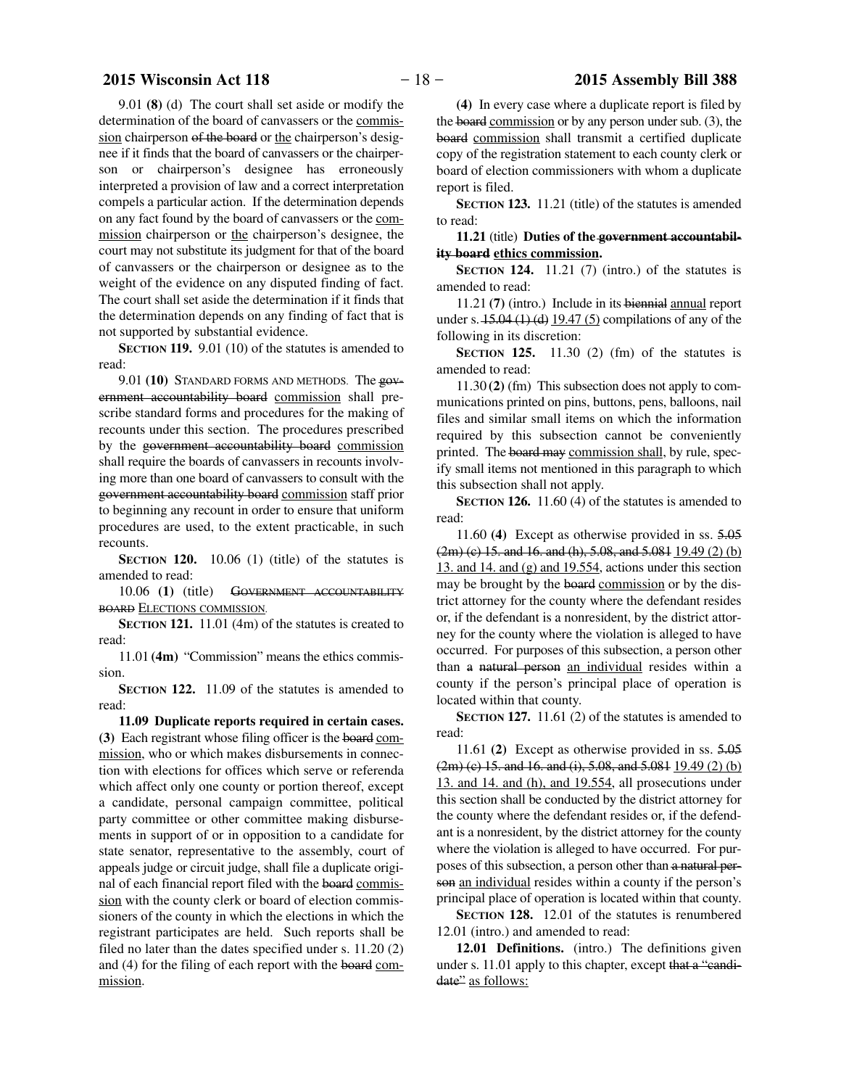9.01 **(8)** (d) The court shall set aside or modify the determination of the board of canvassers or the commission chairperson of the board or the chairperson's designee if it finds that the board of canvassers or the chairperson or chairperson's designee has erroneously interpreted a provision of law and a correct interpretation compels a particular action. If the determination depends on any fact found by the board of canvassers or the commission chairperson or the chairperson's designee, the court may not substitute its judgment for that of the board of canvassers or the chairperson or designee as to the weight of the evidence on any disputed finding of fact. The court shall set aside the determination if it finds that the determination depends on any finding of fact that is not supported by substantial evidence.

**SECTION 119.** 9.01 (10) of the statutes is amended to read:

9.01 **(10)** STANDARD FORMS AND METHODS. The government accountability board commission shall prescribe standard forms and procedures for the making of recounts under this section. The procedures prescribed by the government accountability board commission shall require the boards of canvassers in recounts involving more than one board of canvassers to consult with the government accountability board commission staff prior to beginning any recount in order to ensure that uniform procedures are used, to the extent practicable, in such recounts.

**SECTION 120.** 10.06 (1) (title) of the statutes is amended to read:

10.06 **(1)** (title) GOVERNMENT ACCOUNTABILITY BOARD ELECTIONS COMMISSION.

**SECTION 121.** 11.01 (4m) of the statutes is created to read:

11.01 **(4m)** "Commission" means the ethics commission.

**SECTION 122.** 11.09 of the statutes is amended to read:

**11.09 Duplicate reports required in certain cases. (3)** Each registrant whose filing officer is the board commission, who or which makes disbursements in connection with elections for offices which serve or referenda which affect only one county or portion thereof, except a candidate, personal campaign committee, political party committee or other committee making disbursements in support of or in opposition to a candidate for state senator, representative to the assembly, court of appeals judge or circuit judge, shall file a duplicate original of each financial report filed with the board commission with the county clerk or board of election commissioners of the county in which the elections in which the registrant participates are held. Such reports shall be filed no later than the dates specified under s. 11.20 (2) and (4) for the filing of each report with the board commission.

**(4)** In every case where a duplicate report is filed by the board commission or by any person under sub. (3), the board commission shall transmit a certified duplicate copy of the registration statement to each county clerk or board of election commissioners with whom a duplicate report is filed.

**SECTION 123.** 11.21 (title) of the statutes is amended to read:

**11.21** (title) **Duties of the government accountability board ethics commission.**

**SECTION** 124. 11.21 (7) (intro.) of the statutes is amended to read:

11.21 **(7)** (intro.) Include in its biennial annual report under s.  $15.04 \left(1\right)$  (d)  $19.47 \left(5\right)$  compilations of any of the following in its discretion:

**SECTION 125.** 11.30 (2) (fm) of the statutes is amended to read:

11.30 **(2)** (fm) This subsection does not apply to communications printed on pins, buttons, pens, balloons, nail files and similar small items on which the information required by this subsection cannot be conveniently printed. The board may commission shall, by rule, specify small items not mentioned in this paragraph to which this subsection shall not apply.

**SECTION 126.** 11.60 (4) of the statutes is amended to read:

11.60 **(4)** Except as otherwise provided in ss. 5.05 (2m) (c) 15. and 16. and (h), 5.08, and 5.081 19.49 (2) (b) 13. and 14. and (g) and 19.554, actions under this section may be brought by the board commission or by the district attorney for the county where the defendant resides or, if the defendant is a nonresident, by the district attorney for the county where the violation is alleged to have occurred. For purposes of this subsection, a person other than a natural person an individual resides within a county if the person's principal place of operation is located within that county.

**SECTION 127.** 11.61 (2) of the statutes is amended to read:

11.61 **(2)** Except as otherwise provided in ss. 5.05  $(2m)$  (c) 15. and 16. and (i), 5.08, and 5.081 19.49 (2) (b) 13. and 14. and (h), and 19.554, all prosecutions under this section shall be conducted by the district attorney for the county where the defendant resides or, if the defendant is a nonresident, by the district attorney for the county where the violation is alleged to have occurred. For purposes of this subsection, a person other than a natural person an individual resides within a county if the person's principal place of operation is located within that county.

**SECTION 128.** 12.01 of the statutes is renumbered 12.01 (intro.) and amended to read:

**12.01 Definitions.** (intro.) The definitions given under s. 11.01 apply to this chapter, except that a "candidate" as follows: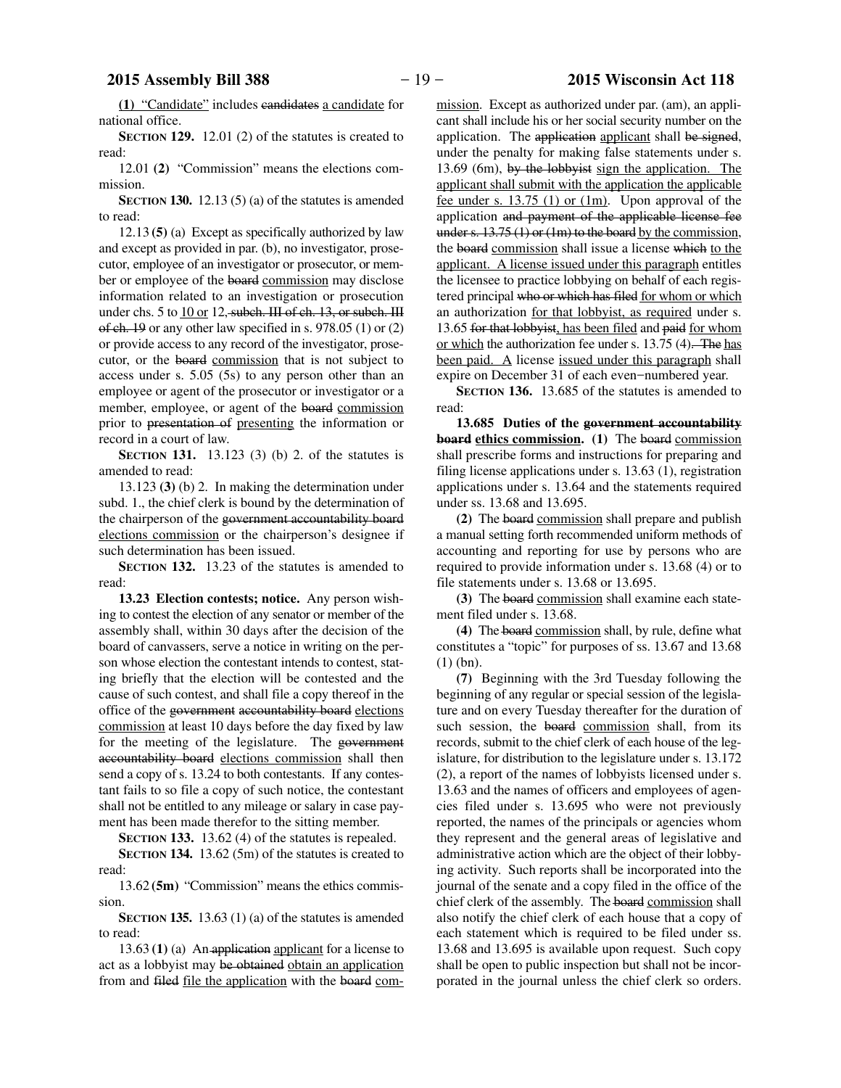**(1)** "Candidate" includes candidates a candidate for national office.

**SECTION 129.** 12.01 (2) of the statutes is created to read:

12.01 **(2)** "Commission" means the elections commission.

**SECTION 130.** 12.13 (5) (a) of the statutes is amended to read:

12.13 **(5)** (a) Except as specifically authorized by law and except as provided in par. (b), no investigator, prosecutor, employee of an investigator or prosecutor, or member or employee of the board commission may disclose information related to an investigation or prosecution under chs. 5 to 10 or 12, subch. III of ch. 13, or subch. III of ch. 19 or any other law specified in s. 978.05 (1) or (2) or provide access to any record of the investigator, prosecutor, or the board commission that is not subject to access under s. 5.05 (5s) to any person other than an employee or agent of the prosecutor or investigator or a member, employee, or agent of the board commission prior to presentation of presenting the information or record in a court of law.

**SECTION 131.** 13.123 (3) (b) 2. of the statutes is amended to read:

13.123 **(3)** (b) 2. In making the determination under subd. 1., the chief clerk is bound by the determination of the chairperson of the government accountability board elections commission or the chairperson's designee if such determination has been issued.

**SECTION 132.** 13.23 of the statutes is amended to read:

**13.23 Election contests; notice.** Any person wishing to contest the election of any senator or member of the assembly shall, within 30 days after the decision of the board of canvassers, serve a notice in writing on the person whose election the contestant intends to contest, stating briefly that the election will be contested and the cause of such contest, and shall file a copy thereof in the office of the government accountability board elections commission at least 10 days before the day fixed by law for the meeting of the legislature. The government accountability board elections commission shall then send a copy of s. 13.24 to both contestants. If any contestant fails to so file a copy of such notice, the contestant shall not be entitled to any mileage or salary in case payment has been made therefor to the sitting member.

**SECTION 133.** 13.62 (4) of the statutes is repealed.

**SECTION 134.** 13.62 (5m) of the statutes is created to read:

13.62 **(5m)** "Commission" means the ethics commission.

**SECTION 135.** 13.63 (1) (a) of the statutes is amended to read:

13.63 **(1)** (a) An application applicant for a license to act as a lobbyist may be obtained obtain an application from and filed file the application with the board commission. Except as authorized under par. (am), an applicant shall include his or her social security number on the application. The application applicant shall be signed, under the penalty for making false statements under s. 13.69 (6m), by the lobbyist sign the application. The applicant shall submit with the application the applicable fee under s.  $13.75$  (1) or (1m). Upon approval of the application and payment of the applicable license fee under s. 13.75 (1) or (1m) to the board by the commission, the board commission shall issue a license which to the applicant. A license issued under this paragraph entitles the licensee to practice lobbying on behalf of each registered principal who or which has filed for whom or which an authorization for that lobbyist, as required under s. 13.65 for that lobbyist, has been filed and paid for whom or which the authorization fee under s. 13.75 (4). The has been paid. A license issued under this paragraph shall expire on December 31 of each even−numbered year.

**SECTION 136.** 13.685 of the statutes is amended to read:

**13.685 Duties of the government accountability board ethics commission.** (1) The board commission shall prescribe forms and instructions for preparing and filing license applications under s. 13.63 (1), registration applications under s. 13.64 and the statements required under ss. 13.68 and 13.695.

**(2)** The board commission shall prepare and publish a manual setting forth recommended uniform methods of accounting and reporting for use by persons who are required to provide information under s. 13.68 (4) or to file statements under s. 13.68 or 13.695.

**(3)** The board commission shall examine each statement filed under s. 13.68.

**(4)** The board commission shall, by rule, define what constitutes a "topic" for purposes of ss. 13.67 and 13.68 (1) (bn).

**(7)** Beginning with the 3rd Tuesday following the beginning of any regular or special session of the legislature and on every Tuesday thereafter for the duration of such session, the board commission shall, from its records, submit to the chief clerk of each house of the legislature, for distribution to the legislature under s. 13.172 (2), a report of the names of lobbyists licensed under s. 13.63 and the names of officers and employees of agencies filed under s. 13.695 who were not previously reported, the names of the principals or agencies whom they represent and the general areas of legislative and administrative action which are the object of their lobbying activity. Such reports shall be incorporated into the journal of the senate and a copy filed in the office of the chief clerk of the assembly. The board commission shall also notify the chief clerk of each house that a copy of each statement which is required to be filed under ss. 13.68 and 13.695 is available upon request. Such copy shall be open to public inspection but shall not be incorporated in the journal unless the chief clerk so orders.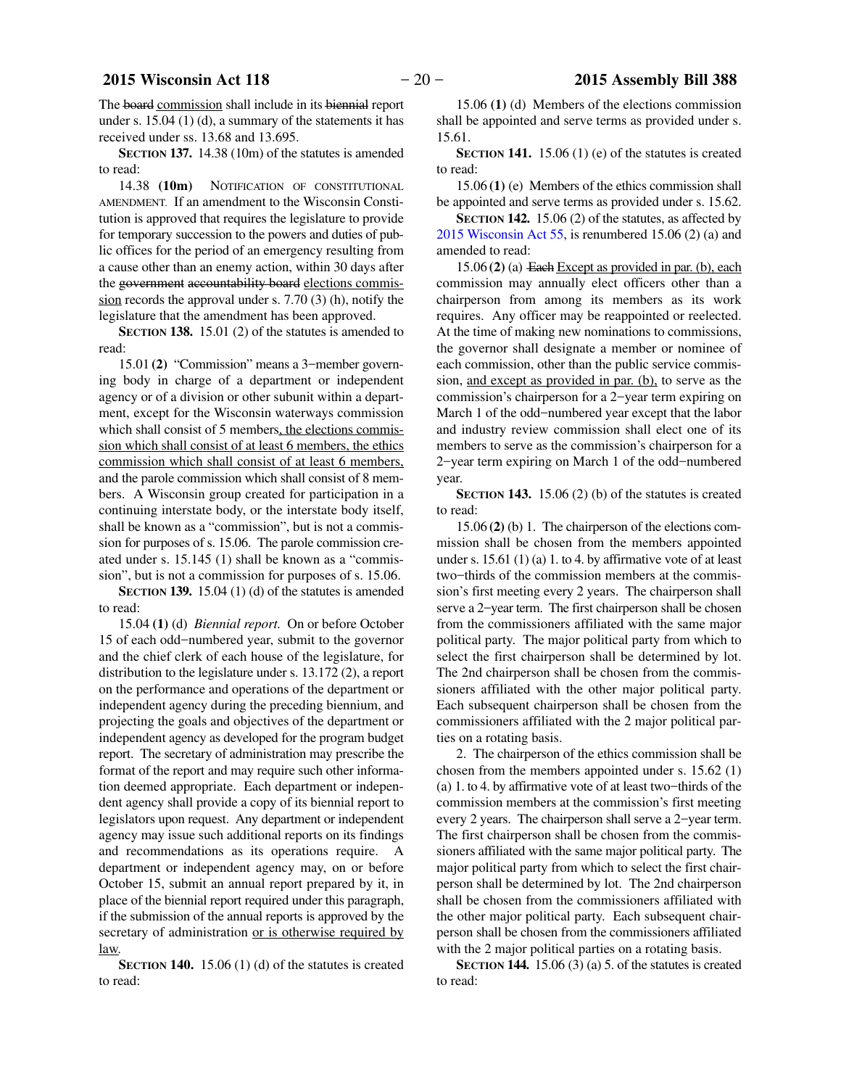The board commission shall include in its biennial report under s. 15.04 (1) (d), a summary of the statements it has received under ss. 13.68 and 13.695.

**SECTION 137.** 14.38 (10m) of the statutes is amended to read:

14.38 **(10m)** NOTIFICATION OF CONSTITUTIONAL AMENDMENT. If an amendment to the Wisconsin Constitution is approved that requires the legislature to provide for temporary succession to the powers and duties of public offices for the period of an emergency resulting from a cause other than an enemy action, within 30 days after the government accountability board elections commission records the approval under s. 7.70 (3) (h), notify the legislature that the amendment has been approved.

**SECTION 138.** 15.01 (2) of the statutes is amended to read:

15.01 **(2)** "Commission" means a 3−member governing body in charge of a department or independent agency or of a division or other subunit within a department, except for the Wisconsin waterways commission which shall consist of 5 members, the elections commission which shall consist of at least 6 members, the ethics commission which shall consist of at least 6 members, and the parole commission which shall consist of 8 members. A Wisconsin group created for participation in a continuing interstate body, or the interstate body itself, shall be known as a "commission", but is not a commission for purposes of s. 15.06. The parole commission created under s. 15.145 (1) shall be known as a "commission", but is not a commission for purposes of s. 15.06.

**SECTION 139.** 15.04 (1) (d) of the statutes is amended to read:

15.04 **(1)** (d) *Biennial report.* On or before October 15 of each odd−numbered year, submit to the governor and the chief clerk of each house of the legislature, for distribution to the legislature under s. 13.172 (2), a report on the performance and operations of the department or independent agency during the preceding biennium, and projecting the goals and objectives of the department or independent agency as developed for the program budget report. The secretary of administration may prescribe the format of the report and may require such other information deemed appropriate. Each department or independent agency shall provide a copy of its biennial report to legislators upon request. Any department or independent agency may issue such additional reports on its findings and recommendations as its operations require. A department or independent agency may, on or before October 15, submit an annual report prepared by it, in place of the biennial report required under this paragraph, if the submission of the annual reports is approved by the secretary of administration or is otherwise required by law.

**SECTION 140.** 15.06 (1) (d) of the statutes is created to read:

15.06 **(1)** (d) Members of the elections commission shall be appointed and serve terms as provided under s. 15.61.

**SECTION 141.** 15.06 (1) (e) of the statutes is created to read:

15.06 **(1)** (e) Members of the ethics commission shall be appointed and serve terms as provided under s. 15.62.

**SECTION 142.** 15.06 (2) of the statutes, as affected by 2015 Wisconsin Act 55, is renumbered 15.06 (2) (a) and amended to read:

15.06 **(2)** (a) Each Except as provided in par. (b), each commission may annually elect officers other than a chairperson from among its members as its work requires. Any officer may be reappointed or reelected. At the time of making new nominations to commissions, the governor shall designate a member or nominee of each commission, other than the public service commission, and except as provided in par. (b), to serve as the commission's chairperson for a 2−year term expiring on March 1 of the odd−numbered year except that the labor and industry review commission shall elect one of its members to serve as the commission's chairperson for a 2−year term expiring on March 1 of the odd−numbered year.

**SECTION 143.** 15.06 (2) (b) of the statutes is created to read:

15.06 **(2)** (b) 1. The chairperson of the elections commission shall be chosen from the members appointed under s. 15.61 (1) (a) 1. to 4. by affirmative vote of at least two−thirds of the commission members at the commission's first meeting every 2 years. The chairperson shall serve a 2−year term. The first chairperson shall be chosen from the commissioners affiliated with the same major political party. The major political party from which to select the first chairperson shall be determined by lot. The 2nd chairperson shall be chosen from the commissioners affiliated with the other major political party. Each subsequent chairperson shall be chosen from the commissioners affiliated with the 2 major political parties on a rotating basis.

2. The chairperson of the ethics commission shall be chosen from the members appointed under s. 15.62 (1) (a) 1. to 4. by affirmative vote of at least two−thirds of the commission members at the commission's first meeting every 2 years. The chairperson shall serve a 2−year term. The first chairperson shall be chosen from the commissioners affiliated with the same major political party. The major political party from which to select the first chairperson shall be determined by lot. The 2nd chairperson shall be chosen from the commissioners affiliated with the other major political party. Each subsequent chairperson shall be chosen from the commissioners affiliated with the 2 major political parties on a rotating basis.

**SECTION 144.** 15.06 (3) (a) 5. of the statutes is created to read: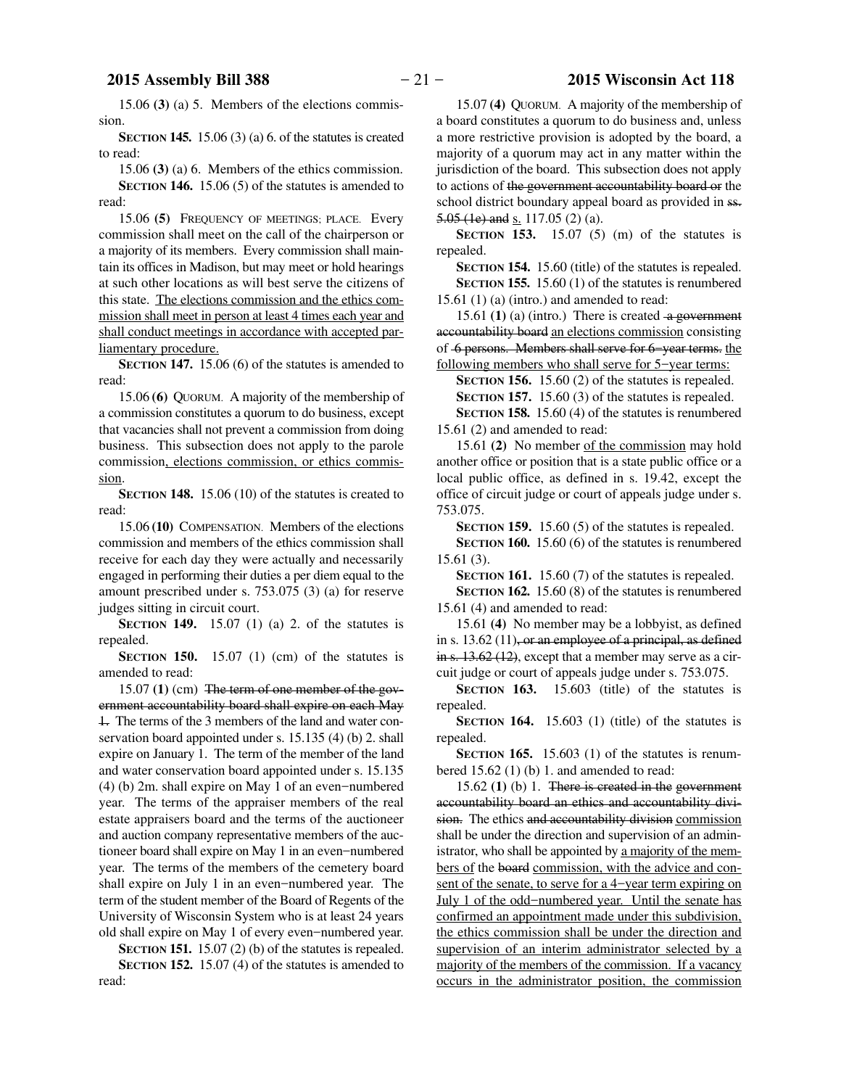15.06 **(3)** (a) 5. Members of the elections commission.

**SECTION 145.** 15.06 (3) (a) 6. of the statutes is created to read:

15.06 **(3)** (a) 6. Members of the ethics commission.

**SECTION 146.** 15.06 (5) of the statutes is amended to read:

15.06 **(5)** FREQUENCY OF MEETINGS; PLACE. Every commission shall meet on the call of the chairperson or a majority of its members. Every commission shall maintain its offices in Madison, but may meet or hold hearings at such other locations as will best serve the citizens of this state. The elections commission and the ethics commission shall meet in person at least 4 times each year and shall conduct meetings in accordance with accepted parliamentary procedure.

**SECTION 147.** 15.06 (6) of the statutes is amended to read:

15.06 **(6)** QUORUM. A majority of the membership of a commission constitutes a quorum to do business, except that vacancies shall not prevent a commission from doing business. This subsection does not apply to the parole commission, elections commission, or ethics commission.

**SECTION 148.** 15.06 (10) of the statutes is created to read:

15.06 **(10)** COMPENSATION. Members of the elections commission and members of the ethics commission shall receive for each day they were actually and necessarily engaged in performing their duties a per diem equal to the amount prescribed under s. 753.075 (3) (a) for reserve judges sitting in circuit court.

**SECTION 149.** 15.07 (1) (a) 2. of the statutes is repealed.

**SECTION 150.** 15.07 (1) (cm) of the statutes is amended to read:

15.07 **(1)** (cm) The term of one member of the government accountability board shall expire on each May 1. The terms of the 3 members of the land and water conservation board appointed under s. 15.135 (4) (b) 2. shall expire on January 1. The term of the member of the land and water conservation board appointed under s. 15.135 (4) (b) 2m. shall expire on May 1 of an even−numbered year. The terms of the appraiser members of the real estate appraisers board and the terms of the auctioneer and auction company representative members of the auctioneer board shall expire on May 1 in an even−numbered year. The terms of the members of the cemetery board shall expire on July 1 in an even−numbered year. The term of the student member of the Board of Regents of the University of Wisconsin System who is at least 24 years old shall expire on May 1 of every even−numbered year.

**SECTION 151.** 15.07 (2) (b) of the statutes is repealed. **SECTION 152.** 15.07 (4) of the statutes is amended to read:

15.07 **(4)** QUORUM. A majority of the membership of a board constitutes a quorum to do business and, unless a more restrictive provision is adopted by the board, a majority of a quorum may act in any matter within the jurisdiction of the board. This subsection does not apply to actions of the government accountability board or the school district boundary appeal board as provided in ss. 5.05 (1e) and s. 117.05 (2) (a).

**SECTION 153.** 15.07 (5) (m) of the statutes is repealed.

**SECTION 154.** 15.60 (title) of the statutes is repealed. **SECTION 155.** 15.60 (1) of the statutes is renumbered  $15.61$  (1) (a) (intro.) and amended to read:

15.61  $(1)$  (a) (intro.) There is created  $-a$  government accountability board an elections commission consisting of 6 persons. Members shall serve for 6−year terms. the following members who shall serve for 5−year terms:

**SECTION 156.** 15.60 (2) of the statutes is repealed.

**SECTION 157.** 15.60 (3) of the statutes is repealed.

**SECTION 158.** 15.60 (4) of the statutes is renumbered 15.61 (2) and amended to read:

15.61 **(2)** No member of the commission may hold another office or position that is a state public office or a local public office, as defined in s. 19.42, except the office of circuit judge or court of appeals judge under s. 753.075.

**SECTION 159.** 15.60 (5) of the statutes is repealed.

**SECTION 160.** 15.60 (6) of the statutes is renumbered 15.61 (3).

**SECTION 161.** 15.60 (7) of the statutes is repealed.

**SECTION 162.** 15.60 (8) of the statutes is renumbered 15.61 (4) and amended to read:

15.61 **(4)** No member may be a lobbyist, as defined in s. 13.62 (11), or an employee of a principal, as defined in s. 13.62 (12), except that a member may serve as a circuit judge or court of appeals judge under s. 753.075.

**SECTION 163.** 15.603 (title) of the statutes is repealed.

**SECTION 164.** 15.603 (1) (title) of the statutes is repealed.

**SECTION 165.** 15.603 (1) of the statutes is renumbered 15.62 (1) (b) 1. and amended to read:

15.62 **(1)** (b) 1. There is created in the government accountability board an ethics and accountability division. The ethics and accountability division commission shall be under the direction and supervision of an administrator, who shall be appointed by a majority of the members of the board commission, with the advice and consent of the senate, to serve for a 4−year term expiring on July 1 of the odd−numbered year. Until the senate has confirmed an appointment made under this subdivision, the ethics commission shall be under the direction and supervision of an interim administrator selected by a majority of the members of the commission. If a vacancy occurs in the administrator position, the commission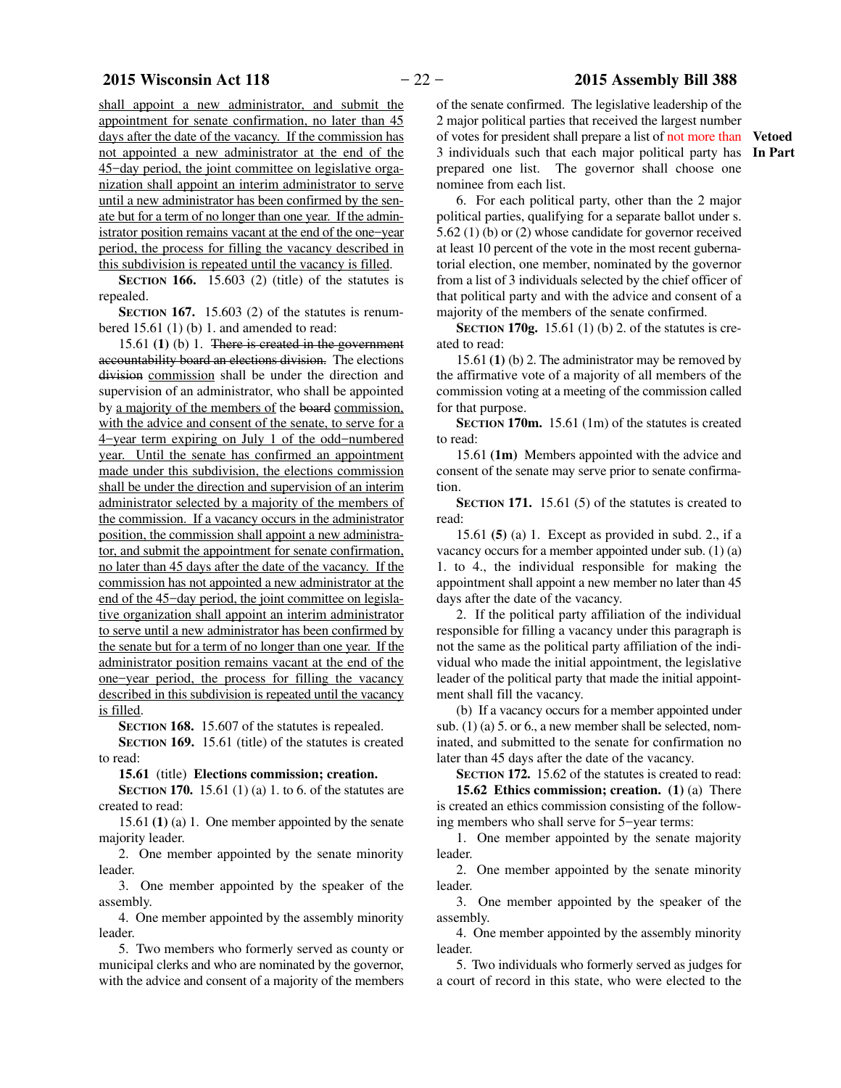shall appoint a new administrator, and submit the appointment for senate confirmation, no later than 45 days after the date of the vacancy. If the commission has not appointed a new administrator at the end of the 45−day period, the joint committee on legislative organization shall appoint an interim administrator to serve until a new administrator has been confirmed by the senate but for a term of no longer than one year. If the administrator position remains vacant at the end of the one−year period, the process for filling the vacancy described in this subdivision is repeated until the vacancy is filled.

**SECTION 166.** 15.603 (2) (title) of the statutes is repealed.

**SECTION 167.** 15.603 (2) of the statutes is renumbered 15.61 (1) (b) 1. and amended to read:

15.61 **(1)** (b) 1. There is created in the government accountability board an elections division. The elections division commission shall be under the direction and supervision of an administrator, who shall be appointed by a majority of the members of the board commission, with the advice and consent of the senate, to serve for a 4−year term expiring on July 1 of the odd−numbered year. Until the senate has confirmed an appointment made under this subdivision, the elections commission shall be under the direction and supervision of an interim administrator selected by a majority of the members of the commission. If a vacancy occurs in the administrator position, the commission shall appoint a new administrator, and submit the appointment for senate confirmation, no later than 45 days after the date of the vacancy. If the commission has not appointed a new administrator at the end of the 45−day period, the joint committee on legislative organization shall appoint an interim administrator to serve until a new administrator has been confirmed by the senate but for a term of no longer than one year. If the administrator position remains vacant at the end of the one−year period, the process for filling the vacancy described in this subdivision is repeated until the vacancy is filled.

**SECTION 168.** 15.607 of the statutes is repealed.

**SECTION 169.** 15.61 (title) of the statutes is created to read:

**15.61** (title) **Elections commission; creation.**

**SECTION 170.** 15.61 (1) (a) 1. to 6. of the statutes are created to read:

15.61 **(1)** (a) 1. One member appointed by the senate majority leader.

2. One member appointed by the senate minority leader.

3. One member appointed by the speaker of the assembly.

4. One member appointed by the assembly minority leader.

5. Two members who formerly served as county or municipal clerks and who are nominated by the governor, with the advice and consent of a majority of the members of the senate confirmed. The legislative leadership of the 2 major political parties that received the largest number of votes for president shall prepare a list of not more than 3 individuals such that each major political party has prepared one list. The governor shall choose one nominee from each list.

6. For each political party, other than the 2 major political parties, qualifying for a separate ballot under s. 5.62 (1) (b) or (2) whose candidate for governor received at least 10 percent of the vote in the most recent gubernatorial election, one member, nominated by the governor from a list of 3 individuals selected by the chief officer of that political party and with the advice and consent of a majority of the members of the senate confirmed.

**SECTION 170g.** 15.61 (1) (b) 2. of the statutes is created to read:

15.61 **(1)** (b) 2. The administrator may be removed by the affirmative vote of a majority of all members of the commission voting at a meeting of the commission called for that purpose.

**SECTION 170m.** 15.61 (1m) of the statutes is created to read:

15.61 **(1m)** Members appointed with the advice and consent of the senate may serve prior to senate confirmation.

**SECTION 171.** 15.61 (5) of the statutes is created to read:

15.61 **(5)** (a) 1. Except as provided in subd. 2., if a vacancy occurs for a member appointed under sub. (1) (a) 1. to 4., the individual responsible for making the appointment shall appoint a new member no later than 45 days after the date of the vacancy.

2. If the political party affiliation of the individual responsible for filling a vacancy under this paragraph is not the same as the political party affiliation of the individual who made the initial appointment, the legislative leader of the political party that made the initial appointment shall fill the vacancy.

(b) If a vacancy occurs for a member appointed under sub. (1) (a) 5. or 6., a new member shall be selected, nominated, and submitted to the senate for confirmation no later than 45 days after the date of the vacancy.

**SECTION 172.** 15.62 of the statutes is created to read:

**15.62 Ethics commission; creation. (1)** (a) There is created an ethics commission consisting of the following members who shall serve for 5−year terms:

1. One member appointed by the senate majority leader.

2. One member appointed by the senate minority leader.

3. One member appointed by the speaker of the assembly.

4. One member appointed by the assembly minority leader.

5. Two individuals who formerly served as judges for a court of record in this state, who were elected to the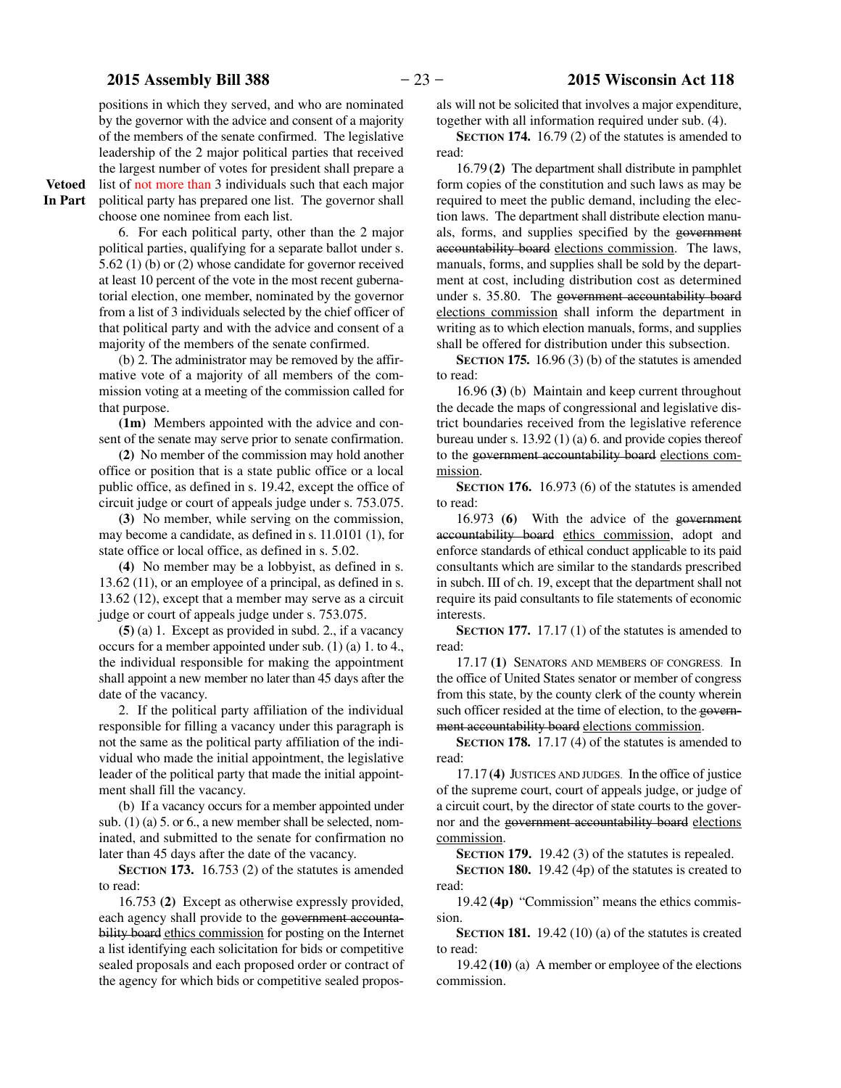positions in which they served, and who are nominated by the governor with the advice and consent of a majority of the members of the senate confirmed. The legislative leadership of the 2 major political parties that received the largest number of votes for president shall prepare a list of not more than 3 individuals such that each major political party has prepared one list. The governor shall choose one nominee from each list.

**Vetoed In Part**

> 6. For each political party, other than the 2 major political parties, qualifying for a separate ballot under s. 5.62 (1) (b) or (2) whose candidate for governor received at least 10 percent of the vote in the most recent gubernatorial election, one member, nominated by the governor from a list of 3 individuals selected by the chief officer of that political party and with the advice and consent of a majority of the members of the senate confirmed.

> (b) 2. The administrator may be removed by the affirmative vote of a majority of all members of the commission voting at a meeting of the commission called for that purpose.

> **(1m)** Members appointed with the advice and consent of the senate may serve prior to senate confirmation.

> **(2)** No member of the commission may hold another office or position that is a state public office or a local public office, as defined in s. 19.42, except the office of circuit judge or court of appeals judge under s. 753.075.

> **(3)** No member, while serving on the commission, may become a candidate, as defined in s. 11.0101 (1), for state office or local office, as defined in s. 5.02.

> **(4)** No member may be a lobbyist, as defined in s. 13.62 (11), or an employee of a principal, as defined in s. 13.62 (12), except that a member may serve as a circuit judge or court of appeals judge under s. 753.075.

> **(5)** (a) 1. Except as provided in subd. 2., if a vacancy occurs for a member appointed under sub. (1) (a) 1. to 4., the individual responsible for making the appointment shall appoint a new member no later than 45 days after the date of the vacancy.

> 2. If the political party affiliation of the individual responsible for filling a vacancy under this paragraph is not the same as the political party affiliation of the individual who made the initial appointment, the legislative leader of the political party that made the initial appointment shall fill the vacancy.

> (b) If a vacancy occurs for a member appointed under sub. (1) (a) 5. or 6., a new member shall be selected, nominated, and submitted to the senate for confirmation no later than 45 days after the date of the vacancy.

> **SECTION 173.** 16.753 (2) of the statutes is amended to read:

> 16.753 **(2)** Except as otherwise expressly provided, each agency shall provide to the government accountability board ethics commission for posting on the Internet a list identifying each solicitation for bids or competitive sealed proposals and each proposed order or contract of the agency for which bids or competitive sealed propos-

als will not be solicited that involves a major expenditure, together with all information required under sub. (4).

**SECTION 174.** 16.79 (2) of the statutes is amended to read:

16.79 **(2)** The department shall distribute in pamphlet form copies of the constitution and such laws as may be required to meet the public demand, including the election laws. The department shall distribute election manuals, forms, and supplies specified by the government accountability board elections commission. The laws, manuals, forms, and supplies shall be sold by the department at cost, including distribution cost as determined under s. 35.80. The government accountability board elections commission shall inform the department in writing as to which election manuals, forms, and supplies shall be offered for distribution under this subsection.

**SECTION 175.** 16.96 (3) (b) of the statutes is amended to read:

16.96 **(3)** (b) Maintain and keep current throughout the decade the maps of congressional and legislative district boundaries received from the legislative reference bureau under s. 13.92 (1) (a) 6. and provide copies thereof to the government accountability board elections commission.

**SECTION 176.** 16.973 (6) of the statutes is amended to read:

16.973 **(6)** With the advice of the government accountability board ethics commission, adopt and enforce standards of ethical conduct applicable to its paid consultants which are similar to the standards prescribed in subch. III of ch. 19, except that the department shall not require its paid consultants to file statements of economic interests.

**SECTION 177.** 17.17 (1) of the statutes is amended to read:

17.17 **(1)** SENATORS AND MEMBERS OF CONGRESS. In the office of United States senator or member of congress from this state, by the county clerk of the county wherein such officer resided at the time of election, to the government accountability board elections commission.

**SECTION 178.** 17.17 (4) of the statutes is amended to read:

17.17 **(4)** JUSTICES AND JUDGES. In the office of justice of the supreme court, court of appeals judge, or judge of a circuit court, by the director of state courts to the governor and the government accountability board elections commission.

**SECTION 179.** 19.42 (3) of the statutes is repealed.

**SECTION 180.** 19.42 (4p) of the statutes is created to read:

19.42 **(4p)** "Commission" means the ethics commission.

**SECTION 181.** 19.42 (10) (a) of the statutes is created to read:

19.42 **(10)** (a) A member or employee of the elections commission.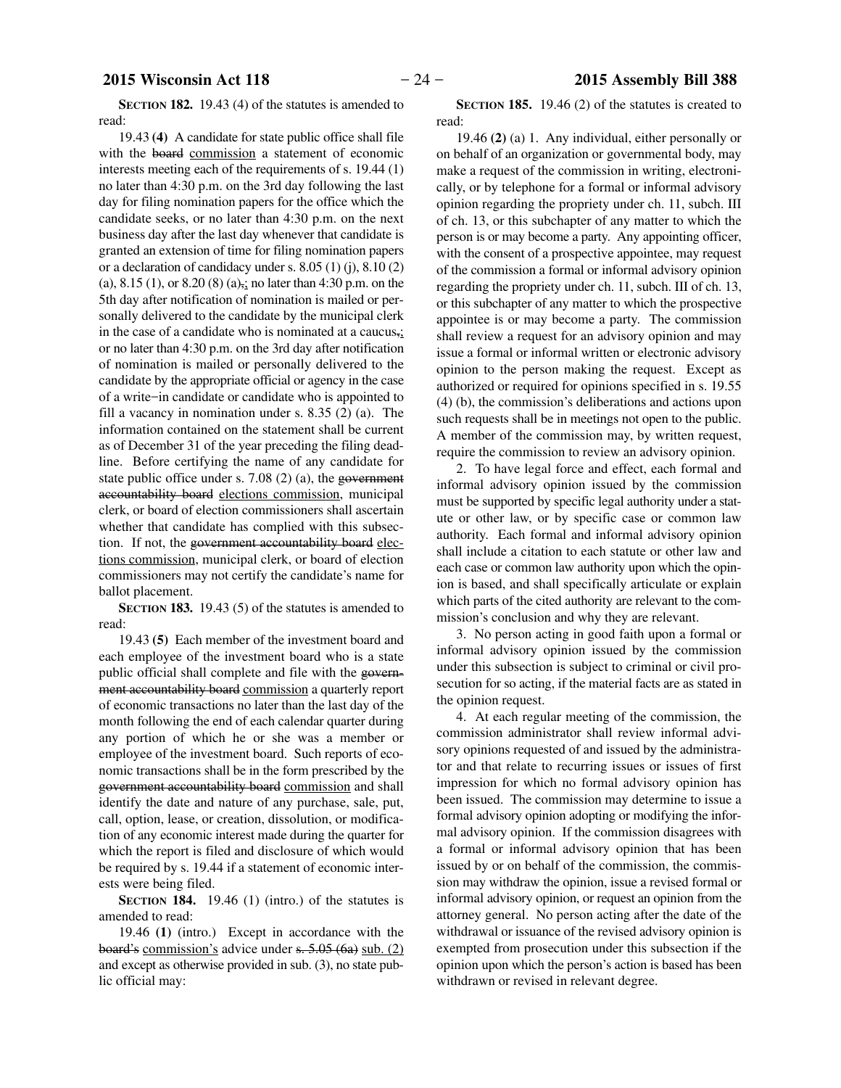**SECTION 182.** 19.43 (4) of the statutes is amended to read:

19.43 **(4)** A candidate for state public office shall file with the board commission a statement of economic interests meeting each of the requirements of s. 19.44 (1) no later than 4:30 p.m. on the 3rd day following the last day for filing nomination papers for the office which the candidate seeks, or no later than 4:30 p.m. on the next business day after the last day whenever that candidate is granted an extension of time for filing nomination papers or a declaration of candidacy under s. 8.05 (1) (j), 8.10 (2) (a), 8.15 (1), or 8.20 (8) (a), no later than 4:30 p.m. on the 5th day after notification of nomination is mailed or personally delivered to the candidate by the municipal clerk in the case of a candidate who is nominated at a caucus $\frac{1}{2}$ or no later than 4:30 p.m. on the 3rd day after notification of nomination is mailed or personally delivered to the candidate by the appropriate official or agency in the case of a write−in candidate or candidate who is appointed to fill a vacancy in nomination under s. 8.35 (2) (a). The information contained on the statement shall be current as of December 31 of the year preceding the filing deadline. Before certifying the name of any candidate for state public office under s. 7.08 (2) (a), the government accountability board elections commission, municipal clerk, or board of election commissioners shall ascertain whether that candidate has complied with this subsection. If not, the government accountability board elections commission, municipal clerk, or board of election commissioners may not certify the candidate's name for ballot placement.

**SECTION 183.** 19.43 (5) of the statutes is amended to read:

19.43 **(5)** Each member of the investment board and each employee of the investment board who is a state public official shall complete and file with the government accountability board commission a quarterly report of economic transactions no later than the last day of the month following the end of each calendar quarter during any portion of which he or she was a member or employee of the investment board. Such reports of economic transactions shall be in the form prescribed by the government accountability board commission and shall identify the date and nature of any purchase, sale, put, call, option, lease, or creation, dissolution, or modification of any economic interest made during the quarter for which the report is filed and disclosure of which would be required by s. 19.44 if a statement of economic interests were being filed.

**SECTION 184.** 19.46 (1) (intro.) of the statutes is amended to read:

19.46 **(1)** (intro.) Except in accordance with the board's commission's advice under s. 5.05 (6a) sub. (2) and except as otherwise provided in sub. (3), no state public official may:

**SECTION 185.** 19.46 (2) of the statutes is created to read:

19.46 **(2)** (a) 1. Any individual, either personally or on behalf of an organization or governmental body, may make a request of the commission in writing, electronically, or by telephone for a formal or informal advisory opinion regarding the propriety under ch. 11, subch. III of ch. 13, or this subchapter of any matter to which the person is or may become a party. Any appointing officer, with the consent of a prospective appointee, may request of the commission a formal or informal advisory opinion regarding the propriety under ch. 11, subch. III of ch. 13, or this subchapter of any matter to which the prospective appointee is or may become a party. The commission shall review a request for an advisory opinion and may issue a formal or informal written or electronic advisory opinion to the person making the request. Except as authorized or required for opinions specified in s. 19.55 (4) (b), the commission's deliberations and actions upon such requests shall be in meetings not open to the public. A member of the commission may, by written request, require the commission to review an advisory opinion.

2. To have legal force and effect, each formal and informal advisory opinion issued by the commission must be supported by specific legal authority under a statute or other law, or by specific case or common law authority. Each formal and informal advisory opinion shall include a citation to each statute or other law and each case or common law authority upon which the opinion is based, and shall specifically articulate or explain which parts of the cited authority are relevant to the commission's conclusion and why they are relevant.

3. No person acting in good faith upon a formal or informal advisory opinion issued by the commission under this subsection is subject to criminal or civil prosecution for so acting, if the material facts are as stated in the opinion request.

4. At each regular meeting of the commission, the commission administrator shall review informal advisory opinions requested of and issued by the administrator and that relate to recurring issues or issues of first impression for which no formal advisory opinion has been issued. The commission may determine to issue a formal advisory opinion adopting or modifying the informal advisory opinion. If the commission disagrees with a formal or informal advisory opinion that has been issued by or on behalf of the commission, the commission may withdraw the opinion, issue a revised formal or informal advisory opinion, or request an opinion from the attorney general. No person acting after the date of the withdrawal or issuance of the revised advisory opinion is exempted from prosecution under this subsection if the opinion upon which the person's action is based has been withdrawn or revised in relevant degree.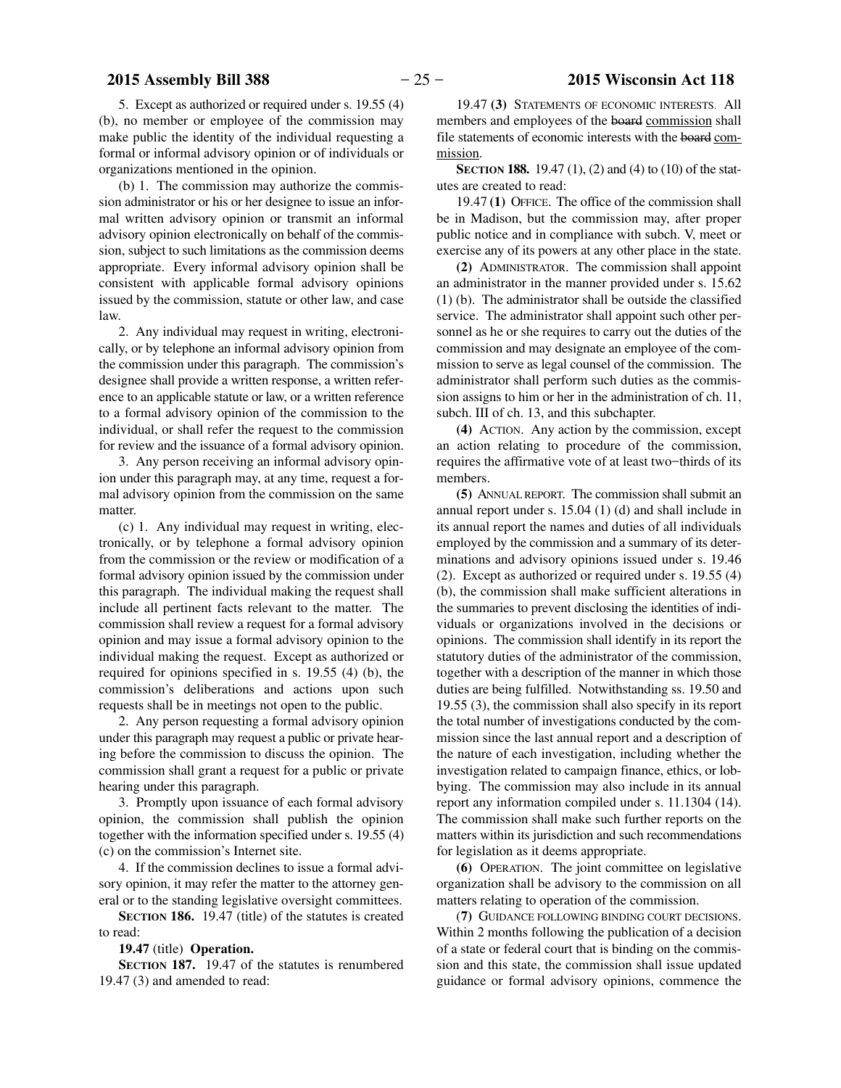5. Except as authorized or required under s. 19.55 (4) (b), no member or employee of the commission may make public the identity of the individual requesting a formal or informal advisory opinion or of individuals or organizations mentioned in the opinion.

(b) 1. The commission may authorize the commission administrator or his or her designee to issue an informal written advisory opinion or transmit an informal advisory opinion electronically on behalf of the commission, subject to such limitations as the commission deems appropriate. Every informal advisory opinion shall be consistent with applicable formal advisory opinions issued by the commission, statute or other law, and case law.

2. Any individual may request in writing, electronically, or by telephone an informal advisory opinion from the commission under this paragraph. The commission's designee shall provide a written response, a written reference to an applicable statute or law, or a written reference to a formal advisory opinion of the commission to the individual, or shall refer the request to the commission for review and the issuance of a formal advisory opinion.

3. Any person receiving an informal advisory opinion under this paragraph may, at any time, request a formal advisory opinion from the commission on the same matter.

(c) 1. Any individual may request in writing, electronically, or by telephone a formal advisory opinion from the commission or the review or modification of a formal advisory opinion issued by the commission under this paragraph. The individual making the request shall include all pertinent facts relevant to the matter. The commission shall review a request for a formal advisory opinion and may issue a formal advisory opinion to the individual making the request. Except as authorized or required for opinions specified in s. 19.55 (4) (b), the commission's deliberations and actions upon such requests shall be in meetings not open to the public.

2. Any person requesting a formal advisory opinion under this paragraph may request a public or private hearing before the commission to discuss the opinion. The commission shall grant a request for a public or private hearing under this paragraph.

3. Promptly upon issuance of each formal advisory opinion, the commission shall publish the opinion together with the information specified under s. 19.55 (4) (c) on the commission's Internet site.

4. If the commission declines to issue a formal advisory opinion, it may refer the matter to the attorney general or to the standing legislative oversight committees.

**SECTION 186.** 19.47 (title) of the statutes is created to read:

**19.47** (title) **Operation.**

**SECTION 187.** 19.47 of the statutes is renumbered 19.47 (3) and amended to read:

19.47 **(3)** STATEMENTS OF ECONOMIC INTERESTS. All members and employees of the board commission shall file statements of economic interests with the board commission.

**SECTION 188.** 19.47 (1), (2) and (4) to (10) of the statutes are created to read:

19.47 **(1)** OFFICE.The office of the commission shall be in Madison, but the commission may, after proper public notice and in compliance with subch. V, meet or exercise any of its powers at any other place in the state.

**(2)** ADMINISTRATOR. The commission shall appoint an administrator in the manner provided under s. 15.62 (1) (b). The administrator shall be outside the classified service. The administrator shall appoint such other personnel as he or she requires to carry out the duties of the commission and may designate an employee of the commission to serve as legal counsel of the commission. The administrator shall perform such duties as the commission assigns to him or her in the administration of ch. 11, subch. III of ch. 13, and this subchapter.

**(4)** ACTION. Any action by the commission, except an action relating to procedure of the commission, requires the affirmative vote of at least two−thirds of its members.

**(5)** ANNUAL REPORT. The commission shall submit an annual report under s. 15.04 (1) (d) and shall include in its annual report the names and duties of all individuals employed by the commission and a summary of its determinations and advisory opinions issued under s. 19.46 (2). Except as authorized or required under s. 19.55 (4) (b), the commission shall make sufficient alterations in the summaries to prevent disclosing the identities of individuals or organizations involved in the decisions or opinions. The commission shall identify in its report the statutory duties of the administrator of the commission, together with a description of the manner in which those duties are being fulfilled. Notwithstanding ss. 19.50 and 19.55 (3), the commission shall also specify in its report the total number of investigations conducted by the commission since the last annual report and a description of the nature of each investigation, including whether the investigation related to campaign finance, ethics, or lobbying. The commission may also include in its annual report any information compiled under s. 11.1304 (14). The commission shall make such further reports on the matters within its jurisdiction and such recommendations for legislation as it deems appropriate.

**(6)** OPERATION. The joint committee on legislative organization shall be advisory to the commission on all matters relating to operation of the commission.

(**7)** GUIDANCE FOLLOWING BINDING COURT DECISIONS. Within 2 months following the publication of a decision of a state or federal court that is binding on the commission and this state, the commission shall issue updated guidance or formal advisory opinions, commence the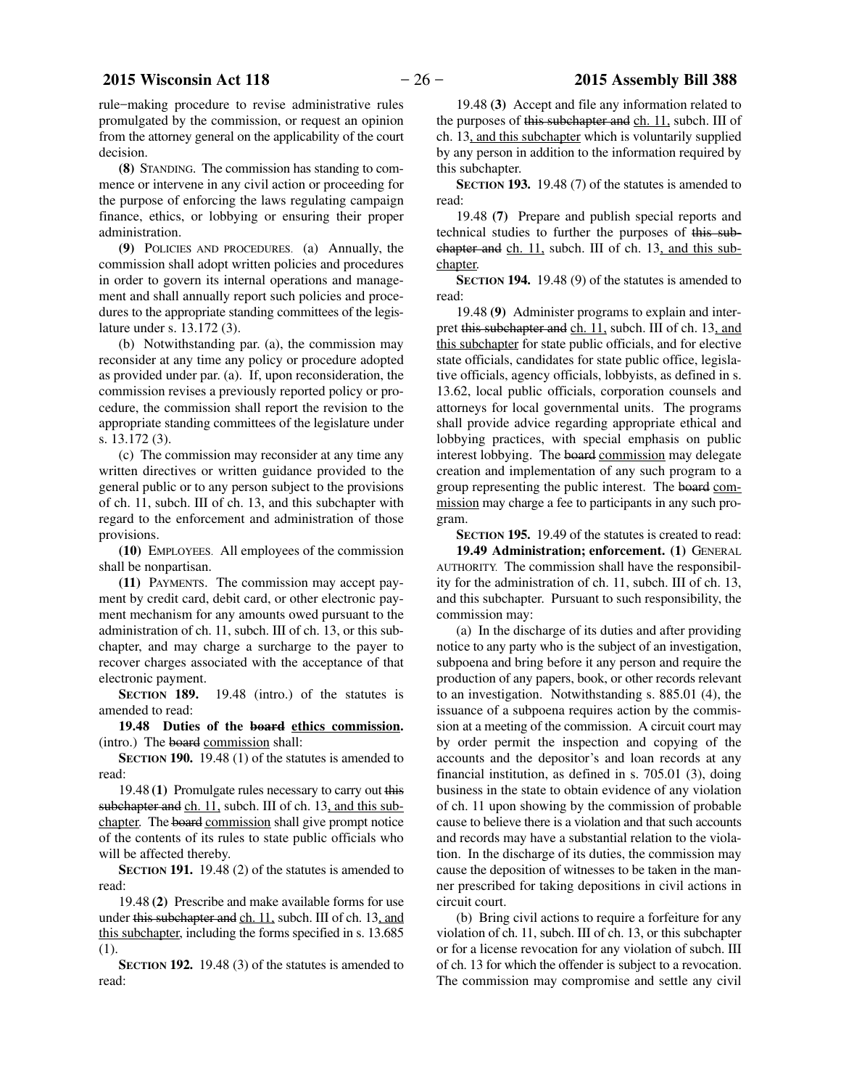rule−making procedure to revise administrative rules promulgated by the commission, or request an opinion from the attorney general on the applicability of the court decision.

**(8)** STANDING. The commission has standing to commence or intervene in any civil action or proceeding for the purpose of enforcing the laws regulating campaign finance, ethics, or lobbying or ensuring their proper administration.

**(9)** POLICIES AND PROCEDURES. (a) Annually, the commission shall adopt written policies and procedures in order to govern its internal operations and management and shall annually report such policies and procedures to the appropriate standing committees of the legislature under s. 13.172 (3).

(b) Notwithstanding par. (a), the commission may reconsider at any time any policy or procedure adopted as provided under par. (a). If, upon reconsideration, the commission revises a previously reported policy or procedure, the commission shall report the revision to the appropriate standing committees of the legislature under s. 13.172 (3).

(c) The commission may reconsider at any time any written directives or written guidance provided to the general public or to any person subject to the provisions of ch. 11, subch. III of ch. 13, and this subchapter with regard to the enforcement and administration of those provisions.

**(10)** EMPLOYEES. All employees of the commission shall be nonpartisan.

**(11)** PAYMENTS. The commission may accept payment by credit card, debit card, or other electronic payment mechanism for any amounts owed pursuant to the administration of ch. 11, subch. III of ch. 13, or this subchapter, and may charge a surcharge to the payer to recover charges associated with the acceptance of that electronic payment.

**SECTION** 189. 19.48 (intro.) of the statutes is amended to read:

**19.48 Duties of the board ethics commission.** (intro.) The board commission shall:

**SECTION 190.** 19.48 (1) of the statutes is amended to read:

19.48 **(1)** Promulgate rules necessary to carry out this subchapter and ch. 11, subch. III of ch. 13, and this subchapter. The board commission shall give prompt notice of the contents of its rules to state public officials who will be affected thereby.

**SECTION 191.** 19.48 (2) of the statutes is amended to read:

19.48 **(2)** Prescribe and make available forms for use under this subchapter and ch. 11, subch. III of ch. 13, and this subchapter, including the forms specified in s. 13.685 (1).

**SECTION 192.** 19.48 (3) of the statutes is amended to read:

19.48 **(3)** Accept and file any information related to the purposes of this subchapter and ch. 11, subch. III of ch. 13, and this subchapter which is voluntarily supplied by any person in addition to the information required by this subchapter.

**SECTION 193.** 19.48 (7) of the statutes is amended to read:

19.48 **(7)** Prepare and publish special reports and technical studies to further the purposes of this subchapter and ch. 11, subch. III of ch. 13, and this subchapter.

**SECTION 194.** 19.48 (9) of the statutes is amended to read:

19.48 **(9)** Administer programs to explain and interpret this subchapter and ch. 11, subch. III of ch. 13, and this subchapter for state public officials, and for elective state officials, candidates for state public office, legislative officials, agency officials, lobbyists, as defined in s. 13.62, local public officials, corporation counsels and attorneys for local governmental units. The programs shall provide advice regarding appropriate ethical and lobbying practices, with special emphasis on public interest lobbying. The board commission may delegate creation and implementation of any such program to a group representing the public interest. The board commission may charge a fee to participants in any such program.

**SECTION 195.** 19.49 of the statutes is created to read:

**19.49 Administration; enforcement. (1)** GENERAL AUTHORITY. The commission shall have the responsibility for the administration of ch. 11, subch. III of ch. 13, and this subchapter. Pursuant to such responsibility, the commission may:

(a) In the discharge of its duties and after providing notice to any party who is the subject of an investigation, subpoena and bring before it any person and require the production of any papers, book, or other records relevant to an investigation. Notwithstanding s. 885.01 (4), the issuance of a subpoena requires action by the commission at a meeting of the commission. A circuit court may by order permit the inspection and copying of the accounts and the depositor's and loan records at any financial institution, as defined in s. 705.01 (3), doing business in the state to obtain evidence of any violation of ch. 11 upon showing by the commission of probable cause to believe there is a violation and that such accounts and records may have a substantial relation to the violation. In the discharge of its duties, the commission may cause the deposition of witnesses to be taken in the manner prescribed for taking depositions in civil actions in circuit court.

(b) Bring civil actions to require a forfeiture for any violation of ch. 11, subch. III of ch. 13, or this subchapter or for a license revocation for any violation of subch. III of ch. 13 for which the offender is subject to a revocation. The commission may compromise and settle any civil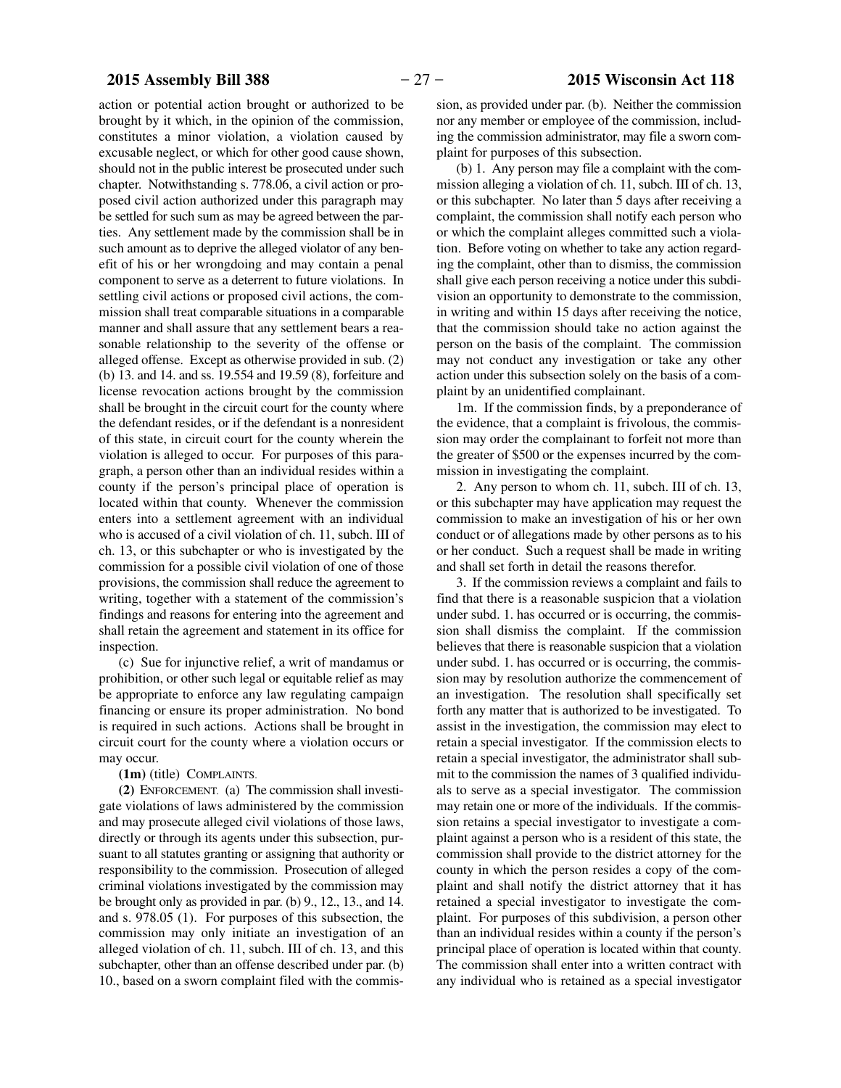action or potential action brought or authorized to be brought by it which, in the opinion of the commission, constitutes a minor violation, a violation caused by excusable neglect, or which for other good cause shown, should not in the public interest be prosecuted under such chapter. Notwithstanding s. 778.06, a civil action or proposed civil action authorized under this paragraph may be settled for such sum as may be agreed between the parties. Any settlement made by the commission shall be in such amount as to deprive the alleged violator of any benefit of his or her wrongdoing and may contain a penal component to serve as a deterrent to future violations. In settling civil actions or proposed civil actions, the commission shall treat comparable situations in a comparable manner and shall assure that any settlement bears a reasonable relationship to the severity of the offense or alleged offense. Except as otherwise provided in sub. (2) (b) 13. and 14. and ss. 19.554 and 19.59 (8), forfeiture and license revocation actions brought by the commission shall be brought in the circuit court for the county where the defendant resides, or if the defendant is a nonresident of this state, in circuit court for the county wherein the violation is alleged to occur. For purposes of this paragraph, a person other than an individual resides within a county if the person's principal place of operation is located within that county. Whenever the commission enters into a settlement agreement with an individual who is accused of a civil violation of ch. 11, subch. III of ch. 13, or this subchapter or who is investigated by the commission for a possible civil violation of one of those provisions, the commission shall reduce the agreement to writing, together with a statement of the commission's findings and reasons for entering into the agreement and shall retain the agreement and statement in its office for inspection.

(c) Sue for injunctive relief, a writ of mandamus or prohibition, or other such legal or equitable relief as may be appropriate to enforce any law regulating campaign financing or ensure its proper administration. No bond is required in such actions. Actions shall be brought in circuit court for the county where a violation occurs or may occur.

**(1m)** (title) COMPLAINTS.

**(2)** ENFORCEMENT. (a) The commission shall investigate violations of laws administered by the commission and may prosecute alleged civil violations of those laws, directly or through its agents under this subsection, pursuant to all statutes granting or assigning that authority or responsibility to the commission. Prosecution of alleged criminal violations investigated by the commission may be brought only as provided in par. (b) 9., 12., 13., and 14. and s. 978.05 (1). For purposes of this subsection, the commission may only initiate an investigation of an alleged violation of ch. 11, subch. III of ch. 13, and this subchapter, other than an offense described under par. (b) 10., based on a sworn complaint filed with the commis-

sion, as provided under par. (b). Neither the commission nor any member or employee of the commission, including the commission administrator, may file a sworn complaint for purposes of this subsection.

(b) 1. Any person may file a complaint with the commission alleging a violation of ch. 11, subch. III of ch. 13, or this subchapter. No later than 5 days after receiving a complaint, the commission shall notify each person who or which the complaint alleges committed such a violation. Before voting on whether to take any action regarding the complaint, other than to dismiss, the commission shall give each person receiving a notice under this subdivision an opportunity to demonstrate to the commission, in writing and within 15 days after receiving the notice, that the commission should take no action against the person on the basis of the complaint. The commission may not conduct any investigation or take any other action under this subsection solely on the basis of a complaint by an unidentified complainant.

1m. If the commission finds, by a preponderance of the evidence, that a complaint is frivolous, the commission may order the complainant to forfeit not more than the greater of \$500 or the expenses incurred by the commission in investigating the complaint.

2. Any person to whom ch. 11, subch. III of ch. 13, or this subchapter may have application may request the commission to make an investigation of his or her own conduct or of allegations made by other persons as to his or her conduct. Such a request shall be made in writing and shall set forth in detail the reasons therefor.

3. If the commission reviews a complaint and fails to find that there is a reasonable suspicion that a violation under subd. 1. has occurred or is occurring, the commission shall dismiss the complaint. If the commission believes that there is reasonable suspicion that a violation under subd. 1. has occurred or is occurring, the commission may by resolution authorize the commencement of an investigation. The resolution shall specifically set forth any matter that is authorized to be investigated. To assist in the investigation, the commission may elect to retain a special investigator. If the commission elects to retain a special investigator, the administrator shall submit to the commission the names of 3 qualified individuals to serve as a special investigator. The commission may retain one or more of the individuals. If the commission retains a special investigator to investigate a complaint against a person who is a resident of this state, the commission shall provide to the district attorney for the county in which the person resides a copy of the complaint and shall notify the district attorney that it has retained a special investigator to investigate the complaint. For purposes of this subdivision, a person other than an individual resides within a county if the person's principal place of operation is located within that county. The commission shall enter into a written contract with any individual who is retained as a special investigator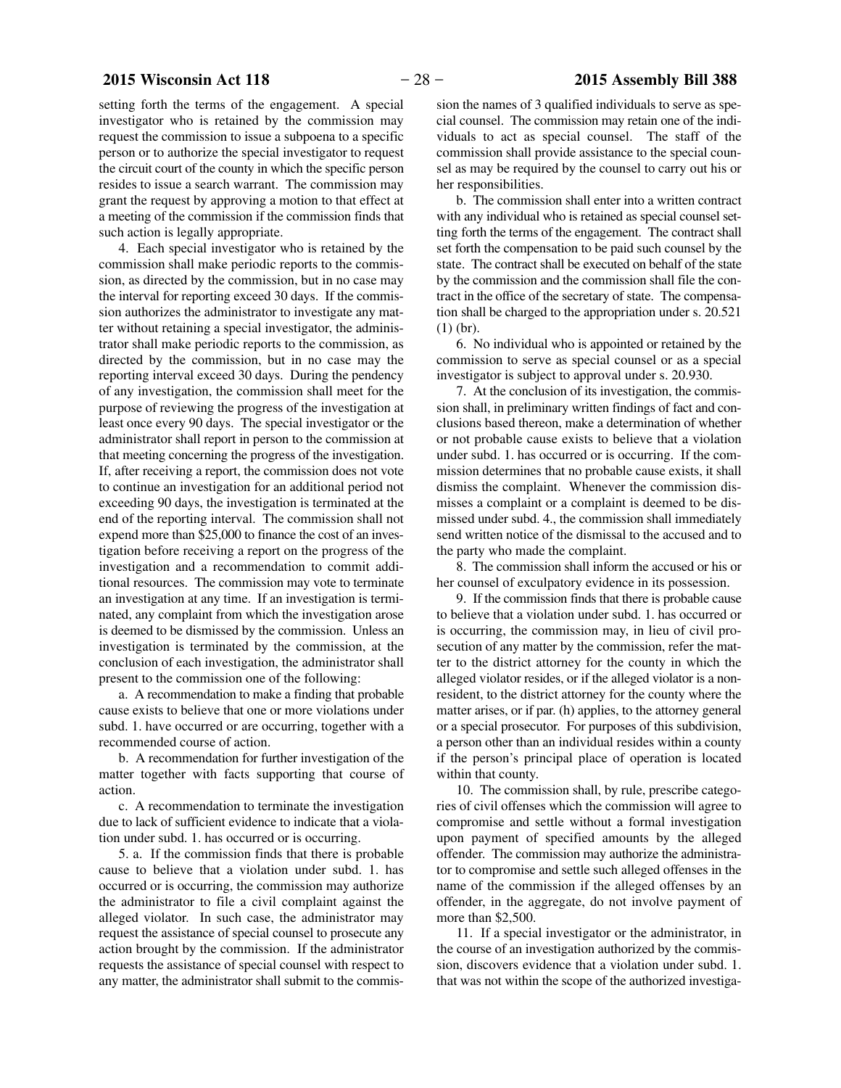setting forth the terms of the engagement. A special investigator who is retained by the commission may request the commission to issue a subpoena to a specific person or to authorize the special investigator to request the circuit court of the county in which the specific person resides to issue a search warrant. The commission may grant the request by approving a motion to that effect at a meeting of the commission if the commission finds that such action is legally appropriate.

4. Each special investigator who is retained by the commission shall make periodic reports to the commission, as directed by the commission, but in no case may the interval for reporting exceed 30 days. If the commission authorizes the administrator to investigate any matter without retaining a special investigator, the administrator shall make periodic reports to the commission, as directed by the commission, but in no case may the reporting interval exceed 30 days. During the pendency of any investigation, the commission shall meet for the purpose of reviewing the progress of the investigation at least once every 90 days. The special investigator or the administrator shall report in person to the commission at that meeting concerning the progress of the investigation. If, after receiving a report, the commission does not vote to continue an investigation for an additional period not exceeding 90 days, the investigation is terminated at the end of the reporting interval. The commission shall not expend more than \$25,000 to finance the cost of an investigation before receiving a report on the progress of the investigation and a recommendation to commit additional resources. The commission may vote to terminate an investigation at any time. If an investigation is terminated, any complaint from which the investigation arose is deemed to be dismissed by the commission. Unless an investigation is terminated by the commission, at the conclusion of each investigation, the administrator shall present to the commission one of the following:

a. A recommendation to make a finding that probable cause exists to believe that one or more violations under subd. 1. have occurred or are occurring, together with a recommended course of action.

b. A recommendation for further investigation of the matter together with facts supporting that course of action.

c. A recommendation to terminate the investigation due to lack of sufficient evidence to indicate that a violation under subd. 1. has occurred or is occurring.

5. a. If the commission finds that there is probable cause to believe that a violation under subd. 1. has occurred or is occurring, the commission may authorize the administrator to file a civil complaint against the alleged violator. In such case, the administrator may request the assistance of special counsel to prosecute any action brought by the commission. If the administrator requests the assistance of special counsel with respect to any matter, the administrator shall submit to the commission the names of 3 qualified individuals to serve as special counsel. The commission may retain one of the individuals to act as special counsel. The staff of the commission shall provide assistance to the special counsel as may be required by the counsel to carry out his or her responsibilities.

b. The commission shall enter into a written contract with any individual who is retained as special counsel setting forth the terms of the engagement. The contract shall set forth the compensation to be paid such counsel by the state. The contract shall be executed on behalf of the state by the commission and the commission shall file the contract in the office of the secretary of state. The compensation shall be charged to the appropriation under s. 20.521 (1) (br).

6. No individual who is appointed or retained by the commission to serve as special counsel or as a special investigator is subject to approval under s. 20.930.

7. At the conclusion of its investigation, the commission shall, in preliminary written findings of fact and conclusions based thereon, make a determination of whether or not probable cause exists to believe that a violation under subd. 1. has occurred or is occurring. If the commission determines that no probable cause exists, it shall dismiss the complaint. Whenever the commission dismisses a complaint or a complaint is deemed to be dismissed under subd. 4., the commission shall immediately send written notice of the dismissal to the accused and to the party who made the complaint.

8. The commission shall inform the accused or his or her counsel of exculpatory evidence in its possession.

9. If the commission finds that there is probable cause to believe that a violation under subd. 1. has occurred or is occurring, the commission may, in lieu of civil prosecution of any matter by the commission, refer the matter to the district attorney for the county in which the alleged violator resides, or if the alleged violator is a nonresident, to the district attorney for the county where the matter arises, or if par. (h) applies, to the attorney general or a special prosecutor. For purposes of this subdivision, a person other than an individual resides within a county if the person's principal place of operation is located within that county.

10. The commission shall, by rule, prescribe categories of civil offenses which the commission will agree to compromise and settle without a formal investigation upon payment of specified amounts by the alleged offender. The commission may authorize the administrator to compromise and settle such alleged offenses in the name of the commission if the alleged offenses by an offender, in the aggregate, do not involve payment of more than \$2,500.

11. If a special investigator or the administrator, in the course of an investigation authorized by the commission, discovers evidence that a violation under subd. 1. that was not within the scope of the authorized investiga-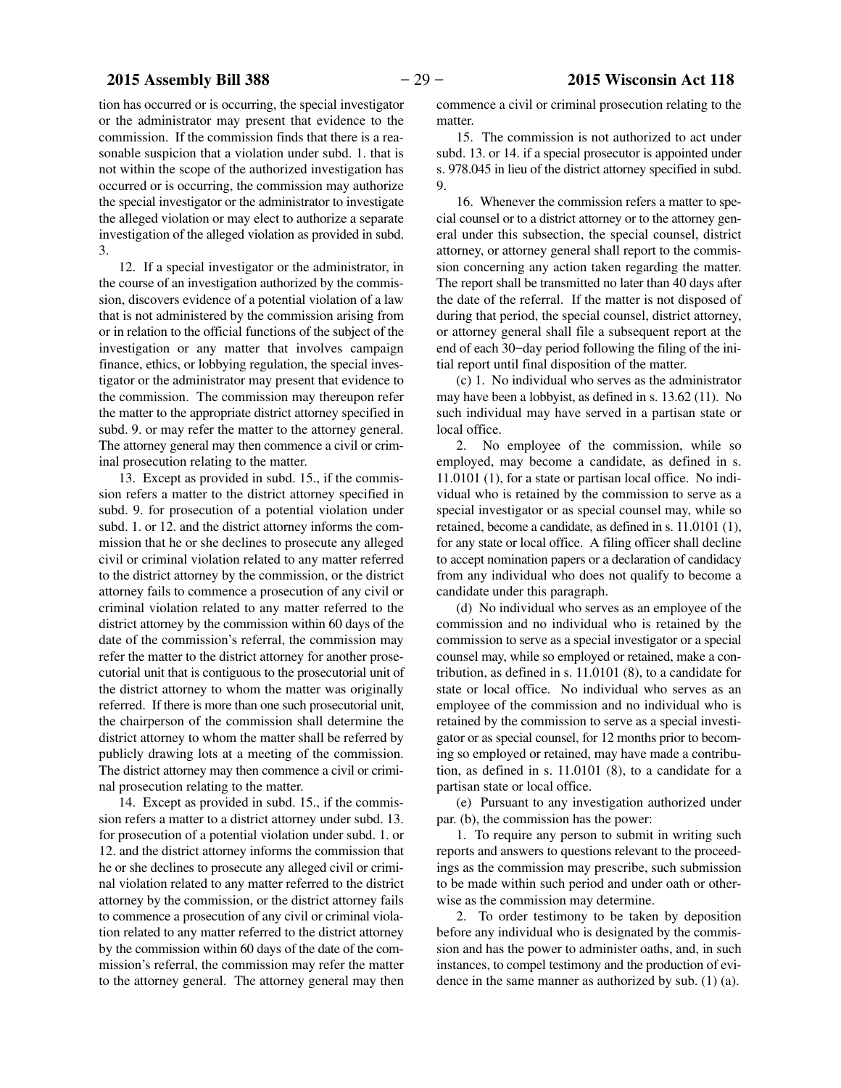tion has occurred or is occurring, the special investigator or the administrator may present that evidence to the commission. If the commission finds that there is a reasonable suspicion that a violation under subd. 1. that is not within the scope of the authorized investigation has occurred or is occurring, the commission may authorize the special investigator or the administrator to investigate the alleged violation or may elect to authorize a separate investigation of the alleged violation as provided in subd. 3.

12. If a special investigator or the administrator, in the course of an investigation authorized by the commission, discovers evidence of a potential violation of a law that is not administered by the commission arising from or in relation to the official functions of the subject of the investigation or any matter that involves campaign finance, ethics, or lobbying regulation, the special investigator or the administrator may present that evidence to the commission. The commission may thereupon refer the matter to the appropriate district attorney specified in subd. 9. or may refer the matter to the attorney general. The attorney general may then commence a civil or criminal prosecution relating to the matter.

13. Except as provided in subd. 15., if the commission refers a matter to the district attorney specified in subd. 9. for prosecution of a potential violation under subd. 1. or 12. and the district attorney informs the commission that he or she declines to prosecute any alleged civil or criminal violation related to any matter referred to the district attorney by the commission, or the district attorney fails to commence a prosecution of any civil or criminal violation related to any matter referred to the district attorney by the commission within 60 days of the date of the commission's referral, the commission may refer the matter to the district attorney for another prosecutorial unit that is contiguous to the prosecutorial unit of the district attorney to whom the matter was originally referred. If there is more than one such prosecutorial unit, the chairperson of the commission shall determine the district attorney to whom the matter shall be referred by publicly drawing lots at a meeting of the commission. The district attorney may then commence a civil or criminal prosecution relating to the matter.

14. Except as provided in subd. 15., if the commission refers a matter to a district attorney under subd. 13. for prosecution of a potential violation under subd. 1. or 12. and the district attorney informs the commission that he or she declines to prosecute any alleged civil or criminal violation related to any matter referred to the district attorney by the commission, or the district attorney fails to commence a prosecution of any civil or criminal violation related to any matter referred to the district attorney by the commission within 60 days of the date of the commission's referral, the commission may refer the matter to the attorney general. The attorney general may then

commence a civil or criminal prosecution relating to the matter.

15. The commission is not authorized to act under subd. 13. or 14. if a special prosecutor is appointed under s. 978.045 in lieu of the district attorney specified in subd. 9.

16. Whenever the commission refers a matter to special counsel or to a district attorney or to the attorney general under this subsection, the special counsel, district attorney, or attorney general shall report to the commission concerning any action taken regarding the matter. The report shall be transmitted no later than 40 days after the date of the referral. If the matter is not disposed of during that period, the special counsel, district attorney, or attorney general shall file a subsequent report at the end of each 30−day period following the filing of the initial report until final disposition of the matter.

(c) 1. No individual who serves as the administrator may have been a lobbyist, as defined in s. 13.62 (11). No such individual may have served in a partisan state or local office.

2. No employee of the commission, while so employed, may become a candidate, as defined in s. 11.0101 (1), for a state or partisan local office. No individual who is retained by the commission to serve as a special investigator or as special counsel may, while so retained, become a candidate, as defined in s. 11.0101 (1), for any state or local office. A filing officer shall decline to accept nomination papers or a declaration of candidacy from any individual who does not qualify to become a candidate under this paragraph.

(d) No individual who serves as an employee of the commission and no individual who is retained by the commission to serve as a special investigator or a special counsel may, while so employed or retained, make a contribution, as defined in s. 11.0101 (8), to a candidate for state or local office. No individual who serves as an employee of the commission and no individual who is retained by the commission to serve as a special investigator or as special counsel, for 12 months prior to becoming so employed or retained, may have made a contribution, as defined in s. 11.0101 (8), to a candidate for a partisan state or local office.

(e) Pursuant to any investigation authorized under par. (b), the commission has the power:

1. To require any person to submit in writing such reports and answers to questions relevant to the proceedings as the commission may prescribe, such submission to be made within such period and under oath or otherwise as the commission may determine.

2. To order testimony to be taken by deposition before any individual who is designated by the commission and has the power to administer oaths, and, in such instances, to compel testimony and the production of evidence in the same manner as authorized by sub. (1) (a).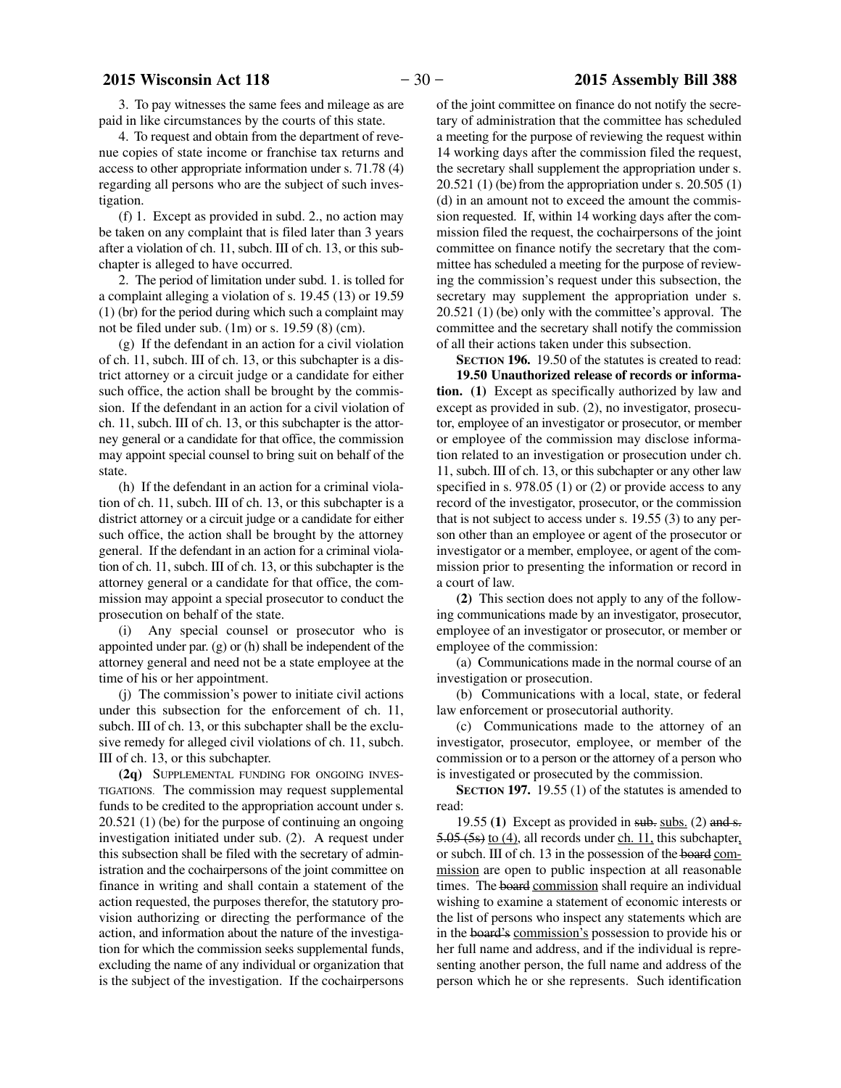3. To pay witnesses the same fees and mileage as are paid in like circumstances by the courts of this state.

4. To request and obtain from the department of revenue copies of state income or franchise tax returns and access to other appropriate information under s. 71.78 (4) regarding all persons who are the subject of such investigation.

(f) 1. Except as provided in subd. 2., no action may be taken on any complaint that is filed later than 3 years after a violation of ch. 11, subch. III of ch. 13, or this subchapter is alleged to have occurred.

2. The period of limitation under subd. 1. is tolled for a complaint alleging a violation of s. 19.45 (13) or 19.59 (1) (br) for the period during which such a complaint may not be filed under sub. (1m) or s. 19.59 (8) (cm).

(g) If the defendant in an action for a civil violation of ch. 11, subch. III of ch. 13, or this subchapter is a district attorney or a circuit judge or a candidate for either such office, the action shall be brought by the commission. If the defendant in an action for a civil violation of ch. 11, subch. III of ch. 13, or this subchapter is the attorney general or a candidate for that office, the commission may appoint special counsel to bring suit on behalf of the state.

(h) If the defendant in an action for a criminal violation of ch. 11, subch. III of ch. 13, or this subchapter is a district attorney or a circuit judge or a candidate for either such office, the action shall be brought by the attorney general. If the defendant in an action for a criminal violation of ch. 11, subch. III of ch. 13, or this subchapter is the attorney general or a candidate for that office, the commission may appoint a special prosecutor to conduct the prosecution on behalf of the state.

(i) Any special counsel or prosecutor who is appointed under par. (g) or (h) shall be independent of the attorney general and need not be a state employee at the time of his or her appointment.

(j) The commission's power to initiate civil actions under this subsection for the enforcement of ch. 11, subch. III of ch. 13, or this subchapter shall be the exclusive remedy for alleged civil violations of ch. 11, subch. III of ch. 13, or this subchapter.

**(2q)** SUPPLEMENTAL FUNDING FOR ONGOING INVES-TIGATIONS. The commission may request supplemental funds to be credited to the appropriation account under s. 20.521 (1) (be) for the purpose of continuing an ongoing investigation initiated under sub. (2). A request under this subsection shall be filed with the secretary of administration and the cochairpersons of the joint committee on finance in writing and shall contain a statement of the action requested, the purposes therefor, the statutory provision authorizing or directing the performance of the action, and information about the nature of the investigation for which the commission seeks supplemental funds, excluding the name of any individual or organization that is the subject of the investigation. If the cochairpersons of the joint committee on finance do not notify the secretary of administration that the committee has scheduled a meeting for the purpose of reviewing the request within 14 working days after the commission filed the request, the secretary shall supplement the appropriation under s.  $20.521$  (1) (be) from the appropriation under s.  $20.505$  (1) (d) in an amount not to exceed the amount the commission requested. If, within 14 working days after the commission filed the request, the cochairpersons of the joint committee on finance notify the secretary that the committee has scheduled a meeting for the purpose of reviewing the commission's request under this subsection, the secretary may supplement the appropriation under s. 20.521 (1) (be) only with the committee's approval. The committee and the secretary shall notify the commission of all their actions taken under this subsection.

**SECTION 196.** 19.50 of the statutes is created to read:

**19.50 Unauthorized release of records or information. (1)** Except as specifically authorized by law and except as provided in sub. (2), no investigator, prosecutor, employee of an investigator or prosecutor, or member or employee of the commission may disclose information related to an investigation or prosecution under ch. 11, subch. III of ch. 13, or this subchapter or any other law specified in s. 978.05 (1) or (2) or provide access to any record of the investigator, prosecutor, or the commission that is not subject to access under s. 19.55 (3) to any person other than an employee or agent of the prosecutor or investigator or a member, employee, or agent of the commission prior to presenting the information or record in a court of law.

**(2)** This section does not apply to any of the following communications made by an investigator, prosecutor, employee of an investigator or prosecutor, or member or employee of the commission:

(a) Communications made in the normal course of an investigation or prosecution.

(b) Communications with a local, state, or federal law enforcement or prosecutorial authority.

(c) Communications made to the attorney of an investigator, prosecutor, employee, or member of the commission or to a person or the attorney of a person who is investigated or prosecuted by the commission.

**SECTION 197.** 19.55 (1) of the statutes is amended to read:

19.55  $(1)$  Except as provided in sub. subs.  $(2)$  and s.  $5.05$  (5s) to (4), all records under ch. 11, this subchapter, or subch. III of ch. 13 in the possession of the board commission are open to public inspection at all reasonable times. The board commission shall require an individual wishing to examine a statement of economic interests or the list of persons who inspect any statements which are in the board's commission's possession to provide his or her full name and address, and if the individual is representing another person, the full name and address of the person which he or she represents. Such identification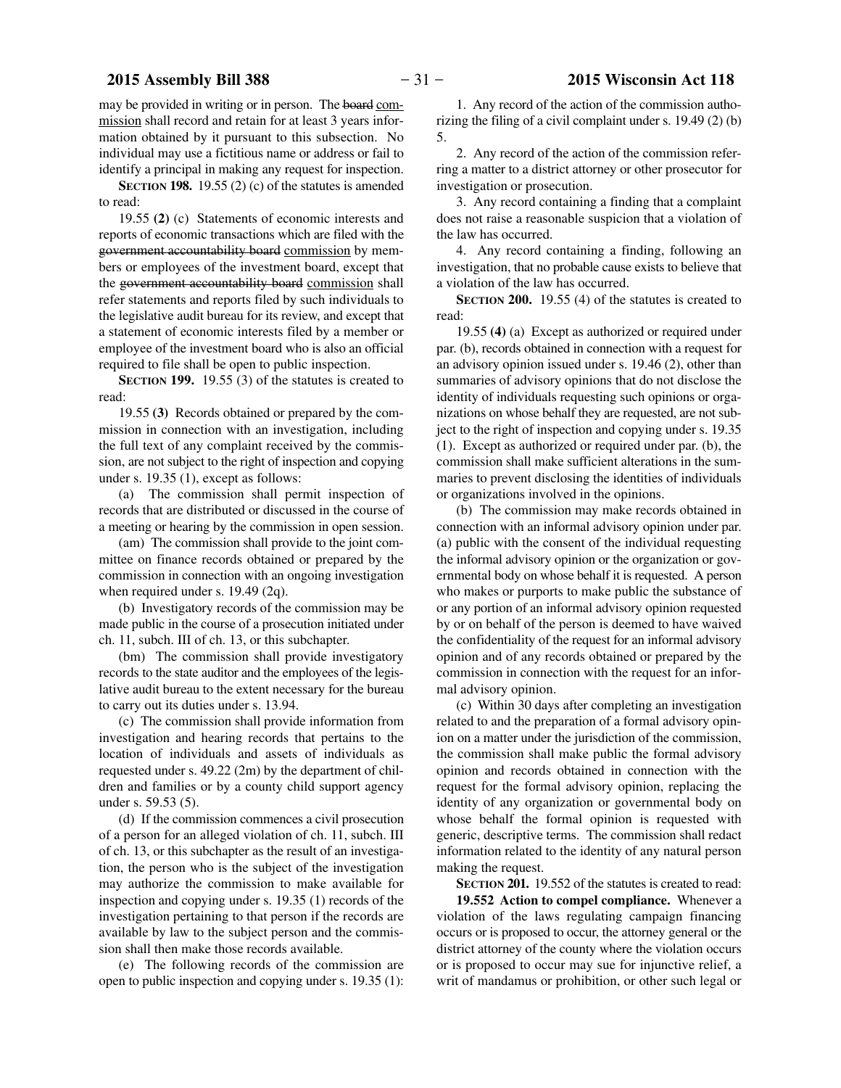may be provided in writing or in person. The board commission shall record and retain for at least 3 years information obtained by it pursuant to this subsection. No individual may use a fictitious name or address or fail to identify a principal in making any request for inspection.

**SECTION 198.** 19.55 (2) (c) of the statutes is amended to read:

19.55 **(2)** (c) Statements of economic interests and reports of economic transactions which are filed with the government accountability board commission by members or employees of the investment board, except that the government accountability board commission shall refer statements and reports filed by such individuals to the legislative audit bureau for its review, and except that a statement of economic interests filed by a member or employee of the investment board who is also an official required to file shall be open to public inspection.

**SECTION 199.** 19.55 (3) of the statutes is created to read:

19.55 **(3)** Records obtained or prepared by the commission in connection with an investigation, including the full text of any complaint received by the commission, are not subject to the right of inspection and copying under s. 19.35 (1), except as follows:

(a) The commission shall permit inspection of records that are distributed or discussed in the course of a meeting or hearing by the commission in open session.

(am) The commission shall provide to the joint committee on finance records obtained or prepared by the commission in connection with an ongoing investigation when required under s. 19.49 (2q).

(b) Investigatory records of the commission may be made public in the course of a prosecution initiated under ch. 11, subch. III of ch. 13, or this subchapter.

(bm) The commission shall provide investigatory records to the state auditor and the employees of the legislative audit bureau to the extent necessary for the bureau to carry out its duties under s. 13.94.

(c) The commission shall provide information from investigation and hearing records that pertains to the location of individuals and assets of individuals as requested under s. 49.22 (2m) by the department of children and families or by a county child support agency under s. 59.53 (5).

(d) If the commission commences a civil prosecution of a person for an alleged violation of ch. 11, subch. III of ch. 13, or this subchapter as the result of an investigation, the person who is the subject of the investigation may authorize the commission to make available for inspection and copying under s. 19.35 (1) records of the investigation pertaining to that person if the records are available by law to the subject person and the commission shall then make those records available.

(e) The following records of the commission are open to public inspection and copying under s. 19.35 (1):

1. Any record of the action of the commission authorizing the filing of a civil complaint under s. 19.49 (2) (b) 5.

2. Any record of the action of the commission referring a matter to a district attorney or other prosecutor for investigation or prosecution.

3. Any record containing a finding that a complaint does not raise a reasonable suspicion that a violation of the law has occurred.

4. Any record containing a finding, following an investigation, that no probable cause exists to believe that a violation of the law has occurred.

**SECTION 200.** 19.55 (4) of the statutes is created to read:

19.55 **(4)** (a) Except as authorized or required under par. (b), records obtained in connection with a request for an advisory opinion issued under s. 19.46 (2), other than summaries of advisory opinions that do not disclose the identity of individuals requesting such opinions or organizations on whose behalf they are requested, are not subject to the right of inspection and copying under s. 19.35 (1). Except as authorized or required under par. (b), the commission shall make sufficient alterations in the summaries to prevent disclosing the identities of individuals or organizations involved in the opinions.

(b) The commission may make records obtained in connection with an informal advisory opinion under par. (a) public with the consent of the individual requesting the informal advisory opinion or the organization or governmental body on whose behalf it is requested. A person who makes or purports to make public the substance of or any portion of an informal advisory opinion requested by or on behalf of the person is deemed to have waived the confidentiality of the request for an informal advisory opinion and of any records obtained or prepared by the commission in connection with the request for an informal advisory opinion.

(c) Within 30 days after completing an investigation related to and the preparation of a formal advisory opinion on a matter under the jurisdiction of the commission, the commission shall make public the formal advisory opinion and records obtained in connection with the request for the formal advisory opinion, replacing the identity of any organization or governmental body on whose behalf the formal opinion is requested with generic, descriptive terms. The commission shall redact information related to the identity of any natural person making the request.

**SECTION 201.** 19.552 of the statutes is created to read: **19.552 Action to compel compliance.** Whenever a violation of the laws regulating campaign financing occurs or is proposed to occur, the attorney general or the district attorney of the county where the violation occurs or is proposed to occur may sue for injunctive relief, a writ of mandamus or prohibition, or other such legal or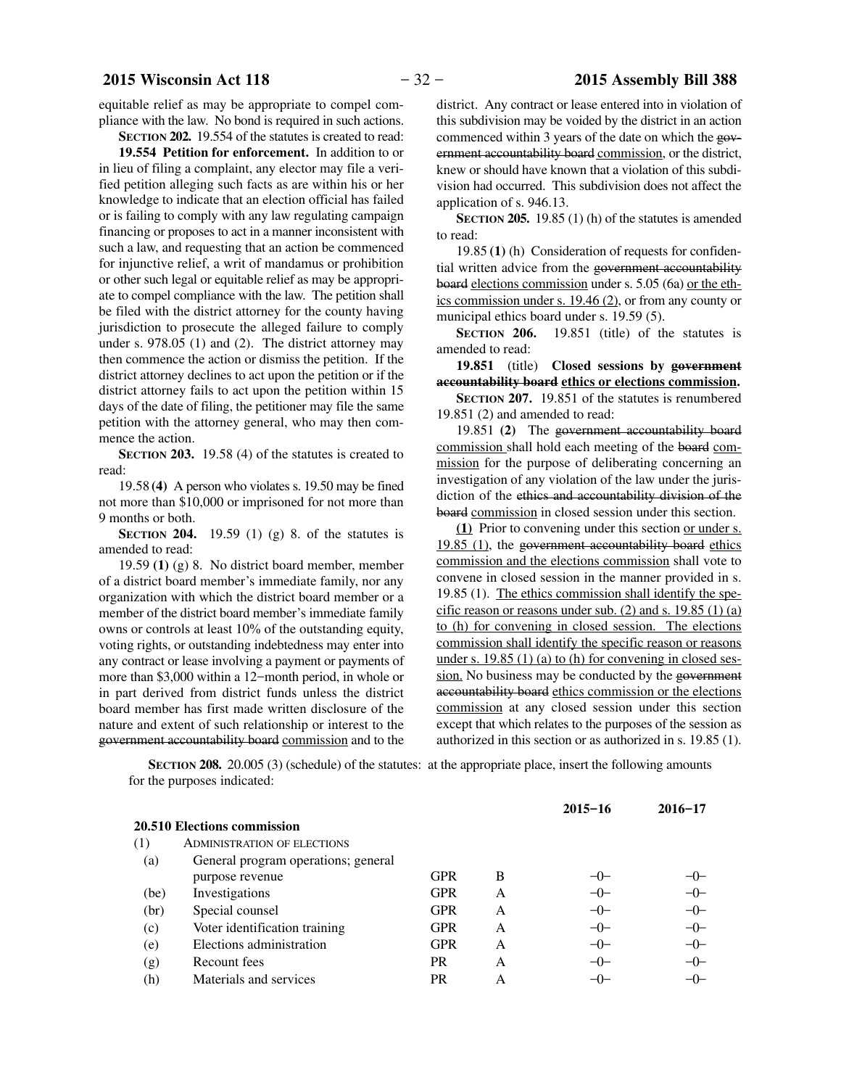equitable relief as may be appropriate to compel compliance with the law. No bond is required in such actions.

**SECTION 202.** 19.554 of the statutes is created to read:

**19.554 Petition for enforcement.** In addition to or in lieu of filing a complaint, any elector may file a verified petition alleging such facts as are within his or her knowledge to indicate that an election official has failed or is failing to comply with any law regulating campaign financing or proposes to act in a manner inconsistent with such a law, and requesting that an action be commenced for injunctive relief, a writ of mandamus or prohibition or other such legal or equitable relief as may be appropriate to compel compliance with the law. The petition shall be filed with the district attorney for the county having jurisdiction to prosecute the alleged failure to comply under s. 978.05 (1) and (2). The district attorney may then commence the action or dismiss the petition. If the district attorney declines to act upon the petition or if the district attorney fails to act upon the petition within 15 days of the date of filing, the petitioner may file the same petition with the attorney general, who may then commence the action.

**SECTION 203.** 19.58 (4) of the statutes is created to read:

19.58 **(4)** A person who violates s. 19.50 may be fined not more than \$10,000 or imprisoned for not more than 9 months or both.

**SECTION 204.** 19.59 (1) (g) 8. of the statutes is amended to read:

19.59 **(1)** (g) 8. No district board member, member of a district board member's immediate family, nor any organization with which the district board member or a member of the district board member's immediate family owns or controls at least 10% of the outstanding equity, voting rights, or outstanding indebtedness may enter into any contract or lease involving a payment or payments of more than \$3,000 within a 12−month period, in whole or in part derived from district funds unless the district board member has first made written disclosure of the nature and extent of such relationship or interest to the government accountability board commission and to the

district. Any contract or lease entered into in violation of this subdivision may be voided by the district in an action commenced within 3 years of the date on which the government accountability board commission, or the district, knew or should have known that a violation of this subdivision had occurred. This subdivision does not affect the application of s. 946.13.

**SECTION 205.** 19.85 (1) (h) of the statutes is amended to read:

19.85 **(1)** (h) Consideration of requests for confidential written advice from the government accountability board elections commission under s. 5.05 (6a) or the ethics commission under s. 19.46 (2), or from any county or municipal ethics board under s. 19.59 (5).

**SECTION 206.** 19.851 (title) of the statutes is amended to read:

**19.851** (title) **Closed sessions by government accountability board ethics or elections commission.**

**SECTION 207.** 19.851 of the statutes is renumbered 19.851 (2) and amended to read:

19.851 **(2)** The government accountability board commission shall hold each meeting of the board commission for the purpose of deliberating concerning an investigation of any violation of the law under the jurisdiction of the ethics and accountability division of the board commission in closed session under this section.

**(1)** Prior to convening under this section or under s. 19.85 (1), the government accountability board ethics commission and the elections commission shall vote to convene in closed session in the manner provided in s. 19.85 (1). The ethics commission shall identify the specific reason or reasons under sub.  $(2)$  and s. 19.85  $(1)$  (a) to (h) for convening in closed session. The elections commission shall identify the specific reason or reasons under s. 19.85 (1) (a) to (h) for convening in closed session. No business may be conducted by the government accountability board ethics commission or the elections commission at any closed session under this section except that which relates to the purposes of the session as authorized in this section or as authorized in s. 19.85 (1).

**SECTION 208.** 20.005 (3) (schedule) of the statutes: at the appropriate place, insert the following amounts for the purposes indicated:

|      |                                     |            |   | $2015 - 16$ | $2016 - 17$ |
|------|-------------------------------------|------------|---|-------------|-------------|
|      | <b>20.510 Elections commission</b>  |            |   |             |             |
| (1)  | <b>ADMINISTRATION OF ELECTIONS</b>  |            |   |             |             |
| (a)  | General program operations; general |            |   |             |             |
|      | purpose revenue                     | <b>GPR</b> | B | $-()$       | $-()$       |
| (be) | Investigations                      | <b>GPR</b> | A | $-0-$       | $-0-$       |
| (br) | Special counsel                     | <b>GPR</b> | A | $-0-$       | $-0-$       |
| (c)  | Voter identification training       | <b>GPR</b> | A | $-0-$       | $-0-$       |
| (e)  | Elections administration            | <b>GPR</b> | A | $-0-$       | $-0-$       |
| (g)  | Recount fees                        | <b>PR</b>  | A | $-0-$       | $-0-$       |
| (h)  | Materials and services              | <b>PR</b>  | A | $-0-$       | $-0-$       |
|      |                                     |            |   |             |             |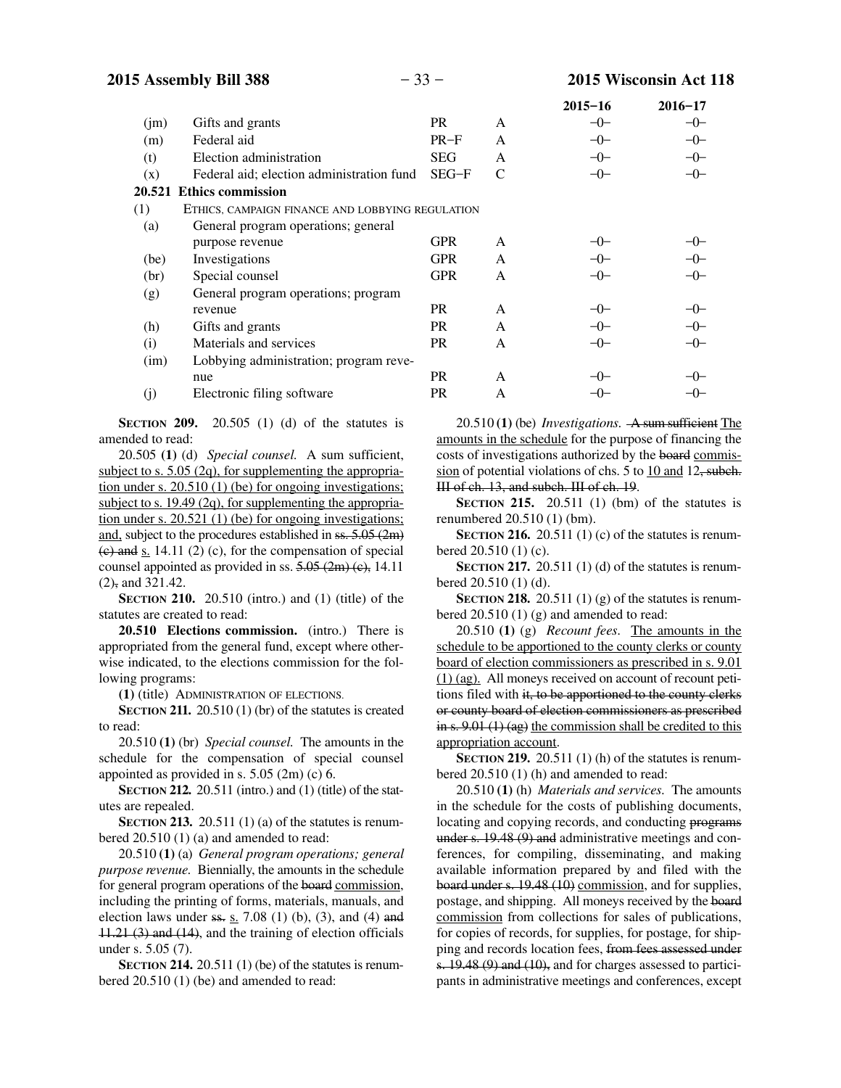|        |                                                  |            |   | $2015 - 16$ | $2016 - 17$ |
|--------|--------------------------------------------------|------------|---|-------------|-------------|
| (im)   | Gifts and grants                                 | <b>PR</b>  | A | $-0-$       | $-0-$       |
| (m)    | Federal aid                                      | $PR-F$     | A | $-0-$       | $-0-$       |
| (t)    | Election administration                          | <b>SEG</b> | A | $-0-$       | $-0-$       |
| (x)    | Federal aid; election administration fund        | $SEG-F$    | C | $-0-$       | $-0-$       |
| 20.521 | <b>Ethics commission</b>                         |            |   |             |             |
| (1)    | ETHICS, CAMPAIGN FINANCE AND LOBBYING REGULATION |            |   |             |             |
| (a)    | General program operations; general              |            |   |             |             |
|        | purpose revenue                                  | <b>GPR</b> | A | $-()$       |             |
| (be)   | Investigations                                   | <b>GPR</b> | A | $-0-$       |             |
| (br)   | Special counsel                                  | <b>GPR</b> | A | $-0-$       | -0-         |
| (g)    | General program operations; program              |            |   |             |             |
|        | revenue                                          | PR.        | A | $-()$       | $-0-$       |
| (h)    | Gifts and grants                                 | PR.        | A | $-0-$       | $-0-$       |
| (i)    | Materials and services                           | PR.        | A | $-0-$       | $-0-$       |
| (im)   | Lobbying administration; program reve-           |            |   |             |             |
|        | nue                                              | PR.        | A | $-()$       |             |
| (j)    | Electronic filing software                       | <b>PR</b>  | A |             |             |
|        |                                                  |            |   |             |             |

**SECTION 209.** 20.505 (1) (d) of the statutes is amended to read:

20.505 **(1)** (d) *Special counsel.* A sum sufficient, subject to s. 5.05 (2q), for supplementing the appropriation under s. 20.510 (1) (be) for ongoing investigations; subject to s. 19.49 (2q), for supplementing the appropriation under s. 20.521 (1) (be) for ongoing investigations; and, subject to the procedures established in ss. 5.05 (2m)  $(e)$  and s. 14.11 (2) (c), for the compensation of special counsel appointed as provided in ss.  $5.05$  (2m) (e), 14.11  $(2)$ , and 321.42.

**SECTION 210.** 20.510 (intro.) and (1) (title) of the statutes are created to read:

**20.510 Elections commission.** (intro.) There is appropriated from the general fund, except where otherwise indicated, to the elections commission for the following programs:

**(1)** (title) ADMINISTRATION OF ELECTIONS.

**SECTION 211.** 20.510 (1) (br) of the statutes is created to read:

20.510 **(1)** (br) *Special counsel.* The amounts in the schedule for the compensation of special counsel appointed as provided in s. 5.05 (2m) (c) 6.

**SECTION 212.** 20.511 (intro.) and (1) (title) of the statutes are repealed.

**SECTION 213.** 20.511 (1) (a) of the statutes is renumbered 20.510 (1) (a) and amended to read:

20.510 **(1)** (a) *General program operations; general purpose revenue.* Biennially, the amounts in the schedule for general program operations of the board commission, including the printing of forms, materials, manuals, and election laws under  $ss. s. 7.08$  (1) (b), (3), and (4) and 11.21 (3) and (14), and the training of election officials under s. 5.05 (7).

**SECTION 214.** 20.511 (1) (be) of the statutes is renumbered 20.510 (1) (be) and amended to read:

20.510 **(1)** (be) *Investigations.* A sum sufficient The amounts in the schedule for the purpose of financing the costs of investigations authorized by the board commission of potential violations of chs. 5 to 10 and 12, subch. III of ch. 13, and subch. III of ch. 19.

**SECTION 215.** 20.511 (1) (bm) of the statutes is renumbered 20.510 (1) (bm).

**SECTION 216.** 20.511 (1) (c) of the statutes is renumbered 20.510 (1) (c).

**SECTION 217.** 20.511 (1) (d) of the statutes is renumbered 20.510 (1) (d).

**SECTION 218.** 20.511 (1) (g) of the statutes is renumbered 20.510 (1) (g) and amended to read:

20.510 **(1)** (g) *Recount fees.* The amounts in the schedule to be apportioned to the county clerks or county board of election commissioners as prescribed in s. 9.01 (1) (ag). All moneys received on account of recount petitions filed with it, to be apportioned to the county clerks or county board of election commissioners as prescribed in s. 9.01 (1) (ag) the commission shall be credited to this appropriation account.

**SECTION** 219. 20.511 (1) (h) of the statutes is renumbered 20.510 (1) (h) and amended to read:

20.510 **(1)** (h) *Materials and services.* The amounts in the schedule for the costs of publishing documents, locating and copying records, and conducting programs under s. 19.48 (9) and administrative meetings and conferences, for compiling, disseminating, and making available information prepared by and filed with the board under s. 19.48 (10) commission, and for supplies, postage, and shipping. All moneys received by the board commission from collections for sales of publications, for copies of records, for supplies, for postage, for shipping and records location fees, from fees assessed under s. 19.48 (9) and (10), and for charges assessed to participants in administrative meetings and conferences, except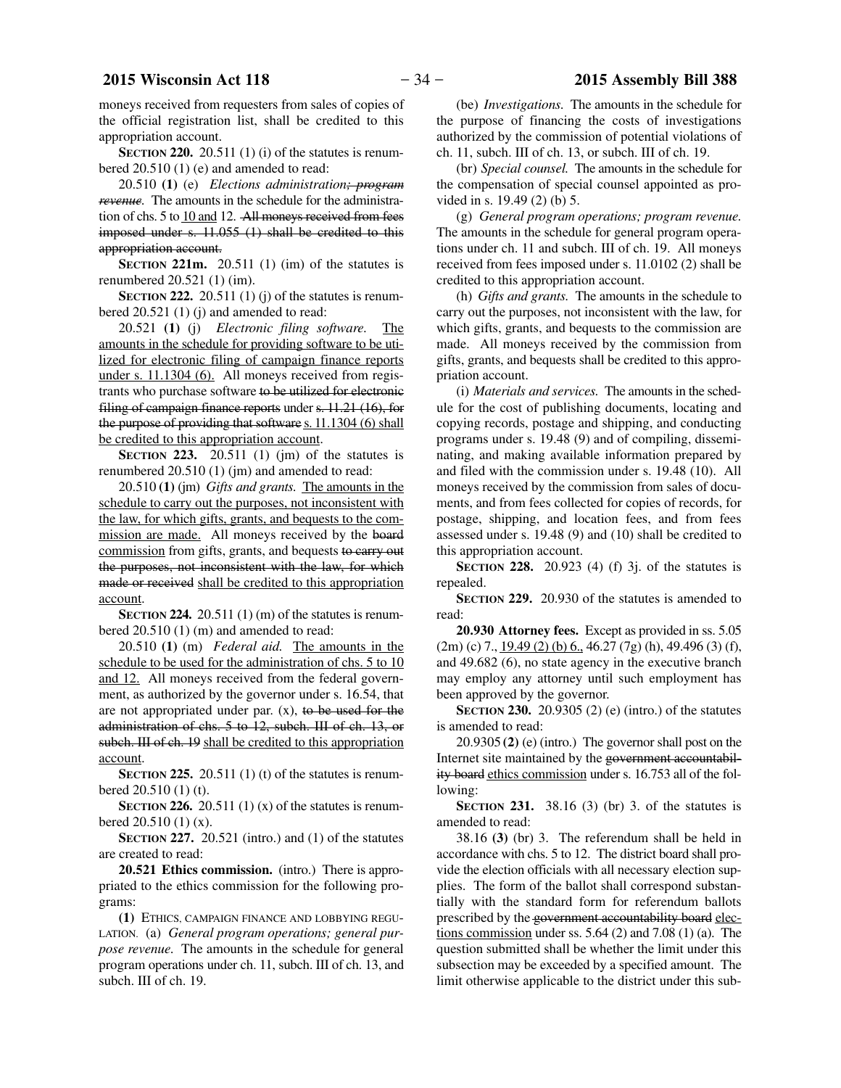moneys received from requesters from sales of copies of the official registration list, shall be credited to this appropriation account.

**SECTION** 220. 20.511 (1) (i) of the statutes is renumbered 20.510 (1) (e) and amended to read:

20.510 **(1)** (e) *Elections administration; program revenue.* The amounts in the schedule for the administration of chs. 5 to 10 and 12. All moneys received from fees imposed under s. 11.055 (1) shall be credited to this appropriation account.

**SECTION 221m.** 20.511 (1) (im) of the statutes is renumbered 20.521 (1) (im).

**SECTION 222.** 20.511 (1) (j) of the statutes is renumbered 20.521 (1) (j) and amended to read:

20.521 **(1)** (j) *Electronic filing software.* The amounts in the schedule for providing software to be utilized for electronic filing of campaign finance reports under s. 11.1304 (6). All moneys received from registrants who purchase software to be utilized for electronic filing of campaign finance reports under s. 11.21 (16), for the purpose of providing that software s. 11.1304 (6) shall be credited to this appropriation account.

**SECTION** 223. 20.511 (1) (jm) of the statutes is renumbered 20.510 (1) (jm) and amended to read:

20.510 **(1)** (jm) *Gifts and grants.* The amounts in the schedule to carry out the purposes, not inconsistent with the law, for which gifts, grants, and bequests to the commission are made. All moneys received by the board commission from gifts, grants, and bequests to carry out the purposes, not inconsistent with the law, for which made or received shall be credited to this appropriation account.

**SECTION 224.** 20.511 (1) (m) of the statutes is renumbered 20.510 (1) (m) and amended to read:

20.510 **(1)** (m) *Federal aid.* The amounts in the schedule to be used for the administration of chs. 5 to 10 and 12. All moneys received from the federal government, as authorized by the governor under s. 16.54, that are not appropriated under par.  $(x)$ , to be used for the administration of chs. 5 to 12, subch. III of ch. 13, or subch. III of ch. 19 shall be credited to this appropriation account.

**SECTION 225.** 20.511 (1) (t) of the statutes is renumbered 20.510 (1) (t).

**SECTION 226.** 20.511 (1) (x) of the statutes is renumbered 20.510 (1) (x).

**SECTION 227.** 20.521 (intro.) and (1) of the statutes are created to read:

**20.521 Ethics commission.** (intro.) There is appropriated to the ethics commission for the following programs:

**(1)** ETHICS, CAMPAIGN FINANCE AND LOBBYING REGU-LATION. (a) *General program operations; general purpose revenue.* The amounts in the schedule for general program operations under ch. 11, subch. III of ch. 13, and subch. III of ch. 19.

(be) *Investigations.* The amounts in the schedule for the purpose of financing the costs of investigations authorized by the commission of potential violations of ch. 11, subch. III of ch. 13, or subch. III of ch. 19.

(br) *Special counsel.* The amounts in the schedule for the compensation of special counsel appointed as provided in s. 19.49 (2) (b) 5.

(g) *General program operations; program revenue.* The amounts in the schedule for general program operations under ch. 11 and subch. III of ch. 19. All moneys received from fees imposed under s. 11.0102 (2) shall be credited to this appropriation account.

(h) *Gifts and grants.* The amounts in the schedule to carry out the purposes, not inconsistent with the law, for which gifts, grants, and bequests to the commission are made. All moneys received by the commission from gifts, grants, and bequests shall be credited to this appropriation account.

(i) *Materials and services.* The amounts in the schedule for the cost of publishing documents, locating and copying records, postage and shipping, and conducting programs under s. 19.48 (9) and of compiling, disseminating, and making available information prepared by and filed with the commission under s. 19.48 (10). All moneys received by the commission from sales of documents, and from fees collected for copies of records, for postage, shipping, and location fees, and from fees assessed under s. 19.48 (9) and (10) shall be credited to this appropriation account.

**SECTION 228.** 20.923 (4) (f) 3j. of the statutes is repealed.

**SECTION 229.** 20.930 of the statutes is amended to read:

**20.930 Attorney fees.** Except as provided in ss. 5.05  $(2m)$  (c) 7.,  $19.49$  (2) (b) 6., 46.27 (7g) (h), 49.496 (3) (f), and 49.682 (6), no state agency in the executive branch may employ any attorney until such employment has been approved by the governor.

**SECTION 230.** 20.9305 (2) (e) (intro.) of the statutes is amended to read:

20.9305 **(2)** (e) (intro.) The governor shall post on the Internet site maintained by the government accountability board ethics commission under s. 16.753 all of the following:

**SECTION 231.** 38.16 (3) (br) 3. of the statutes is amended to read:

38.16 **(3)** (br) 3. The referendum shall be held in accordance with chs. 5 to 12. The district board shall provide the election officials with all necessary election supplies. The form of the ballot shall correspond substantially with the standard form for referendum ballots prescribed by the government accountability board elections commission under ss.  $5.64$  (2) and  $7.08$  (1) (a). The question submitted shall be whether the limit under this subsection may be exceeded by a specified amount. The limit otherwise applicable to the district under this sub-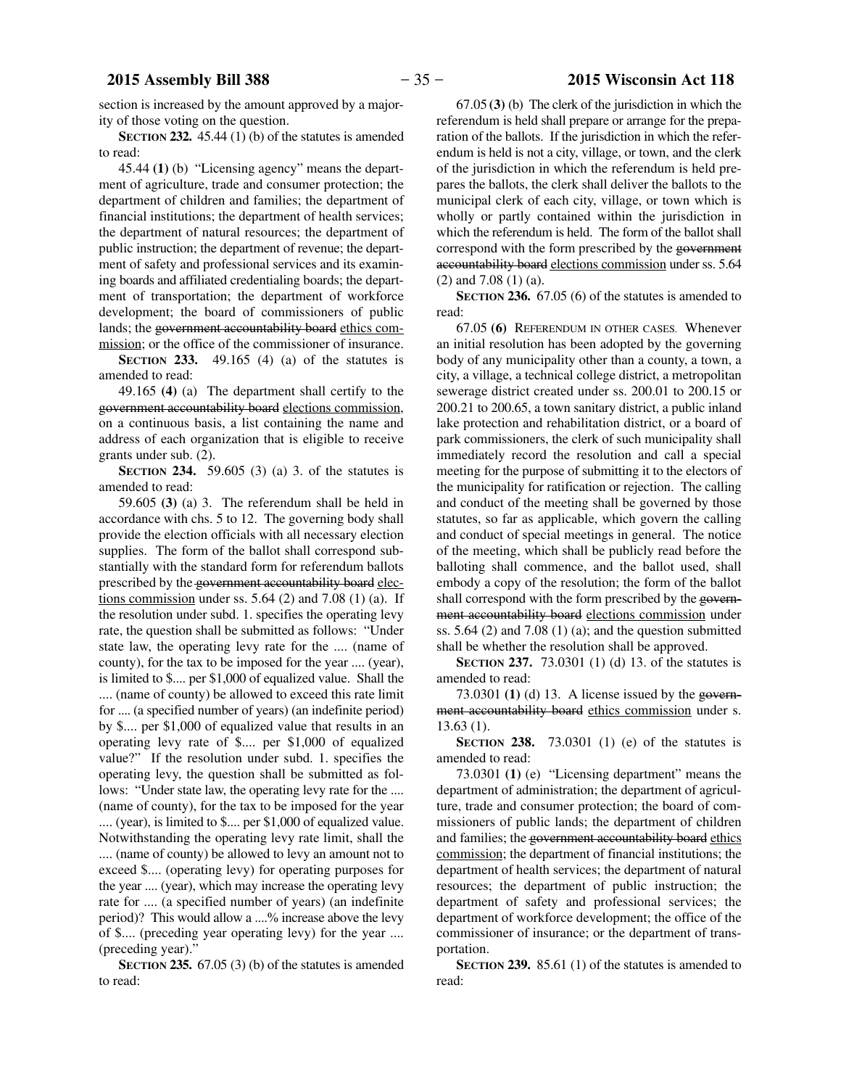### **2015 Assembly Bill 388** − 35 − **2015 Wisconsin Act 118**

section is increased by the amount approved by a majority of those voting on the question.

**SECTION 232.** 45.44 (1) (b) of the statutes is amended to read:

45.44 **(1)** (b) "Licensing agency" means the department of agriculture, trade and consumer protection; the department of children and families; the department of financial institutions; the department of health services; the department of natural resources; the department of public instruction; the department of revenue; the department of safety and professional services and its examining boards and affiliated credentialing boards; the department of transportation; the department of workforce development; the board of commissioners of public lands; the government accountability board ethics commission; or the office of the commissioner of insurance.

**SECTION 233.** 49.165 (4) (a) of the statutes is amended to read:

49.165 **(4)** (a) The department shall certify to the government accountability board elections commission, on a continuous basis, a list containing the name and address of each organization that is eligible to receive grants under sub. (2).

**SECTION 234.** 59.605 (3) (a) 3. of the statutes is amended to read:

59.605 **(3)** (a) 3. The referendum shall be held in accordance with chs. 5 to 12. The governing body shall provide the election officials with all necessary election supplies. The form of the ballot shall correspond substantially with the standard form for referendum ballots prescribed by the government accountability board elections commission under ss.  $5.64$  (2) and  $7.08$  (1) (a). If the resolution under subd. 1. specifies the operating levy rate, the question shall be submitted as follows: "Under state law, the operating levy rate for the .... (name of county), for the tax to be imposed for the year .... (year), is limited to \$.... per \$1,000 of equalized value. Shall the .... (name of county) be allowed to exceed this rate limit for .... (a specified number of years) (an indefinite period) by \$.... per \$1,000 of equalized value that results in an operating levy rate of \$.... per \$1,000 of equalized value?" If the resolution under subd. 1. specifies the operating levy, the question shall be submitted as follows: "Under state law, the operating levy rate for the .... (name of county), for the tax to be imposed for the year .... (year), is limited to \$.... per \$1,000 of equalized value. Notwithstanding the operating levy rate limit, shall the .... (name of county) be allowed to levy an amount not to exceed \$.... (operating levy) for operating purposes for the year .... (year), which may increase the operating levy rate for .... (a specified number of years) (an indefinite period)? This would allow a ....% increase above the levy of \$.... (preceding year operating levy) for the year .... (preceding year).'

**SECTION 235.** 67.05 (3) (b) of the statutes is amended to read:

67.05 **(3)** (b) The clerk of the jurisdiction in which the referendum is held shall prepare or arrange for the preparation of the ballots. If the jurisdiction in which the referendum is held is not a city, village, or town, and the clerk of the jurisdiction in which the referendum is held prepares the ballots, the clerk shall deliver the ballots to the municipal clerk of each city, village, or town which is wholly or partly contained within the jurisdiction in which the referendum is held. The form of the ballot shall correspond with the form prescribed by the government accountability board elections commission under ss. 5.64 (2) and 7.08 (1) (a).

**SECTION 236.** 67.05 (6) of the statutes is amended to read:

67.05 **(6)** REFERENDUM IN OTHER CASES. Whenever an initial resolution has been adopted by the governing body of any municipality other than a county, a town, a city, a village, a technical college district, a metropolitan sewerage district created under ss. 200.01 to 200.15 or 200.21 to 200.65, a town sanitary district, a public inland lake protection and rehabilitation district, or a board of park commissioners, the clerk of such municipality shall immediately record the resolution and call a special meeting for the purpose of submitting it to the electors of the municipality for ratification or rejection. The calling and conduct of the meeting shall be governed by those statutes, so far as applicable, which govern the calling and conduct of special meetings in general. The notice of the meeting, which shall be publicly read before the balloting shall commence, and the ballot used, shall embody a copy of the resolution; the form of the ballot shall correspond with the form prescribed by the government accountability board elections commission under ss.  $5.64$  (2) and  $7.08$  (1) (a); and the question submitted shall be whether the resolution shall be approved.

**SECTION 237.** 73.0301 (1) (d) 13. of the statutes is amended to read:

73.0301 **(1)** (d) 13. A license issued by the government accountability board ethics commission under s. 13.63 (1).

**SECTION 238.** 73.0301 (1) (e) of the statutes is amended to read:

73.0301 **(1)** (e) "Licensing department" means the department of administration; the department of agriculture, trade and consumer protection; the board of commissioners of public lands; the department of children and families; the government accountability board ethics commission; the department of financial institutions; the department of health services; the department of natural resources; the department of public instruction; the department of safety and professional services; the department of workforce development; the office of the commissioner of insurance; or the department of transportation.

**SECTION 239.** 85.61 (1) of the statutes is amended to read: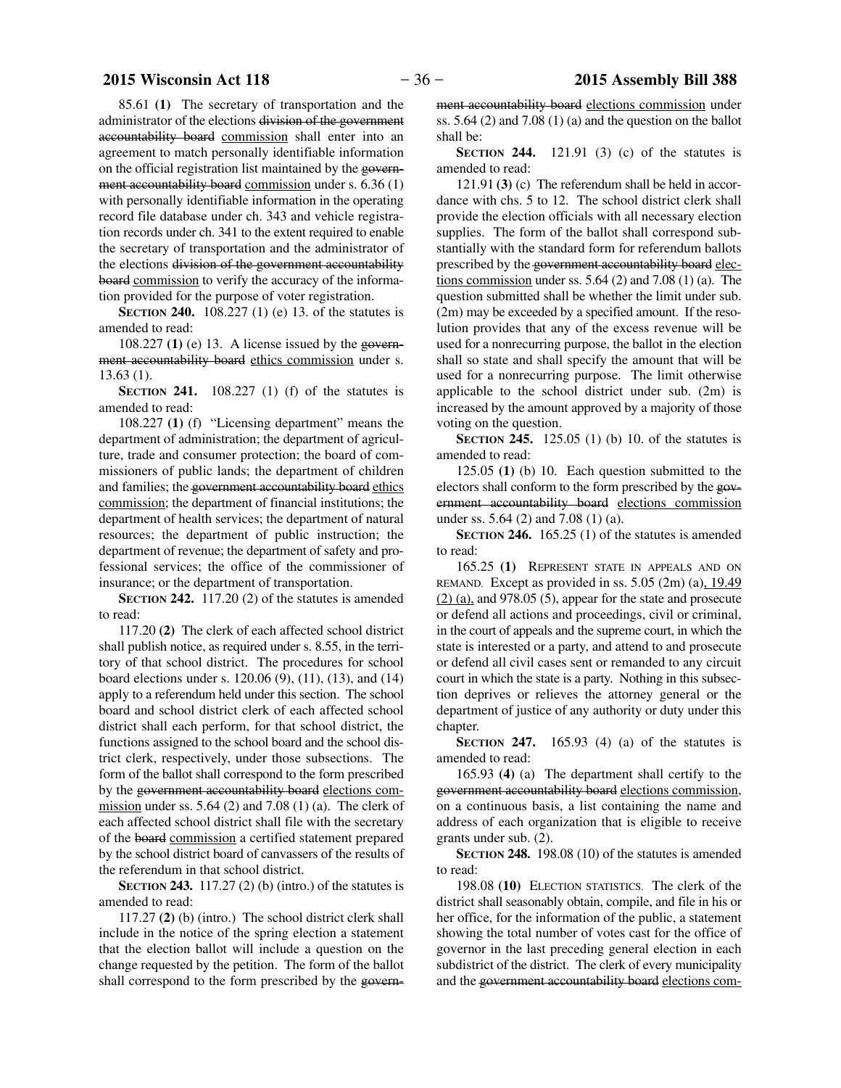### **2015 Wisconsin Act 118** − 36 − **2015 Assembly Bill 388**

85.61 **(1)** The secretary of transportation and the administrator of the elections division of the government accountability board commission shall enter into an agreement to match personally identifiable information on the official registration list maintained by the government accountability board commission under s. 6.36 (1) with personally identifiable information in the operating record file database under ch. 343 and vehicle registration records under ch. 341 to the extent required to enable the secretary of transportation and the administrator of the elections division of the government accountability board commission to verify the accuracy of the information provided for the purpose of voter registration.

**SECTION 240.** 108.227 (1) (e) 13. of the statutes is amended to read:

108.227 **(1)** (e) 13. A license issued by the government accountability board ethics commission under s. 13.63 (1).

**SECTION 241.** 108.227 (1) (f) of the statutes is amended to read:

108.227 **(1)** (f) "Licensing department" means the department of administration; the department of agriculture, trade and consumer protection; the board of commissioners of public lands; the department of children and families; the government accountability board ethics commission; the department of financial institutions; the department of health services; the department of natural resources; the department of public instruction; the department of revenue; the department of safety and professional services; the office of the commissioner of insurance; or the department of transportation.

**SECTION 242.** 117.20 (2) of the statutes is amended to read:

117.20 **(2)** The clerk of each affected school district shall publish notice, as required under s. 8.55, in the territory of that school district. The procedures for school board elections under s. 120.06 (9), (11), (13), and (14) apply to a referendum held under this section. The school board and school district clerk of each affected school district shall each perform, for that school district, the functions assigned to the school board and the school district clerk, respectively, under those subsections. The form of the ballot shall correspond to the form prescribed by the government accountability board elections commission under ss.  $5.64$  (2) and  $7.08$  (1) (a). The clerk of each affected school district shall file with the secretary of the board commission a certified statement prepared by the school district board of canvassers of the results of the referendum in that school district.

**SECTION 243.** 117.27 (2) (b) (intro.) of the statutes is amended to read:

117.27 **(2)** (b) (intro.) The school district clerk shall include in the notice of the spring election a statement that the election ballot will include a question on the change requested by the petition. The form of the ballot shall correspond to the form prescribed by the government accountability board elections commission under ss.  $5.64$  (2) and  $7.08$  (1) (a) and the question on the ballot shall be:

**SECTION 244.** 121.91 (3) (c) of the statutes is amended to read:

121.91 **(3)** (c) The referendum shall be held in accordance with chs. 5 to 12. The school district clerk shall provide the election officials with all necessary election supplies. The form of the ballot shall correspond substantially with the standard form for referendum ballots prescribed by the government accountability board elections commission under ss.  $5.64$  (2) and  $7.08$  (1) (a). The question submitted shall be whether the limit under sub. (2m) may be exceeded by a specified amount. If the resolution provides that any of the excess revenue will be used for a nonrecurring purpose, the ballot in the election shall so state and shall specify the amount that will be used for a nonrecurring purpose. The limit otherwise applicable to the school district under sub. (2m) is increased by the amount approved by a majority of those voting on the question.

**SECTION 245.** 125.05 (1) (b) 10. of the statutes is amended to read:

125.05 **(1)** (b) 10. Each question submitted to the electors shall conform to the form prescribed by the government accountability board elections commission under ss. 5.64 (2) and 7.08 (1) (a).

**SECTION 246.** 165.25 (1) of the statutes is amended to read:

165.25 **(1)** REPRESENT STATE IN APPEALS AND ON REMAND. Except as provided in ss.  $5.05$  (2m) (a),  $19.49$  $(2)$  (a), and 978.05 (5), appear for the state and prosecute or defend all actions and proceedings, civil or criminal, in the court of appeals and the supreme court, in which the state is interested or a party, and attend to and prosecute or defend all civil cases sent or remanded to any circuit court in which the state is a party. Nothing in this subsection deprives or relieves the attorney general or the department of justice of any authority or duty under this chapter.

**SECTION 247.** 165.93 (4) (a) of the statutes is amended to read:

165.93 **(4)** (a) The department shall certify to the government accountability board elections commission, on a continuous basis, a list containing the name and address of each organization that is eligible to receive grants under sub. (2).

**SECTION 248.** 198.08 (10) of the statutes is amended to read:

198.08 **(10)** ELECTION STATISTICS. The clerk of the district shall seasonably obtain, compile, and file in his or her office, for the information of the public, a statement showing the total number of votes cast for the office of governor in the last preceding general election in each subdistrict of the district. The clerk of every municipality and the government accountability board elections com-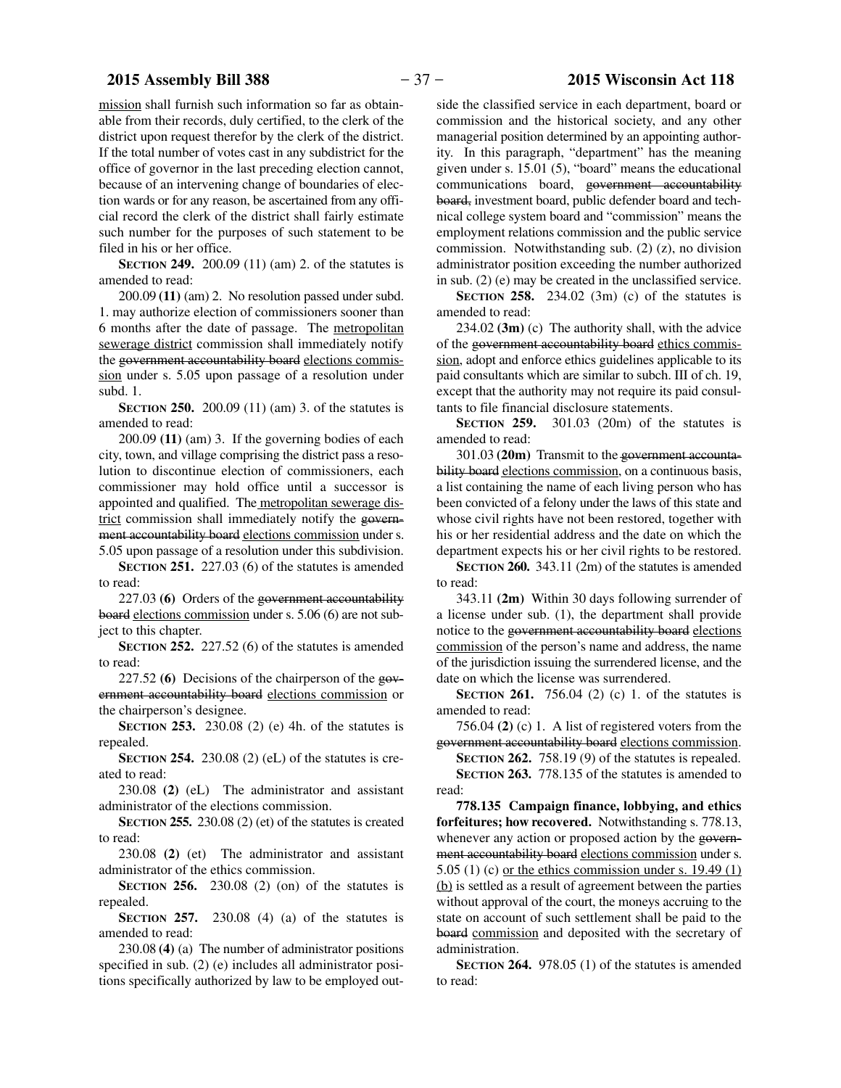mission shall furnish such information so far as obtainable from their records, duly certified, to the clerk of the district upon request therefor by the clerk of the district. If the total number of votes cast in any subdistrict for the office of governor in the last preceding election cannot, because of an intervening change of boundaries of election wards or for any reason, be ascertained from any official record the clerk of the district shall fairly estimate such number for the purposes of such statement to be filed in his or her office.

**SECTION 249.** 200.09 (11) (am) 2. of the statutes is amended to read:

200.09 **(11)** (am) 2. No resolution passed under subd. 1. may authorize election of commissioners sooner than 6 months after the date of passage. The metropolitan sewerage district commission shall immediately notify the government accountability board elections commission under s. 5.05 upon passage of a resolution under subd. 1.

**SECTION 250.** 200.09 (11) (am) 3. of the statutes is amended to read:

200.09 **(11)** (am) 3. If the governing bodies of each city, town, and village comprising the district pass a resolution to discontinue election of commissioners, each commissioner may hold office until a successor is appointed and qualified. The metropolitan sewerage district commission shall immediately notify the government accountability board elections commission under s. 5.05 upon passage of a resolution under this subdivision.

**SECTION 251.** 227.03 (6) of the statutes is amended to read:

227.03 **(6)** Orders of the government accountability board elections commission under s. 5.06 (6) are not subject to this chapter.

**SECTION 252.** 227.52 (6) of the statutes is amended to read:

227.52 **(6)** Decisions of the chairperson of the government accountability board elections commission or the chairperson's designee.

**SECTION 253.** 230.08 (2) (e) 4h. of the statutes is repealed.

**SECTION 254.** 230.08 (2) (eL) of the statutes is created to read:

230.08 **(2)** (eL) The administrator and assistant administrator of the elections commission.

**SECTION 255.** 230.08 (2) (et) of the statutes is created to read:

230.08 **(2)** (et) The administrator and assistant administrator of the ethics commission.

**SECTION 256.** 230.08 (2) (on) of the statutes is repealed.

**SECTION 257.** 230.08 (4) (a) of the statutes is amended to read:

230.08 **(4)** (a) The number of administrator positions specified in sub. (2) (e) includes all administrator positions specifically authorized by law to be employed outside the classified service in each department, board or commission and the historical society, and any other managerial position determined by an appointing authority. In this paragraph, "department" has the meaning given under s. 15.01 (5), "board" means the educational communications board, government accountability board, investment board, public defender board and technical college system board and "commission" means the employment relations commission and the public service commission. Notwithstanding sub. (2) (z), no division administrator position exceeding the number authorized in sub. (2) (e) may be created in the unclassified service.

**SECTION 258.** 234.02 (3m) (c) of the statutes is amended to read:

234.02 **(3m)** (c) The authority shall, with the advice of the government accountability board ethics commission, adopt and enforce ethics guidelines applicable to its paid consultants which are similar to subch. III of ch. 19, except that the authority may not require its paid consultants to file financial disclosure statements.

**SECTION 259.** 301.03 (20m) of the statutes is amended to read:

301.03 **(20m)** Transmit to the government accountability board elections commission, on a continuous basis, a list containing the name of each living person who has been convicted of a felony under the laws of this state and whose civil rights have not been restored, together with his or her residential address and the date on which the department expects his or her civil rights to be restored.

**SECTION 260.** 343.11 (2m) of the statutes is amended to read:

343.11 **(2m)** Within 30 days following surrender of a license under sub. (1), the department shall provide notice to the government accountability board elections commission of the person's name and address, the name of the jurisdiction issuing the surrendered license, and the date on which the license was surrendered.

**SECTION 261.** 756.04 (2) (c) 1. of the statutes is amended to read:

756.04 **(2)** (c) 1. A list of registered voters from the government accountability board elections commission.

**SECTION 262.** 758.19 (9) of the statutes is repealed. **SECTION 263.** 778.135 of the statutes is amended to read:

**778.135 Campaign finance, lobbying, and ethics forfeitures; how recovered.** Notwithstanding s. 778.13, whenever any action or proposed action by the government accountability board elections commission under s. 5.05 (1) (c) <u>or the ethics commission under s. 19.49 (1)</u> (b) is settled as a result of agreement between the parties without approval of the court, the moneys accruing to the state on account of such settlement shall be paid to the board commission and deposited with the secretary of administration.

**SECTION 264.** 978.05 (1) of the statutes is amended to read: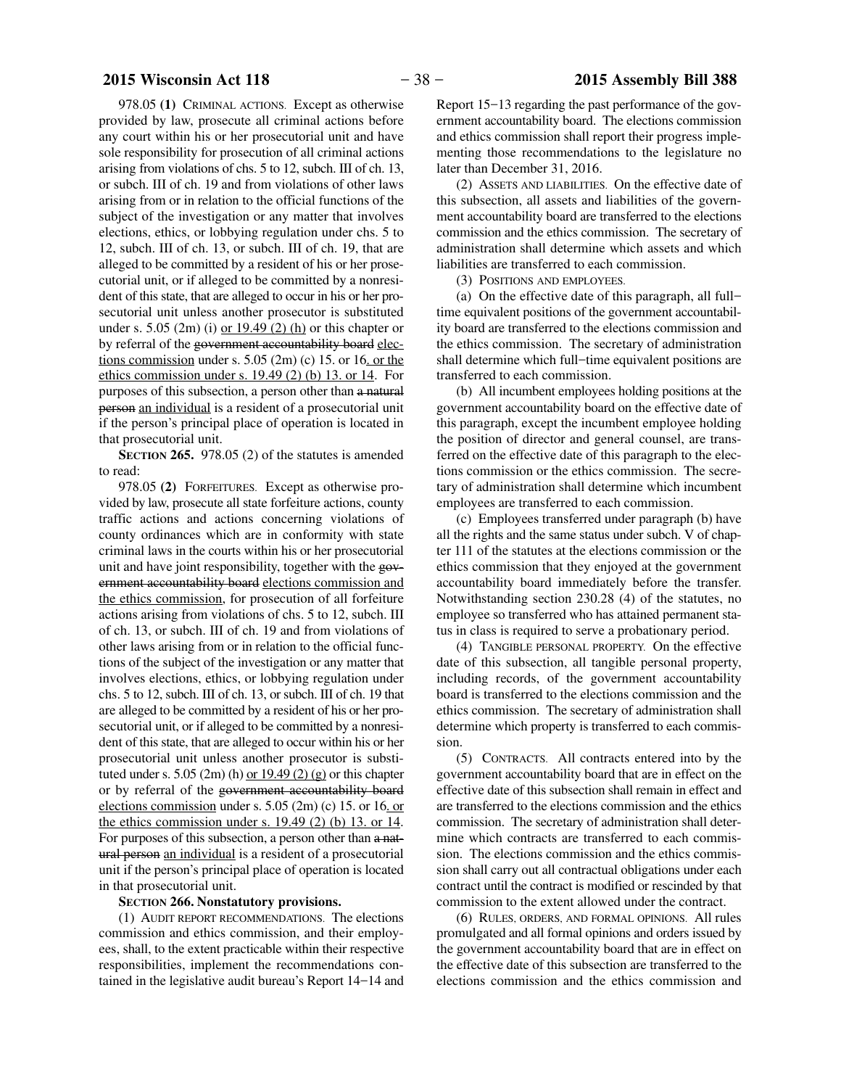<span id="page-37-0"></span>978.05 **(1)** CRIMINAL ACTIONS. Except as otherwise provided by law, prosecute all criminal actions before any court within his or her prosecutorial unit and have sole responsibility for prosecution of all criminal actions arising from violations of chs. 5 to 12, subch. III of ch. 13, or subch. III of ch. 19 and from violations of other laws arising from or in relation to the official functions of the subject of the investigation or any matter that involves elections, ethics, or lobbying regulation under chs. 5 to 12, subch. III of ch. 13, or subch. III of ch. 19, that are alleged to be committed by a resident of his or her prosecutorial unit, or if alleged to be committed by a nonresident of this state, that are alleged to occur in his or her prosecutorial unit unless another prosecutor is substituted under s. 5.05 (2m) (i) or  $19.49$  (2) (h) or this chapter or by referral of the government accountability board elections commission under s.  $5.05$  (2m) (c) 15. or 16. or the ethics commission under s. 19.49 (2) (b) 13. or 14. For purposes of this subsection, a person other than a natural person an individual is a resident of a prosecutorial unit if the person's principal place of operation is located in that prosecutorial unit.

**SECTION 265.** 978.05 (2) of the statutes is amended to read:

978.05 **(2)** FORFEITURES. Except as otherwise provided by law, prosecute all state forfeiture actions, county traffic actions and actions concerning violations of county ordinances which are in conformity with state criminal laws in the courts within his or her prosecutorial unit and have joint responsibility, together with the government accountability board elections commission and the ethics commission, for prosecution of all forfeiture actions arising from violations of chs. 5 to 12, subch. III of ch. 13, or subch. III of ch. 19 and from violations of other laws arising from or in relation to the official functions of the subject of the investigation or any matter that involves elections, ethics, or lobbying regulation under chs. 5 to 12, subch. III of ch. 13, or subch. III of ch. 19 that are alleged to be committed by a resident of his or her prosecutorial unit, or if alleged to be committed by a nonresident of this state, that are alleged to occur within his or her prosecutorial unit unless another prosecutor is substituted under s. 5.05 (2m) (h) or  $19.49$  (2) (g) or this chapter or by referral of the government accountability board elections commission under s. 5.05 (2m) (c) 15. or 16. or the ethics commission under s.  $19.49$  (2) (b) 13. or 14. For purposes of this subsection, a person other than a natural person an individual is a resident of a prosecutorial unit if the person's principal place of operation is located in that prosecutorial unit.

### **SECTION** 266. Nonstatutory provisions.

(1) AUDIT REPORT RECOMMENDATIONS. The elections commission and ethics commission, and their employees, shall, to the extent practicable within their respective responsibilities, implement the recommendations contained in the legislative audit bureau's Report 14−14 and

Report 15−13 regarding the past performance of the government accountability board. The elections commission and ethics commission shall report their progress implementing those recommendations to the legislature no later than December 31, 2016.

(2) ASSETS AND LIABILITIES. On the effective date of this subsection, all assets and liabilities of the government accountability board are transferred to the elections commission and the ethics commission. The secretary of administration shall determine which assets and which liabilities are transferred to each commission.

(3) POSITIONS AND EMPLOYEES.

(a) On the effective date of this paragraph, all full− time equivalent positions of the government accountability board are transferred to the elections commission and the ethics commission. The secretary of administration shall determine which full−time equivalent positions are transferred to each commission.

(b) All incumbent employees holding positions at the government accountability board on the effective date of this paragraph, except the incumbent employee holding the position of director and general counsel, are transferred on the effective date of this paragraph to the elections commission or the ethics commission. The secretary of administration shall determine which incumbent employees are transferred to each commission.

(c) Employees transferred under paragraph (b) have all the rights and the same status under subch. V of chapter 111 of the statutes at the elections commission or the ethics commission that they enjoyed at the government accountability board immediately before the transfer. Notwithstanding section 230.28 (4) of the statutes, no employee so transferred who has attained permanent status in class is required to serve a probationary period.

(4) TANGIBLE PERSONAL PROPERTY. On the effective date of this subsection, all tangible personal property, including records, of the government accountability board is transferred to the elections commission and the ethics commission. The secretary of administration shall determine which property is transferred to each commission.

(5) CONTRACTS. All contracts entered into by the government accountability board that are in effect on the effective date of this subsection shall remain in effect and are transferred to the elections commission and the ethics commission. The secretary of administration shall determine which contracts are transferred to each commission. The elections commission and the ethics commission shall carry out all contractual obligations under each contract until the contract is modified or rescinded by that commission to the extent allowed under the contract.

(6) RULES, ORDERS, AND FORMAL OPINIONS. All rules promulgated and all formal opinions and orders issued by the government accountability board that are in effect on the effective date of this subsection are transferred to the elections commission and the ethics commission and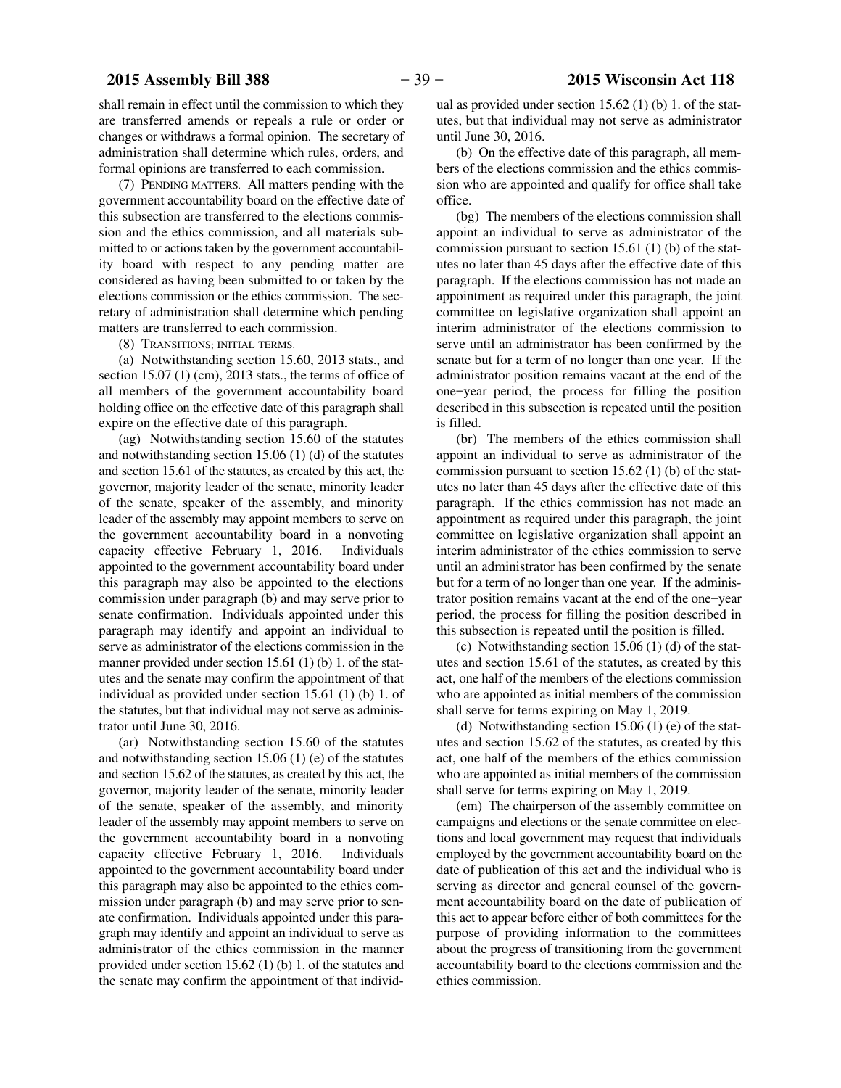<span id="page-38-0"></span>shall remain in effect until the commission to which they are transferred amends or repeals a rule or order or changes or withdraws a formal opinion. The secretary of administration shall determine which rules, orders, and formal opinions are transferred to each commission.

(7) PENDING MATTERS. All matters pending with the government accountability board on the effective date of this subsection are transferred to the elections commission and the ethics commission, and all materials submitted to or actions taken by the government accountability board with respect to any pending matter are considered as having been submitted to or taken by the elections commission or the ethics commission. The secretary of administration shall determine which pending matters are transferred to each commission.

(8) TRANSITIONS; INITIAL TERMS.

(a) Notwithstanding section 15.60, 2013 stats., and section 15.07 (1) (cm), 2013 stats., the terms of office of all members of the government accountability board holding office on the effective date of this paragraph shall expire on the effective date of this paragraph.

(ag) Notwithstanding section 15.60 of the statutes and notwithstanding section 15.06 (1) (d) of the statutes and section 15.61 of the statutes, as created by this act, the governor, majority leader of the senate, minority leader of the senate, speaker of the assembly, and minority leader of the assembly may appoint members to serve on the government accountability board in a nonvoting capacity effective February 1, 2016. Individuals appointed to the government accountability board under this paragraph may also be appointed to the elections commission under paragraph (b) and may serve prior to senate confirmation. Individuals appointed under this paragraph may identify and appoint an individual to serve as administrator of the elections commission in the manner provided under section 15.61 (1) (b) 1. of the statutes and the senate may confirm the appointment of that individual as provided under section 15.61 (1) (b) 1. of the statutes, but that individual may not serve as administrator until June 30, 2016.

(ar) Notwithstanding section 15.60 of the statutes and notwithstanding section 15.06 (1) (e) of the statutes and section 15.62 of the statutes, as created by this act, the governor, majority leader of the senate, minority leader of the senate, speaker of the assembly, and minority leader of the assembly may appoint members to serve on the government accountability board in a nonvoting capacity effective February 1, 2016. Individuals appointed to the government accountability board under this paragraph may also be appointed to the ethics commission under paragraph (b) and may serve prior to senate confirmation. Individuals appointed under this paragraph may identify and appoint an individual to serve as administrator of the ethics commission in the manner provided under section 15.62 (1) (b) 1. of the statutes and the senate may confirm the appointment of that individual as provided under section 15.62 (1) (b) 1. of the statutes, but that individual may not serve as administrator until June 30, 2016.

(b) On the effective date of this paragraph, all members of the elections commission and the ethics commission who are appointed and qualify for office shall take office.

(bg) The members of the elections commission shall appoint an individual to serve as administrator of the commission pursuant to section 15.61 (1) (b) of the statutes no later than 45 days after the effective date of this paragraph. If the elections commission has not made an appointment as required under this paragraph, the joint committee on legislative organization shall appoint an interim administrator of the elections commission to serve until an administrator has been confirmed by the senate but for a term of no longer than one year. If the administrator position remains vacant at the end of the one−year period, the process for filling the position described in this subsection is repeated until the position is filled.

(br) The members of the ethics commission shall appoint an individual to serve as administrator of the commission pursuant to section 15.62 (1) (b) of the statutes no later than 45 days after the effective date of this paragraph. If the ethics commission has not made an appointment as required under this paragraph, the joint committee on legislative organization shall appoint an interim administrator of the ethics commission to serve until an administrator has been confirmed by the senate but for a term of no longer than one year. If the administrator position remains vacant at the end of the one−year period, the process for filling the position described in this subsection is repeated until the position is filled.

(c) Notwithstanding section 15.06 (1) (d) of the statutes and section 15.61 of the statutes, as created by this act, one half of the members of the elections commission who are appointed as initial members of the commission shall serve for terms expiring on May 1, 2019.

(d) Notwithstanding section 15.06 (1) (e) of the statutes and section 15.62 of the statutes, as created by this act, one half of the members of the ethics commission who are appointed as initial members of the commission shall serve for terms expiring on May 1, 2019.

(em) The chairperson of the assembly committee on campaigns and elections or the senate committee on elections and local government may request that individuals employed by the government accountability board on the date of publication of this act and the individual who is serving as director and general counsel of the government accountability board on the date of publication of this act to appear before either of both committees for the purpose of providing information to the committees about the progress of transitioning from the government accountability board to the elections commission and the ethics commission.